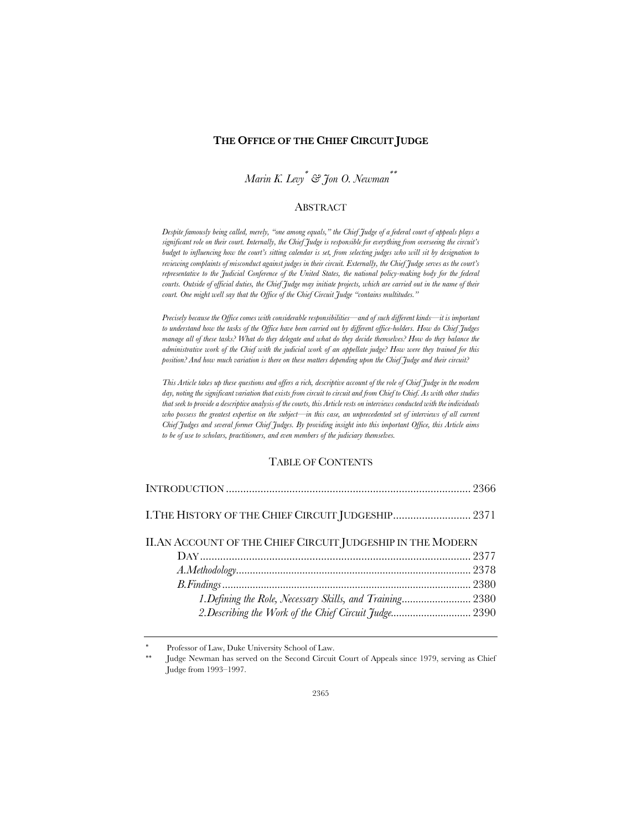## **THE OFFICE OF THE CHIEF CIRCUIT JUDGE**

*Marin K. Levy*\* *& Jon O. Newman*\*\*

## ABSTRACT

*Despite famously being called, merely, "one among equals," the Chief Judge of a federal court of appeals plays a significant role on their court. Internally, the Chief Judge is responsible for everything from overseeing the circuit's budget to influencing how the court's sitting calendar is set, from selecting judges who will sit by designation to reviewing complaints of misconduct against judges in their circuit. Externally, the Chief Judge serves as the court's representative to the Judicial Conference of the United States, the national policy-making body for the federal courts. Outside of official duties, the Chief Judge may initiate projects, which are carried out in the name of their court. One might well say that the Office of the Chief Circuit Judge "contains multitudes."*

*Precisely because the Office comes with considerable responsibilities—and of such different kinds—it is important to understand how the tasks of the Office have been carried out by different office-holders. How do Chief Judges*  manage all of these tasks? What do they delegate and what do they decide themselves? How do they balance the *administrative work of the Chief with the judicial work of an appellate judge? How were they trained for this position? And how much variation is there on these matters depending upon the Chief Judge and their circuit?*

*This Article takes up these questions and offers a rich, descriptive account of the role of Chief Judge in the modern day, noting the significant variation that exists from circuit to circuit and from Chief to Chief. As with other studies that seek to provide a descriptive analysis of the courts, this Article rests on interviews conducted with the individuals who possess the greatest expertise on the subject—in this case, an unprecedented set of interviews of all current Chief Judges and several former Chief Judges. By providing insight into this important Office, this Article aims to be of use to scholars, practitioners, and even members of the judiciary themselves.*

## TABLE OF CONTENTS

| II.AN ACCOUNT OF THE CHIEF CIRCUIT JUDGESHIP IN THE MODERN |  |
|------------------------------------------------------------|--|
|                                                            |  |
|                                                            |  |
|                                                            |  |
| 1. Defining the Role, Necessary Skills, and Training 2380  |  |
| 2. Describing the Work of the Chief Circuit Judge 2390     |  |
|                                                            |  |

Professor of Law, Duke University School of Law.

Judge Newman has served on the Second Circuit Court of Appeals since 1979, serving as Chief Judge from 1993–1997.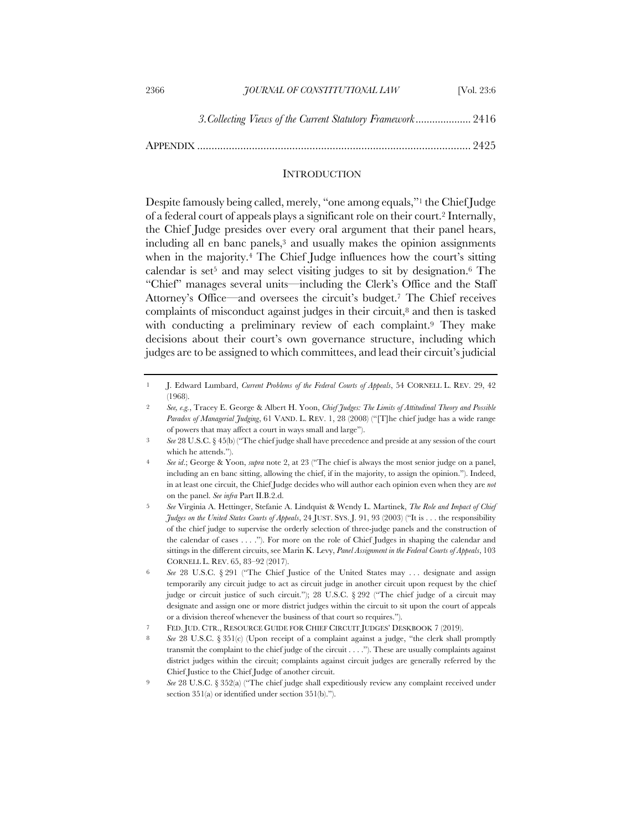| 2366 | <b>7OURNAL OF CONSTITUTIONAL LAW</b>                        | <b>Nol.</b> 23:6 |
|------|-------------------------------------------------------------|------------------|
|      | 3. Collecting Views of the Current Statutory Framework 2416 |                  |

APPENDIX ............................................................................................... 2425

## **INTRODUCTION**

Despite famously being called, merely, "one among equals,"1 the Chief Judge of a federal court of appeals plays a significant role on their court.2 Internally, the Chief Judge presides over every oral argument that their panel hears, including all en banc panels,3 and usually makes the opinion assignments when in the majority.4 The Chief Judge influences how the court's sitting calendar is set<sup>5</sup> and may select visiting judges to sit by designation.<sup>6</sup> The "Chief" manages several units—including the Clerk's Office and the Staff Attorney's Office—and oversees the circuit's budget.7 The Chief receives complaints of misconduct against judges in their circuit, $\delta$  and then is tasked with conducting a preliminary review of each complaint.<sup>9</sup> They make decisions about their court's own governance structure, including which judges are to be assigned to which committees, and lead their circuit's judicial

8 *See* 28 U.S.C. § 351(c) (Upon receipt of a complaint against a judge, "the clerk shall promptly transmit the complaint to the chief judge of the circuit . . . ."). These are usually complaints against district judges within the circuit; complaints against circuit judges are generally referred by the Chief Justice to the Chief Judge of another circuit.

<sup>1</sup> J. Edward Lumbard, *Current Problems of the Federal Courts of Appeals*, 54 CORNELL L. REV. 29, 42 (1968).

<sup>2</sup> *See, e.g.*, Tracey E. George & Albert H. Yoon, *Chief Judges: The Limits of Attitudinal Theory and Possible Paradox of Managerial Judging*, 61 VAND. L. REV. 1, 28 (2008) ("[T]he chief judge has a wide range of powers that may affect a court in ways small and large").

<sup>3</sup> *See* 28 U.S.C. § 45(b) ("The chief judge shall have precedence and preside at any session of the court which he attends.").

<sup>4</sup> *See id*.; George & Yoon, *supra* note 2, at 23 ("The chief is always the most senior judge on a panel, including an en banc sitting, allowing the chief, if in the majority, to assign the opinion."). Indeed, in at least one circuit, the Chief Judge decides who will author each opinion even when they are *not*  on the panel. *See infra* Part II.B.2.d.

<sup>5</sup> *See* Virginia A. Hettinger, Stefanie A. Lindquist & Wendy L. Martinek, *The Role and Impact of Chief Judges on the United States Courts of Appeals*, 24 JUST. SYS. J. 91, 93 (2003) ("It is . . . the responsibility of the chief judge to supervise the orderly selection of three-judge panels and the construction of the calendar of cases . . . ."). For more on the role of Chief Judges in shaping the calendar and sittings in the different circuits, see Marin K. Levy, *Panel Assignment in the Federal Courts of Appeals*, 103 CORNELL L. REV. 65, 83–92 (2017).

<sup>6</sup> *See* 28 U.S.C. § 291 ("The Chief Justice of the United States may . . . designate and assign temporarily any circuit judge to act as circuit judge in another circuit upon request by the chief judge or circuit justice of such circuit."); 28 U.S.C. § 292 ("The chief judge of a circuit may designate and assign one or more district judges within the circuit to sit upon the court of appeals or a division thereof whenever the business of that court so requires.").

<sup>7</sup> FED. JUD. CTR., RESOURCE GUIDE FOR CHIEF CIRCUIT JUDGES' DESKBOOK 7 (2019).

<sup>9</sup> *See* 28 U.S.C. § 352(a) ("The chief judge shall expeditiously review any complaint received under section 351(a) or identified under section 351(b).").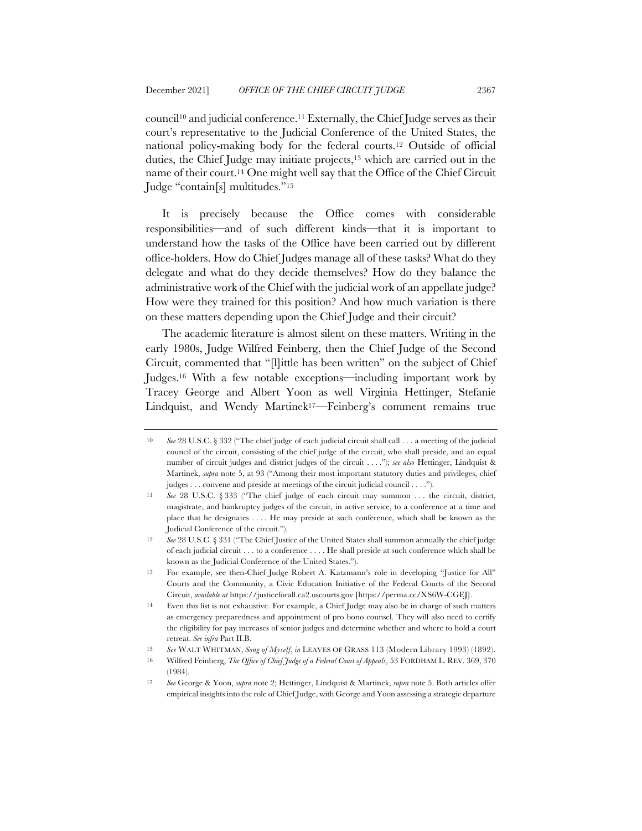council<sup>10</sup> and judicial conference.<sup>11</sup> Externally, the Chief Judge serves as their court's representative to the Judicial Conference of the United States, the national policy-making body for the federal courts.12 Outside of official duties, the Chief Judge may initiate projects,<sup>13</sup> which are carried out in the name of their court.14 One might well say that the Office of the Chief Circuit Judge "contain[s] multitudes."15

It is precisely because the Office comes with considerable responsibilities—and of such different kinds—that it is important to understand how the tasks of the Office have been carried out by different office-holders. How do Chief Judges manage all of these tasks? What do they delegate and what do they decide themselves? How do they balance the administrative work of the Chief with the judicial work of an appellate judge? How were they trained for this position? And how much variation is there on these matters depending upon the Chief Judge and their circuit?

The academic literature is almost silent on these matters. Writing in the early 1980s, Judge Wilfred Feinberg, then the Chief Judge of the Second Circuit, commented that "[l]ittle has been written" on the subject of Chief Judges.16 With a few notable exceptions—including important work by Tracey George and Albert Yoon as well Virginia Hettinger, Stefanie Lindquist, and Wendy Martinek17—Feinberg's comment remains true

<sup>10</sup> *See* 28 U.S.C. § 332 ("The chief judge of each judicial circuit shall call . . . a meeting of the judicial council of the circuit, consisting of the chief judge of the circuit, who shall preside, and an equal number of circuit judges and district judges of the circuit . . . ."); *see also* Hettinger, Lindquist & Martinek, *supra* note 5, at 93 ("Among their most important statutory duties and privileges, chief judges . . . convene and preside at meetings of the circuit judicial council . . . .").

<sup>11</sup> *See* 28 U.S.C. § 333 ("The chief judge of each circuit may summon . . . the circuit, district, magistrate, and bankruptcy judges of the circuit, in active service, to a conference at a time and place that he designates . . . . He may preside at such conference, which shall be known as the Judicial Conference of the circuit.").

<sup>12</sup> *See* 28 U.S.C. § 331 ("The Chief Justice of the United States shall summon annually the chief judge of each judicial circuit . . . to a conference . . . . He shall preside at such conference which shall be known as the Judicial Conference of the United States.").

<sup>13</sup> For example, see then-Chief Judge Robert A. Katzmann's role in developing "Justice for All" Courts and the Community, a Civic Education Initiative of the Federal Courts of the Second Circuit, *available at* https://justiceforall.ca2.uscourts.gov [https://perma.cc/XS6W-CGEJ].

<sup>14</sup> Even this list is not exhaustive. For example, a Chief Judge may also be in charge of such matters as emergency preparedness and appointment of pro bono counsel. They will also need to certify the eligibility for pay increases of senior judges and determine whether and where to hold a court retreat. *See infra* Part II.B.

<sup>15</sup> *See* WALT WHITMAN, *Song of Myself*, *in* LEAVES OF GRASS 113 (Modern Library 1993) (1892).

<sup>16</sup> Wilfred Feinberg, *The Office of Chief Judge of a Federal Court of Appeals*, 53 FORDHAM L. REV. 369, 370 (1984).

<sup>17</sup> *See* George & Yoon, *supra* note 2; Hettinger, Lindquist & Martinek, *supra* note 5. Both articles offer empirical insights into the role of Chief Judge, with George and Yoon assessing a strategic departure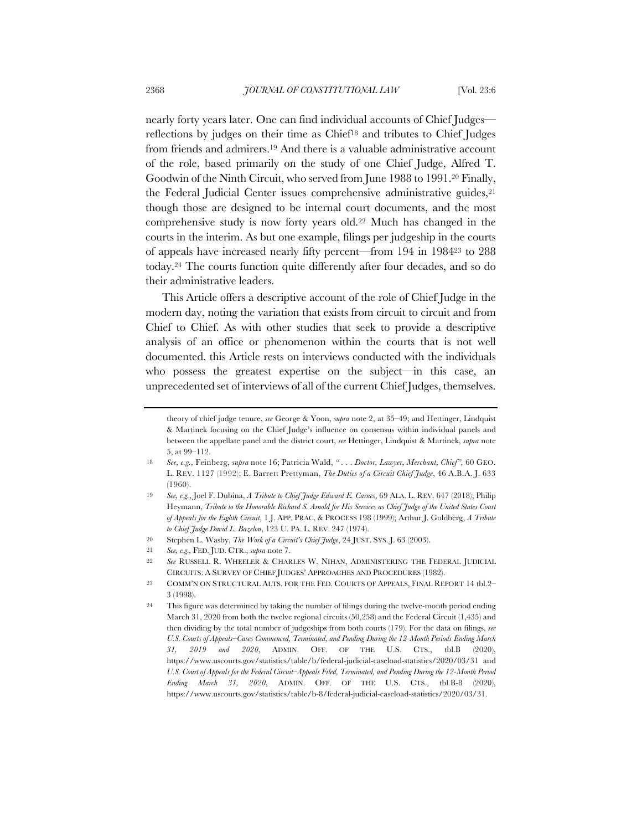nearly forty years later. One can find individual accounts of Chief Judges reflections by judges on their time as Chief18 and tributes to Chief Judges from friends and admirers.19 And there is a valuable administrative account of the role, based primarily on the study of one Chief Judge, Alfred T. Goodwin of the Ninth Circuit, who served from June 1988 to 1991.20 Finally, the Federal Judicial Center issues comprehensive administrative guides,<sup>21</sup> though those are designed to be internal court documents, and the most comprehensive study is now forty years old.22 Much has changed in the courts in the interim. As but one example, filings per judgeship in the courts of appeals have increased nearly fifty percent—from 194 in 198423 to 288 today.24 The courts function quite differently after four decades, and so do their administrative leaders.

This Article offers a descriptive account of the role of Chief Judge in the modern day, noting the variation that exists from circuit to circuit and from Chief to Chief. As with other studies that seek to provide a descriptive analysis of an office or phenomenon within the courts that is not well documented, this Article rests on interviews conducted with the individuals who possess the greatest expertise on the subject—in this case, an unprecedented set of interviews of all of the current Chief Judges, themselves.

theory of chief judge tenure, *see* George & Yoon, *supra* note 2, at 35–49; and Hettinger, Lindquist & Martinek focusing on the Chief Judge's influence on consensus within individual panels and between the appellate panel and the district court, *see* Hettinger, Lindquist & Martinek, *supra* note 5, at 99–112.

<sup>18</sup> *See, e.g.,* Feinberg, *supra* note 16; Patricia Wald, *" . . . Doctor, Lawyer, Merchant, Chief",* 60 GEO. L. REV. 1127 (1992); E. Barrett Prettyman, *The Duties of a Circuit Chief Judge*, 46 A.B.A. J. 633 (1960).

<sup>19</sup> *See, e.g.*, Joel F. Dubina, *A Tribute to Chief Judge Edward E. Carnes*, 69 ALA. L. REV. 647 (2018); Philip Heymann, *Tribute to the Honorable Richard S. Arnold for His Services as Chief Judge of the United States Court of Appeals for the Eighth Circuit*, 1 J. APP. PRAC. & PROCESS 198 (1999); Arthur J. Goldberg, *A Tribute to Chief Judge David L. Bazelon*, 123 U. PA. L. REV. 247 (1974).

<sup>20</sup> Stephen L. Wasby, *The Work of a Circuit's Chief Judge*, 24 JUST. SYS. J. 63 (2003).

<sup>21</sup> *See, e.g.,* FED. JUD. CTR., *supra* note 7.

<sup>22</sup> *See* RUSSELL R. WHEELER & CHARLES W. NIHAN, ADMINISTERING THE FEDERAL JUDICIAL CIRCUITS: A SURVEY OF CHIEF JUDGES' APPROACHES AND PROCEDURES (1982).

<sup>23</sup> COMM'N ON STRUCTURAL ALTS. FOR THE FED. COURTS OF APPEALS, FINAL REPORT 14 tbl.2– 3 (1998).

<sup>24</sup> This figure was determined by taking the number of filings during the twelve-month period ending March 31, 2020 from both the twelve regional circuits (50,258) and the Federal Circuit (1,435) and then dividing by the total number of judgeships from both courts (179). For the data on filings, *see U.S. Courts of Appeals–Cases Commenced, Terminated, and Pending During the 12-Month Periods Ending March 31, 2019 and 2020*, ADMIN. OFF. OF THE U.S. CTS., tbl.B (2020), https://www.uscourts.gov/statistics/table/b/federal-judicial-caseload-statistics/2020/03/31 and *U.S. Court of Appeals for the Federal Circuit–Appeals Filed, Terminated, and Pending During the 12-Month Period Ending March 31, 2020*, ADMIN. OFF. OF THE U.S. CTS., tbl.B-8 (2020), https://www.uscourts.gov/statistics/table/b-8/federal-judicial-caseload-statistics/2020/03/31.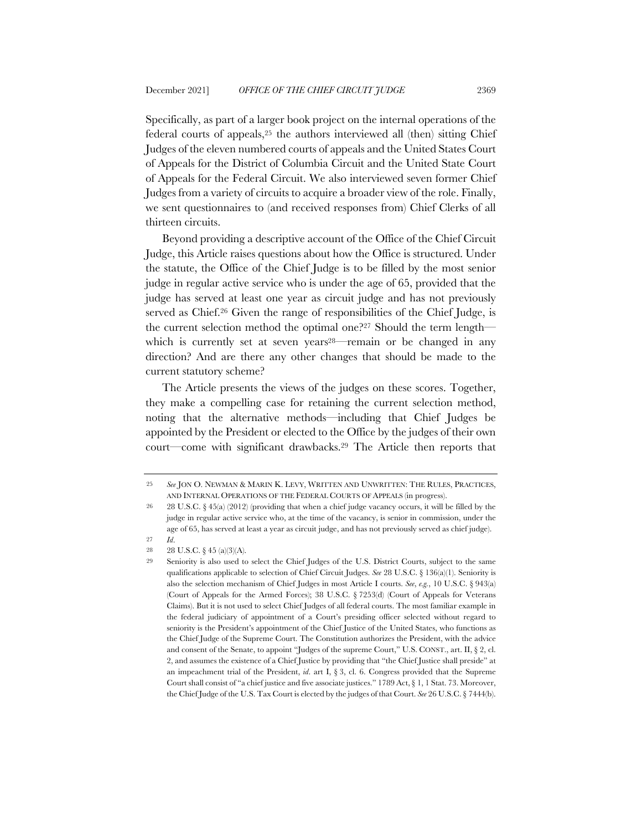Specifically, as part of a larger book project on the internal operations of the federal courts of appeals,25 the authors interviewed all (then) sitting Chief Judges of the eleven numbered courts of appeals and the United States Court of Appeals for the District of Columbia Circuit and the United State Court of Appeals for the Federal Circuit. We also interviewed seven former Chief Judges from a variety of circuits to acquire a broader view of the role. Finally, we sent questionnaires to (and received responses from) Chief Clerks of all thirteen circuits.

Beyond providing a descriptive account of the Office of the Chief Circuit Judge, this Article raises questions about how the Office is structured. Under the statute, the Office of the Chief Judge is to be filled by the most senior judge in regular active service who is under the age of 65, provided that the judge has served at least one year as circuit judge and has not previously served as Chief.26 Given the range of responsibilities of the Chief Judge, is the current selection method the optimal one?27 Should the term length which is currently set at seven years<sup>28—</sup>remain or be changed in any direction? And are there any other changes that should be made to the current statutory scheme?

The Article presents the views of the judges on these scores. Together, they make a compelling case for retaining the current selection method, noting that the alternative methods—including that Chief Judges be appointed by the President or elected to the Office by the judges of their own court—come with significant drawbacks.29 The Article then reports that

<sup>25</sup> *See* JON O. NEWMAN & MARIN K. LEVY, WRITTEN AND UNWRITTEN: THE RULES, PRACTICES, AND INTERNAL OPERATIONS OF THE FEDERAL COURTS OF APPEALS (in progress).

<sup>26</sup> 28 U.S.C. § 45(a) (2012) (providing that when a chief judge vacancy occurs, it will be filled by the judge in regular active service who, at the time of the vacancy, is senior in commission, under the age of 65, has served at least a year as circuit judge, and has not previously served as chief judge).

<sup>27</sup> *Id*.

<sup>28</sup> 28 U.S.C. § 45 (a)(3)(A).

<sup>29</sup> Seniority is also used to select the Chief Judges of the U.S. District Courts, subject to the same qualifications applicable to selection of Chief Circuit Judges. *See* 28 U.S.C. § 136(a)(1). Seniority is also the selection mechanism of Chief Judges in most Article I courts. *See*, *e.g.*, 10 U.S.C. § 943(a) (Court of Appeals for the Armed Forces); 38 U.S.C. § 7253(d) (Court of Appeals for Veterans Claims). But it is not used to select Chief Judges of all federal courts. The most familiar example in the federal judiciary of appointment of a Court's presiding officer selected without regard to seniority is the President's appointment of the Chief Justice of the United States, who functions as the Chief Judge of the Supreme Court. The Constitution authorizes the President, with the advice and consent of the Senate, to appoint "Judges of the supreme Court," U.S. CONST., art. II, § 2, cl. 2, and assumes the existence of a Chief Justice by providing that "the Chief Justice shall preside" at an impeachment trial of the President, *id*. art I, § 3, cl. 6. Congress provided that the Supreme Court shall consist of "a chief justice and five associate justices." 1789 Act, § 1, 1 Stat. 73. Moreover, the Chief Judge of the U.S. Tax Court is elected by the judges of that Court. *See* 26 U.S.C. § 7444(b).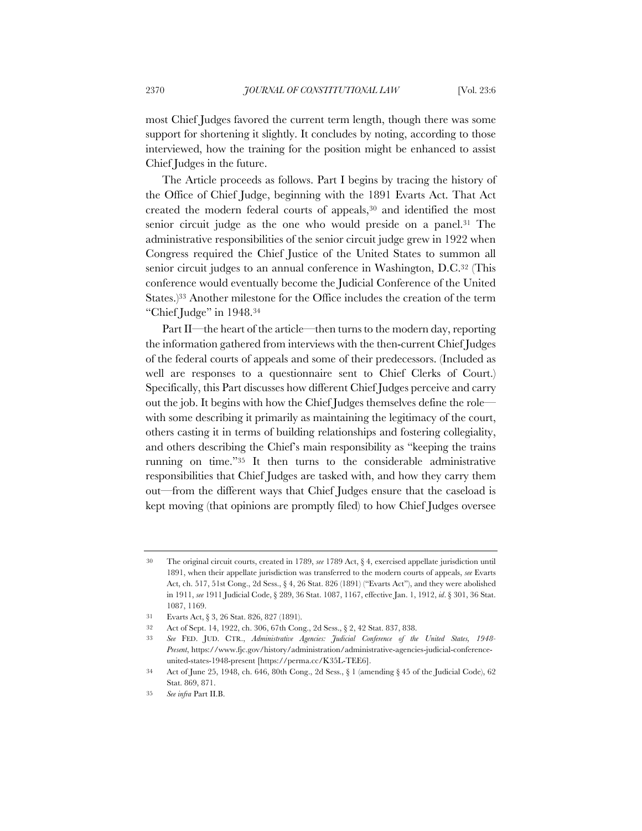most Chief Judges favored the current term length, though there was some support for shortening it slightly. It concludes by noting, according to those interviewed, how the training for the position might be enhanced to assist Chief Judges in the future.

The Article proceeds as follows. Part I begins by tracing the history of the Office of Chief Judge, beginning with the 1891 Evarts Act. That Act created the modern federal courts of appeals,30 and identified the most senior circuit judge as the one who would preside on a panel.<sup>31</sup> The administrative responsibilities of the senior circuit judge grew in 1922 when Congress required the Chief Justice of the United States to summon all senior circuit judges to an annual conference in Washington, D.C.32 (This conference would eventually become the Judicial Conference of the United States.)33 Another milestone for the Office includes the creation of the term "Chief Judge" in 1948.34

Part II—the heart of the article—then turns to the modern day, reporting the information gathered from interviews with the then-current Chief Judges of the federal courts of appeals and some of their predecessors. (Included as well are responses to a questionnaire sent to Chief Clerks of Court.) Specifically, this Part discusses how different Chief Judges perceive and carry out the job. It begins with how the Chief Judges themselves define the role with some describing it primarily as maintaining the legitimacy of the court, others casting it in terms of building relationships and fostering collegiality, and others describing the Chief's main responsibility as "keeping the trains running on time."35 It then turns to the considerable administrative responsibilities that Chief Judges are tasked with, and how they carry them out—from the different ways that Chief Judges ensure that the caseload is kept moving (that opinions are promptly filed) to how Chief Judges oversee

<sup>30</sup> The original circuit courts, created in 1789, *see* 1789 Act, § 4, exercised appellate jurisdiction until 1891, when their appellate jurisdiction was transferred to the modern courts of appeals, *see* Evarts Act, ch. 517, 51st Cong., 2d Sess., § 4, 26 Stat. 826 (1891) ("Evarts Act"), and they were abolished in 1911, *see* 1911 Judicial Code, § 289, 36 Stat. 1087, 1167, effective Jan. 1, 1912, *id*. § 301, 36 Stat. 1087, 1169.

<sup>31</sup> Evarts Act, § 3, 26 Stat. 826, 827 (1891).

<sup>32</sup> Act of Sept. 14, 1922, ch. 306, 67th Cong., 2d Sess., § 2, 42 Stat. 837, 838.

<sup>33</sup> *See* FED. JUD. CTR., *Administrative Agencies: Judicial Conference of the United States, 1948- Present*, https://www.fjc.gov/history/administration/administrative-agencies-judicial-conferenceunited-states-1948-present [https://perma.cc/K35L-TEE6].

<sup>34</sup> Act of June 25, 1948, ch. 646, 80th Cong., 2d Sess., § 1 (amending § 45 of the Judicial Code), 62 Stat. 869, 871.

<sup>35</sup> *See infra* Part II.B.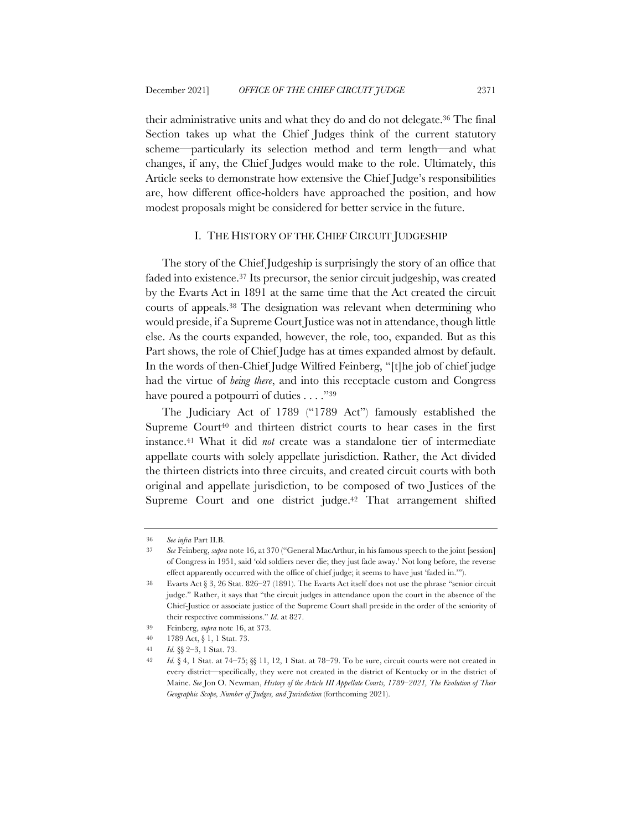their administrative units and what they do and do not delegate.36 The final Section takes up what the Chief Judges think of the current statutory scheme—particularly its selection method and term length—and what changes, if any, the Chief Judges would make to the role. Ultimately, this Article seeks to demonstrate how extensive the Chief Judge's responsibilities are, how different office-holders have approached the position, and how modest proposals might be considered for better service in the future.

## I. THE HISTORY OF THE CHIEF CIRCUIT JUDGESHIP

The story of the Chief Judgeship is surprisingly the story of an office that faded into existence.37 Its precursor, the senior circuit judgeship, was created by the Evarts Act in 1891 at the same time that the Act created the circuit courts of appeals.38 The designation was relevant when determining who would preside, if a Supreme Court Justice was not in attendance, though little else. As the courts expanded, however, the role, too, expanded. But as this Part shows, the role of Chief Judge has at times expanded almost by default. In the words of then-Chief Judge Wilfred Feinberg, "[t]he job of chief judge had the virtue of *being there*, and into this receptacle custom and Congress have poured a potpourri of duties . . . . "39

The Judiciary Act of 1789 ("1789 Act") famously established the Supreme Court<sup>40</sup> and thirteen district courts to hear cases in the first instance.41 What it did *not* create was a standalone tier of intermediate appellate courts with solely appellate jurisdiction. Rather, the Act divided the thirteen districts into three circuits, and created circuit courts with both original and appellate jurisdiction, to be composed of two Justices of the Supreme Court and one district judge.<sup>42</sup> That arrangement shifted

<sup>36</sup> *See infra* Part II.B.

<sup>37</sup> *See* Feinberg, *supra* note 16, at 370 ("General MacArthur, in his famous speech to the joint [session] of Congress in 1951, said 'old soldiers never die; they just fade away.' Not long before, the reverse effect apparently occurred with the office of chief judge; it seems to have just 'faded in.'").

<sup>38</sup> Evarts Act § 3, 26 Stat. 826–27 (1891). The Evarts Act itself does not use the phrase "senior circuit judge." Rather, it says that "the circuit judges in attendance upon the court in the absence of the Chief-Justice or associate justice of the Supreme Court shall preside in the order of the seniority of their respective commissions." *Id*. at 827.

<sup>39</sup> Feinberg, *supra* note 16, at 373.

<sup>40</sup> 1789 Act, § 1, 1 Stat. 73.

<sup>41</sup> *Id.* §§ 2–3, 1 Stat. 73.

<sup>42</sup> *Id.* § 4, 1 Stat. at 74–75; §§ 11, 12, 1 Stat. at 78–79. To be sure, circuit courts were not created in every district—specifically, they were not created in the district of Kentucky or in the district of Maine. *See* Jon O. Newman, *History of the Article III Appellate Courts, 1789–2021, The Evolution of Their Geographic Scope, Number of Judges, and Jurisdiction* (forthcoming 2021).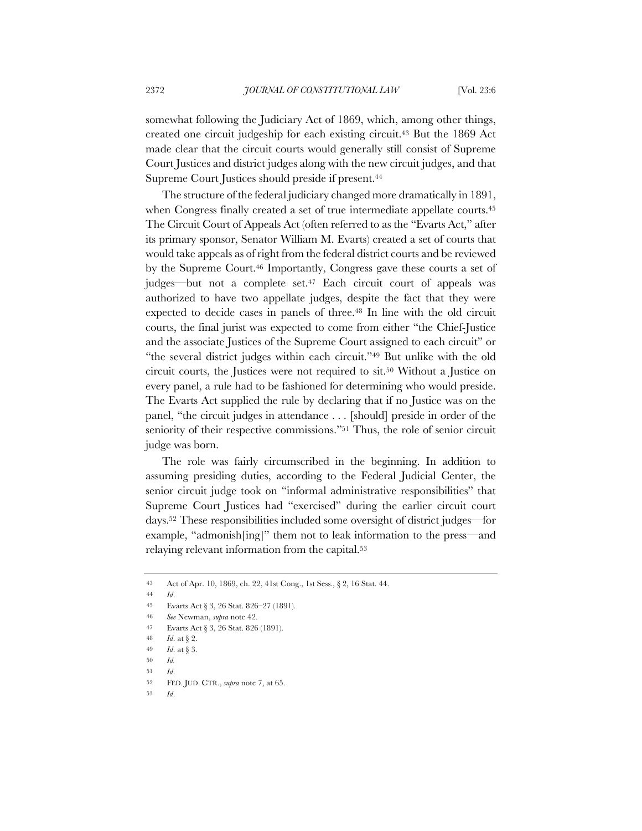somewhat following the Judiciary Act of 1869, which, among other things, created one circuit judgeship for each existing circuit.43 But the 1869 Act made clear that the circuit courts would generally still consist of Supreme Court Justices and district judges along with the new circuit judges, and that Supreme Court Justices should preside if present.44

The structure of the federal judiciary changed more dramatically in 1891, when Congress finally created a set of true intermediate appellate courts.<sup>45</sup> The Circuit Court of Appeals Act (often referred to as the "Evarts Act," after its primary sponsor, Senator William M. Evarts) created a set of courts that would take appeals as of right from the federal district courts and be reviewed by the Supreme Court.<sup>46</sup> Importantly, Congress gave these courts a set of judges—but not a complete set.47 Each circuit court of appeals was authorized to have two appellate judges, despite the fact that they were expected to decide cases in panels of three.48 In line with the old circuit courts, the final jurist was expected to come from either "the Chief-Justice and the associate Justices of the Supreme Court assigned to each circuit" or "the several district judges within each circuit."49 But unlike with the old circuit courts, the Justices were not required to sit.50 Without a Justice on every panel, a rule had to be fashioned for determining who would preside. The Evarts Act supplied the rule by declaring that if no Justice was on the panel, "the circuit judges in attendance . . . [should] preside in order of the seniority of their respective commissions."51 Thus, the role of senior circuit judge was born.

The role was fairly circumscribed in the beginning. In addition to assuming presiding duties, according to the Federal Judicial Center, the senior circuit judge took on "informal administrative responsibilities" that Supreme Court Justices had "exercised" during the earlier circuit court days.52 These responsibilities included some oversight of district judges—for example, "admonish[ing]" them not to leak information to the press—and relaying relevant information from the capital.53

<sup>43</sup> Act of Apr. 10, 1869, ch. 22, 41st Cong., 1st Sess., § 2, 16 Stat. 44.

<sup>44</sup> *Id*.

<sup>45</sup> Evarts Act § 3, 26 Stat. 826–27 (1891).

<sup>46</sup> *See* Newman, *supra* note 42.

<sup>47</sup> Evarts Act § 3, 26 Stat. 826 (1891).

<sup>48</sup> *Id*. at § 2.

<sup>49</sup> *Id*. at § 3.

<sup>50</sup> *Id.*

<sup>51</sup> *Id*.

<sup>52</sup> FED. JUD. CTR., *supra* note 7, at 65.

<sup>53</sup> *Id*.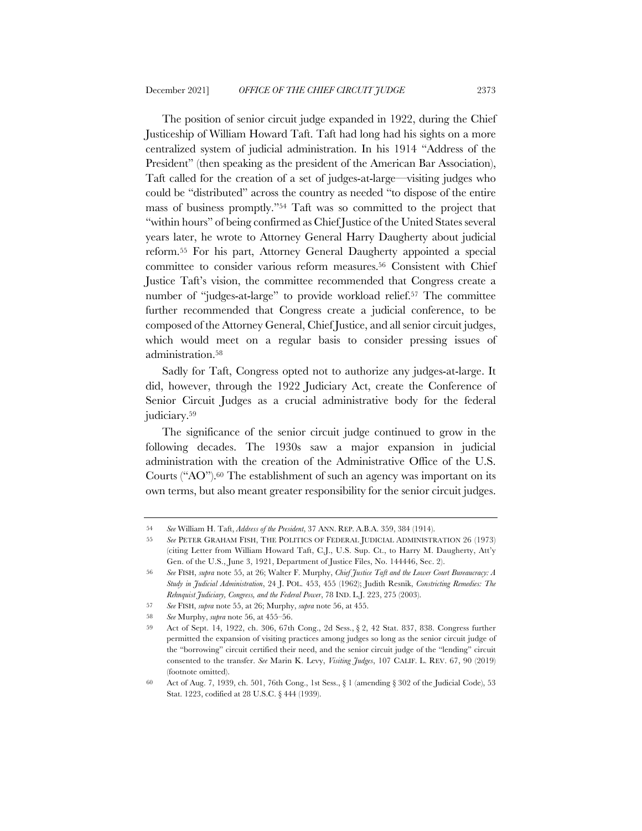The position of senior circuit judge expanded in 1922, during the Chief Justiceship of William Howard Taft. Taft had long had his sights on a more centralized system of judicial administration. In his 1914 "Address of the President" (then speaking as the president of the American Bar Association), Taft called for the creation of a set of judges-at-large—visiting judges who could be "distributed" across the country as needed "to dispose of the entire mass of business promptly."54 Taft was so committed to the project that "within hours" of being confirmed as Chief Justice of the United States several years later, he wrote to Attorney General Harry Daugherty about judicial reform.55 For his part, Attorney General Daugherty appointed a special committee to consider various reform measures.56 Consistent with Chief Justice Taft's vision, the committee recommended that Congress create a number of "judges-at-large" to provide workload relief.<sup>57</sup> The committee further recommended that Congress create a judicial conference, to be composed of the Attorney General, Chief Justice, and all senior circuit judges, which would meet on a regular basis to consider pressing issues of administration.58

Sadly for Taft, Congress opted not to authorize any judges-at-large. It did, however, through the 1922 Judiciary Act, create the Conference of Senior Circuit Judges as a crucial administrative body for the federal judiciary.59

The significance of the senior circuit judge continued to grow in the following decades. The 1930s saw a major expansion in judicial administration with the creation of the Administrative Office of the U.S. Courts ("AO").60 The establishment of such an agency was important on its own terms, but also meant greater responsibility for the senior circuit judges.

<sup>54</sup> *See* William H. Taft, *Address of the President*, 37 ANN. REP. A.B.A. 359, 384 (1914).

<sup>55</sup> *See* PETER GRAHAM FISH, THE POLITICS OF FEDERAL JUDICIAL ADMINISTRATION 26 (1973) (citing Letter from William Howard Taft, C.J., U.S. Sup. Ct., to Harry M. Daugherty, Att'y Gen. of the U.S., June 3, 1921, Department of Justice Files, No. 144446, Sec. 2).

<sup>56</sup> *See* FISH, *supra* note 55, at 26; Walter F. Murphy, *Chief Justice Taft and the Lower Court Bureaucracy: A Study in Judicial Administration*, 24 J. POL. 453, 455 (1962); Judith Resnik, *Constricting Remedies: The Rehnquist Judiciary, Congress, and the Federal Power*, 78 IND. L.J. 223, 275 (2003).

<sup>57</sup> *See* FISH, *supra* note 55, at 26; Murphy, *supra* note 56, at 455.

<sup>58</sup> *See* Murphy, *supra* note 56, at 455–56.

<sup>59</sup> Act of Sept. 14, 1922, ch. 306, 67th Cong., 2d Sess., § 2, 42 Stat. 837, 838. Congress further permitted the expansion of visiting practices among judges so long as the senior circuit judge of the "borrowing" circuit certified their need, and the senior circuit judge of the "lending" circuit consented to the transfer. *See* Marin K. Levy, *Visiting Judges*, 107 CALIF. L. REV. 67, 90 (2019) (footnote omitted).

<sup>60</sup> Act of Aug. 7, 1939, ch. 501, 76th Cong., 1st Sess., § 1 (amending § 302 of the Judicial Code), 53 Stat. 1223, codified at 28 U.S.C. § 444 (1939).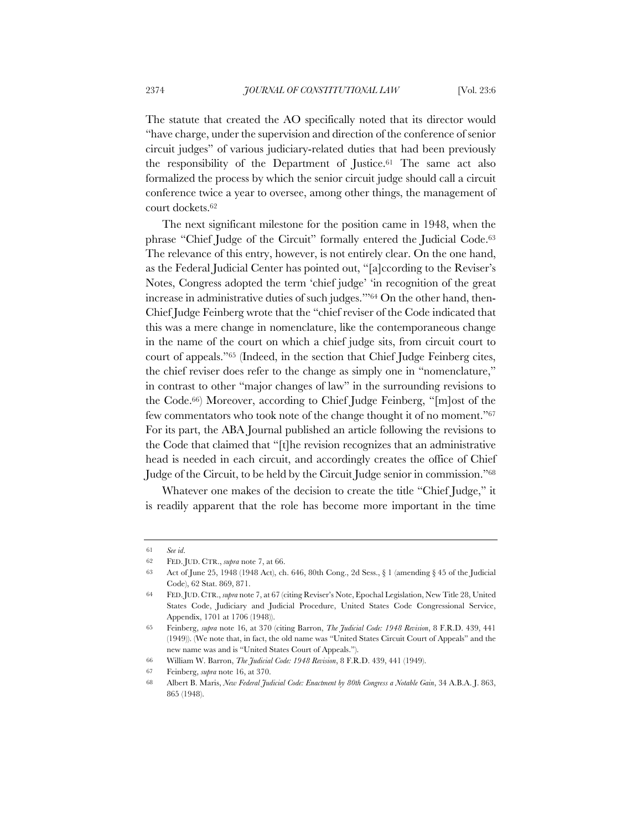The statute that created the AO specifically noted that its director would "have charge, under the supervision and direction of the conference of senior circuit judges" of various judiciary-related duties that had been previously the responsibility of the Department of Justice.61 The same act also formalized the process by which the senior circuit judge should call a circuit conference twice a year to oversee, among other things, the management of court dockets.62

The next significant milestone for the position came in 1948, when the phrase "Chief Judge of the Circuit" formally entered the Judicial Code.63 The relevance of this entry, however, is not entirely clear. On the one hand, as the Federal Judicial Center has pointed out, "[a]ccording to the Reviser's Notes, Congress adopted the term 'chief judge' 'in recognition of the great increase in administrative duties of such judges.'"64 On the other hand, then-Chief Judge Feinberg wrote that the "chief reviser of the Code indicated that this was a mere change in nomenclature, like the contemporaneous change in the name of the court on which a chief judge sits, from circuit court to court of appeals."65 (Indeed, in the section that Chief Judge Feinberg cites, the chief reviser does refer to the change as simply one in "nomenclature," in contrast to other "major changes of law" in the surrounding revisions to the Code.66) Moreover, according to Chief Judge Feinberg, "[m]ost of the few commentators who took note of the change thought it of no moment."67 For its part, the ABA Journal published an article following the revisions to the Code that claimed that "[t]he revision recognizes that an administrative head is needed in each circuit, and accordingly creates the office of Chief Judge of the Circuit, to be held by the Circuit Judge senior in commission."68

Whatever one makes of the decision to create the title "Chief Judge," it is readily apparent that the role has become more important in the time

<sup>61</sup> *See id*.

<sup>62</sup> FED. JUD. CTR., *supra* note 7, at 66.

<sup>63</sup> Act of June 25, 1948 (1948 Act), ch. 646, 80th Cong., 2d Sess., § 1 (amending § 45 of the Judicial Code), 62 Stat. 869, 871.

<sup>64</sup> FED.JUD. CTR., *supra* note 7, at 67 (citing Reviser's Note, Epochal Legislation, New Title 28, United States Code, Judiciary and Judicial Procedure, United States Code Congressional Service, Appendix, 1701 at 1706 (1948)).

<sup>65</sup> Feinberg, *supra* note 16, at 370 (citing Barron, *The Judicial Code: 1948 Revision*, 8 F.R.D. 439, 441 (1949)). (We note that, in fact, the old name was "United States Circuit Court of Appeals" and the new name was and is "United States Court of Appeals.").

<sup>66</sup> William W. Barron, *The Judicial Code: 1948 Revision*, 8 F.R.D. 439, 441 (1949).

<sup>67</sup> Feinberg, *supra* note 16, at 370.

<sup>68</sup> Albert B. Maris, *New Federal Judicial Code: Enactment by 80th Congress a Notable Gain*, 34 A.B.A. J. 863, 865 (1948).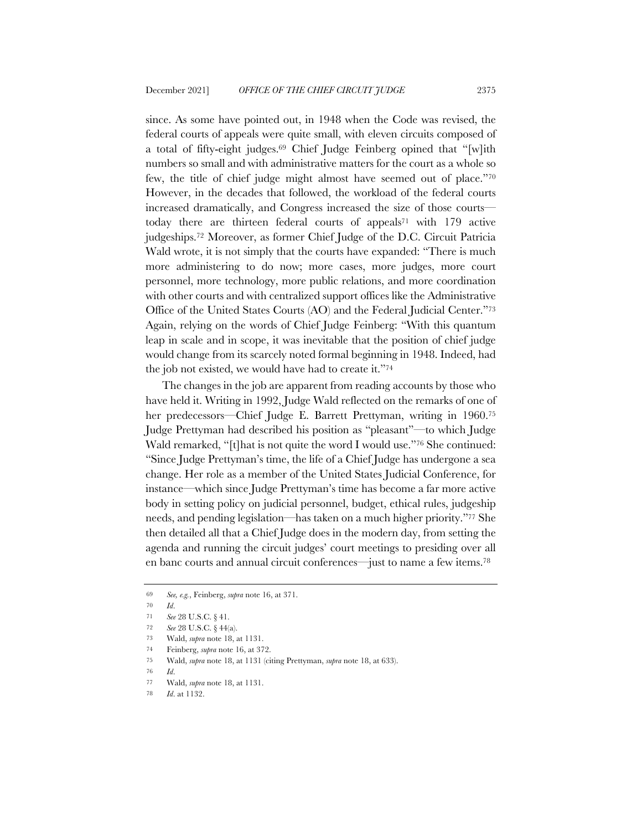since. As some have pointed out, in 1948 when the Code was revised, the federal courts of appeals were quite small, with eleven circuits composed of a total of fifty-eight judges.69 Chief Judge Feinberg opined that "[w]ith numbers so small and with administrative matters for the court as a whole so few, the title of chief judge might almost have seemed out of place."70 However, in the decades that followed, the workload of the federal courts increased dramatically, and Congress increased the size of those courts today there are thirteen federal courts of appeals71 with 179 active judgeships.72 Moreover, as former Chief Judge of the D.C. Circuit Patricia Wald wrote, it is not simply that the courts have expanded: "There is much more administering to do now; more cases, more judges, more court personnel, more technology, more public relations, and more coordination with other courts and with centralized support offices like the Administrative Office of the United States Courts (AO) and the Federal Judicial Center."73 Again, relying on the words of Chief Judge Feinberg: "With this quantum leap in scale and in scope, it was inevitable that the position of chief judge would change from its scarcely noted formal beginning in 1948. Indeed, had the job not existed, we would have had to create it."74

The changes in the job are apparent from reading accounts by those who have held it. Writing in 1992, Judge Wald reflected on the remarks of one of her predecessors—Chief Judge E. Barrett Prettyman, writing in 1960.<sup>75</sup> Judge Prettyman had described his position as "pleasant"—to which Judge Wald remarked, "[t]hat is not quite the word I would use."76 She continued: "Since Judge Prettyman's time, the life of a Chief Judge has undergone a sea change. Her role as a member of the United States Judicial Conference, for instance—which since Judge Prettyman's time has become a far more active body in setting policy on judicial personnel, budget, ethical rules, judgeship needs, and pending legislation—has taken on a much higher priority."77 She then detailed all that a Chief Judge does in the modern day, from setting the agenda and running the circuit judges' court meetings to presiding over all en banc courts and annual circuit conferences—just to name a few items.78

<sup>69</sup> *See, e.g.*, Feinberg, *supra* note 16, at 371.

<sup>70</sup> *Id*.

<sup>71</sup> *See* 28 U.S.C. § 41.

<sup>72</sup> *See* 28 U.S.C. § 44(a).

<sup>73</sup> Wald, *supra* note 18, at 1131.

<sup>74</sup> Feinberg, *supra* note 16, at 372.

<sup>75</sup> Wald, *supra* note 18, at 1131 (citing Prettyman, *supra* note 18, at 633).

<sup>76</sup> *Id*.

<sup>77</sup> Wald, *supra* note 18, at 1131.

<sup>78</sup> *Id*. at 1132.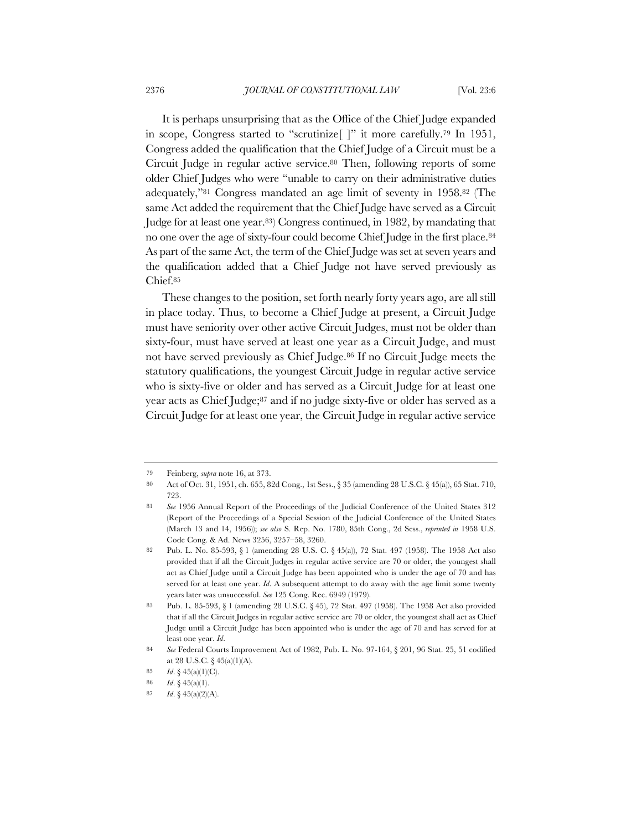It is perhaps unsurprising that as the Office of the Chief Judge expanded in scope, Congress started to "scrutinize[ ]" it more carefully.79 In 1951, Congress added the qualification that the Chief Judge of a Circuit must be a Circuit Judge in regular active service.80 Then, following reports of some older Chief Judges who were "unable to carry on their administrative duties adequately,"81 Congress mandated an age limit of seventy in 1958.82 (The same Act added the requirement that the Chief Judge have served as a Circuit Judge for at least one year.83) Congress continued, in 1982, by mandating that no one over the age of sixty-four could become Chief Judge in the first place.84 As part of the same Act, the term of the Chief Judge was set at seven years and the qualification added that a Chief Judge not have served previously as Chief.85

These changes to the position, set forth nearly forty years ago, are all still in place today. Thus, to become a Chief Judge at present, a Circuit Judge must have seniority over other active Circuit Judges, must not be older than sixty-four, must have served at least one year as a Circuit Judge, and must not have served previously as Chief Judge.86 If no Circuit Judge meets the statutory qualifications, the youngest Circuit Judge in regular active service who is sixty-five or older and has served as a Circuit Judge for at least one year acts as Chief Judge;87 and if no judge sixty-five or older has served as a Circuit Judge for at least one year, the Circuit Judge in regular active service

<sup>79</sup> Feinberg, *supra* note 16, at 373.

<sup>80</sup> Act of Oct. 31, 1951, ch. 655, 82d Cong., 1st Sess., § 35 (amending 28 U.S.C. § 45(a)), 65 Stat. 710, 723.

<sup>81</sup> *See* 1956 Annual Report of the Proceedings of the Judicial Conference of the United States 312 (Report of the Proceedings of a Special Session of the Judicial Conference of the United States (March 13 and 14, 1956)); *see also* S. Rep. No. 1780, 85th Cong., 2d Sess., *reprinted in* 1958 U.S. Code Cong. & Ad. News 3256, 3257–58, 3260.

<sup>82</sup> Pub. L. No. 85-593, § 1 (amending 28 U.S. C. § 45(a)), 72 Stat. 497 (1958). The 1958 Act also provided that if all the Circuit Judges in regular active service are 70 or older, the youngest shall act as Chief Judge until a Circuit Judge has been appointed who is under the age of 70 and has served for at least one year. *Id*. A subsequent attempt to do away with the age limit some twenty years later was unsuccessful. *See* 125 Cong. Rec. 6949 (1979).

<sup>83</sup> Pub. L. 85-593, § 1 (amending 28 U.S.C. § 45), 72 Stat. 497 (1958). The 1958 Act also provided that if all the Circuit Judges in regular active service are 70 or older, the youngest shall act as Chief Judge until a Circuit Judge has been appointed who is under the age of 70 and has served for at least one year. *Id*.

<sup>84</sup> *See* Federal Courts Improvement Act of 1982, Pub. L. No. 97-164, § 201, 96 Stat. 25, 51 codified at 28 U.S.C.  $\S$  45(a)(1)(A).

<sup>85</sup> *Id*. § 45(a)(1)(C).

<sup>86</sup> *Id*. § 45(a)(1).

<sup>87</sup> *Id*. § 45(a)(2)(A).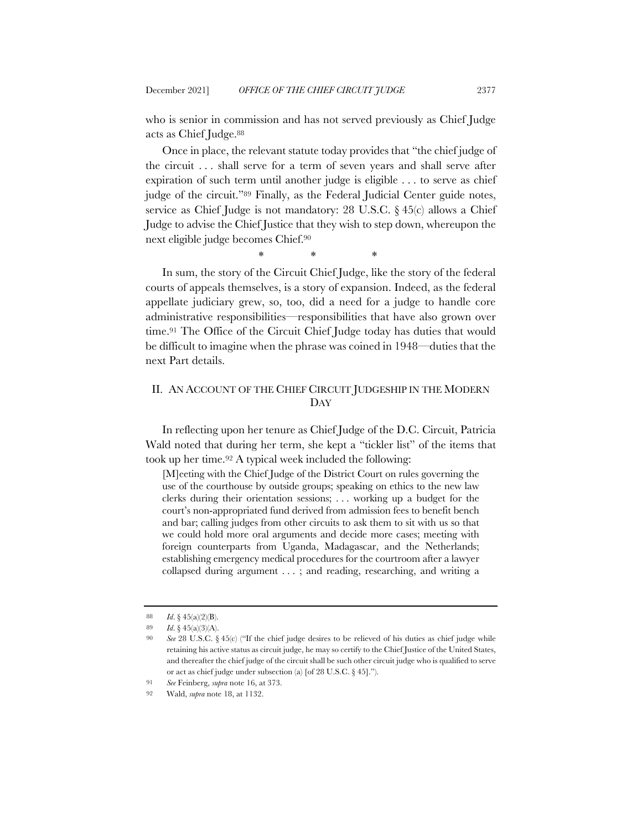who is senior in commission and has not served previously as Chief Judge acts as Chief Judge.88

Once in place, the relevant statute today provides that "the chief judge of the circuit . . . shall serve for a term of seven years and shall serve after expiration of such term until another judge is eligible . . . to serve as chief judge of the circuit."89 Finally, as the Federal Judicial Center guide notes, service as Chief Judge is not mandatory: 28 U.S.C. § 45(c) allows a Chief Judge to advise the Chief Justice that they wish to step down, whereupon the next eligible judge becomes Chief.90

\* \* \*

In sum, the story of the Circuit Chief Judge, like the story of the federal courts of appeals themselves, is a story of expansion. Indeed, as the federal appellate judiciary grew, so, too, did a need for a judge to handle core administrative responsibilities—responsibilities that have also grown over time.91 The Office of the Circuit Chief Judge today has duties that would be difficult to imagine when the phrase was coined in 1948—duties that the next Part details.

# II. AN ACCOUNT OF THE CHIEF CIRCUIT JUDGESHIP IN THE MODERN DAY

In reflecting upon her tenure as Chief Judge of the D.C. Circuit, Patricia Wald noted that during her term, she kept a "tickler list" of the items that took up her time.92 A typical week included the following:

[M]eeting with the Chief Judge of the District Court on rules governing the use of the courthouse by outside groups; speaking on ethics to the new law clerks during their orientation sessions; . . . working up a budget for the court's non-appropriated fund derived from admission fees to benefit bench and bar; calling judges from other circuits to ask them to sit with us so that we could hold more oral arguments and decide more cases; meeting with foreign counterparts from Uganda, Madagascar, and the Netherlands; establishing emergency medical procedures for the courtroom after a lawyer collapsed during argument . . . ; and reading, researching, and writing a

<sup>88</sup> *Id*. § 45(a)(2)(B).

<sup>89</sup> *Id*. § 45(a)(3)(A).

<sup>90</sup> *See* 28 U.S.C. § 45(c) ("If the chief judge desires to be relieved of his duties as chief judge while retaining his active status as circuit judge, he may so certify to the Chief Justice of the United States, and thereafter the chief judge of the circuit shall be such other circuit judge who is qualified to serve or act as chief judge under subsection (a) [of 28 U.S.C. § 45].").

<sup>91</sup> *See* Feinberg, *supra* note 16, at 373.

<sup>92</sup> Wald, *supra* note 18, at 1132.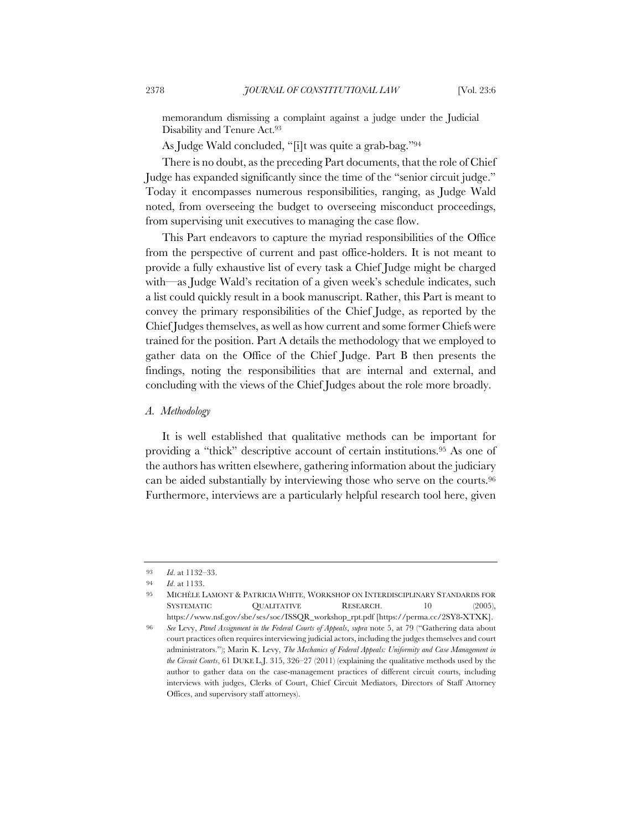memorandum dismissing a complaint against a judge under the Judicial Disability and Tenure Act.93

As Judge Wald concluded, "[i]t was quite a grab-bag."94

There is no doubt, as the preceding Part documents, that the role of Chief Judge has expanded significantly since the time of the "senior circuit judge." Today it encompasses numerous responsibilities, ranging, as Judge Wald noted, from overseeing the budget to overseeing misconduct proceedings, from supervising unit executives to managing the case flow.

This Part endeavors to capture the myriad responsibilities of the Office from the perspective of current and past office-holders. It is not meant to provide a fully exhaustive list of every task a Chief Judge might be charged with—as Judge Wald's recitation of a given week's schedule indicates, such a list could quickly result in a book manuscript. Rather, this Part is meant to convey the primary responsibilities of the Chief Judge, as reported by the Chief Judges themselves, as well as how current and some former Chiefs were trained for the position. Part A details the methodology that we employed to gather data on the Office of the Chief Judge. Part B then presents the findings, noting the responsibilities that are internal and external, and concluding with the views of the Chief Judges about the role more broadly.

### *A. Methodology*

It is well established that qualitative methods can be important for providing a "thick" descriptive account of certain institutions.95 As one of the authors has written elsewhere, gathering information about the judiciary can be aided substantially by interviewing those who serve on the courts.96 Furthermore, interviews are a particularly helpful research tool here, given

<sup>93</sup> *Id*. at 1132–33.

<sup>94</sup> *Id*. at 1133.

<sup>95</sup> MICHÉLE LAMONT & PATRICIA WHITE, WORKSHOP ON INTERDISCIPLINARY STANDARDS FOR SYSTEMATIC QUALITATIVE RESEARCH. 10 (2005), https://www.nsf.gov/sbe/ses/soc/ISSQR\_workshop\_rpt.pdf [https://perma.cc/2SY8-XTXK].

<sup>96</sup> *See* Levy, *Panel Assignment in the Federal Courts of Appeals*, *supra* note 5, at 79 ("Gathering data about court practices often requires interviewing judicial actors, including the judges themselves and court administrators."); Marin K. Levy, *The Mechanics of Federal Appeals: Uniformity and Case Management in the Circuit Courts*, 61 DUKE L.J. 315, 326–27 (2011) (explaining the qualitative methods used by the author to gather data on the case-management practices of different circuit courts, including interviews with judges, Clerks of Court, Chief Circuit Mediators, Directors of Staff Attorney Offices, and supervisory staff attorneys).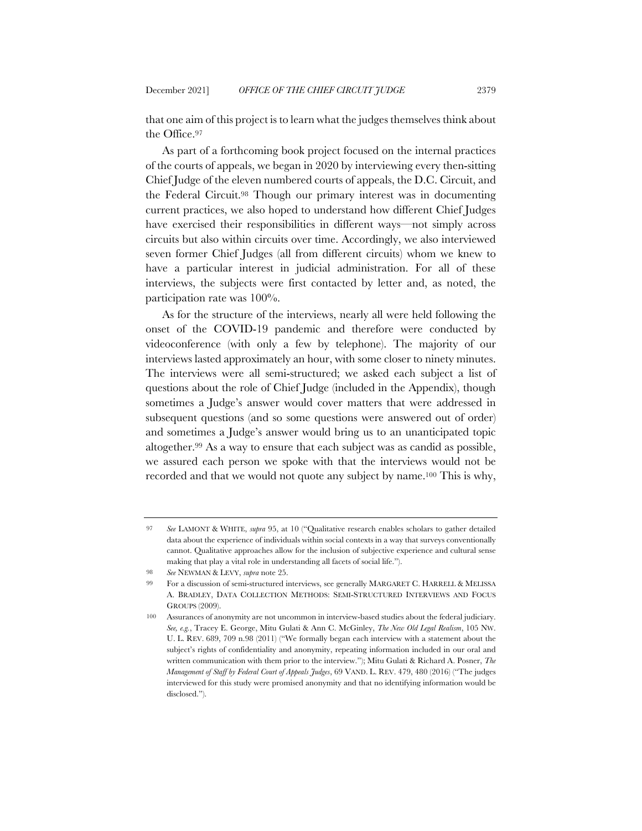that one aim of this project is to learn what the judges themselves think about the Office.97

As part of a forthcoming book project focused on the internal practices of the courts of appeals, we began in 2020 by interviewing every then-sitting Chief Judge of the eleven numbered courts of appeals, the D.C. Circuit, and the Federal Circuit.98 Though our primary interest was in documenting current practices, we also hoped to understand how different Chief Judges have exercised their responsibilities in different ways—not simply across circuits but also within circuits over time. Accordingly, we also interviewed seven former Chief Judges (all from different circuits) whom we knew to have a particular interest in judicial administration. For all of these interviews, the subjects were first contacted by letter and, as noted, the participation rate was 100%.

As for the structure of the interviews, nearly all were held following the onset of the COVID-19 pandemic and therefore were conducted by videoconference (with only a few by telephone). The majority of our interviews lasted approximately an hour, with some closer to ninety minutes. The interviews were all semi-structured; we asked each subject a list of questions about the role of Chief Judge (included in the Appendix), though sometimes a Judge's answer would cover matters that were addressed in subsequent questions (and so some questions were answered out of order) and sometimes a Judge's answer would bring us to an unanticipated topic altogether.99 As a way to ensure that each subject was as candid as possible, we assured each person we spoke with that the interviews would not be recorded and that we would not quote any subject by name.100 This is why,

<sup>97</sup> *See* LAMONT & WHITE, *supra* 95, at 10 ("Qualitative research enables scholars to gather detailed data about the experience of individuals within social contexts in a way that surveys conventionally cannot. Qualitative approaches allow for the inclusion of subjective experience and cultural sense making that play a vital role in understanding all facets of social life.").

<sup>98</sup> *See* NEWMAN & LEVY, *supra* note 25.

<sup>99</sup> For a discussion of semi-structured interviews, see generally MARGARET C. HARRELL & MELISSA A. BRADLEY, DATA COLLECTION METHODS: SEMI-STRUCTURED INTERVIEWS AND FOCUS GROUPS (2009).

<sup>100</sup> Assurances of anonymity are not uncommon in interview-based studies about the federal judiciary. *See, e.g.*, Tracey E. George, Mitu Gulati & Ann C. McGinley, *The New Old Legal Realism*, 105 NW. U. L. REV. 689, 709 n.98 (2011) ("We formally began each interview with a statement about the subject's rights of confidentiality and anonymity, repeating information included in our oral and written communication with them prior to the interview."); Mitu Gulati & Richard A. Posner, *The Management of Staff by Federal Court of Appeals Judges*, 69 VAND. L. REV. 479, 480 (2016) ("The judges interviewed for this study were promised anonymity and that no identifying information would be disclosed.").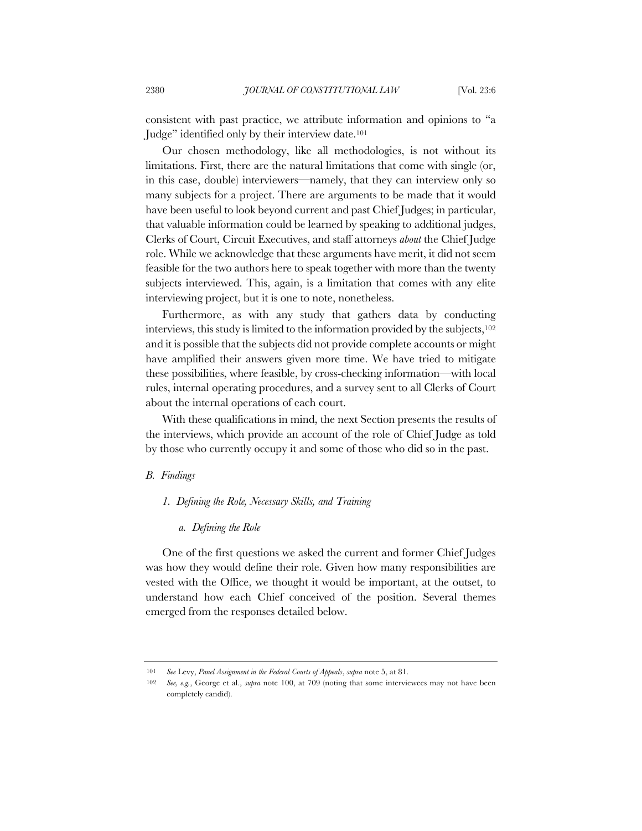consistent with past practice, we attribute information and opinions to "a Judge" identified only by their interview date.101

Our chosen methodology, like all methodologies, is not without its limitations. First, there are the natural limitations that come with single (or, in this case, double) interviewers—namely, that they can interview only so many subjects for a project. There are arguments to be made that it would have been useful to look beyond current and past Chief Judges; in particular, that valuable information could be learned by speaking to additional judges, Clerks of Court, Circuit Executives, and staff attorneys *about* the Chief Judge role. While we acknowledge that these arguments have merit, it did not seem feasible for the two authors here to speak together with more than the twenty subjects interviewed. This, again, is a limitation that comes with any elite interviewing project, but it is one to note, nonetheless.

Furthermore, as with any study that gathers data by conducting interviews, this study is limited to the information provided by the subjects,102 and it is possible that the subjects did not provide complete accounts or might have amplified their answers given more time. We have tried to mitigate these possibilities, where feasible, by cross-checking information—with local rules, internal operating procedures, and a survey sent to all Clerks of Court about the internal operations of each court.

With these qualifications in mind, the next Section presents the results of the interviews, which provide an account of the role of Chief Judge as told by those who currently occupy it and some of those who did so in the past.

### *B. Findings*

### *1. Defining the Role, Necessary Skills, and Training*

#### *a. Defining the Role*

One of the first questions we asked the current and former Chief Judges was how they would define their role. Given how many responsibilities are vested with the Office, we thought it would be important, at the outset, to understand how each Chief conceived of the position. Several themes emerged from the responses detailed below.

<sup>101</sup> *See* Levy, *Panel Assignment in the Federal Courts of Appeals*, *supra* note 5, at 81.

<sup>102</sup> *See, e.g.*, George et al., *supra* note 100, at 709 (noting that some interviewees may not have been completely candid).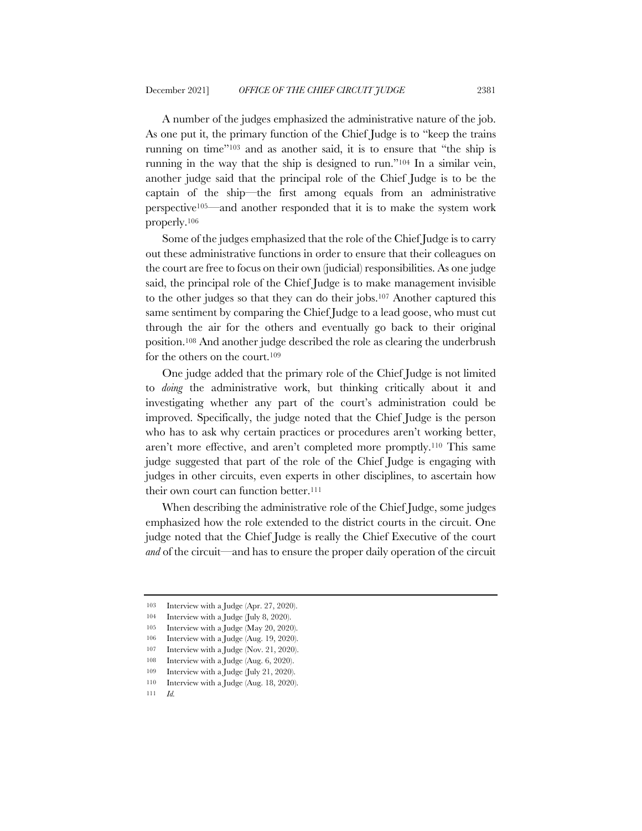A number of the judges emphasized the administrative nature of the job. As one put it, the primary function of the Chief Judge is to "keep the trains running on time"103 and as another said, it is to ensure that "the ship is running in the way that the ship is designed to run."104 In a similar vein, another judge said that the principal role of the Chief Judge is to be the captain of the ship—the first among equals from an administrative perspective105—and another responded that it is to make the system work properly.106

Some of the judges emphasized that the role of the Chief Judge is to carry out these administrative functions in order to ensure that their colleagues on the court are free to focus on their own (judicial) responsibilities. As one judge said, the principal role of the Chief Judge is to make management invisible to the other judges so that they can do their jobs.107 Another captured this same sentiment by comparing the Chief Judge to a lead goose, who must cut through the air for the others and eventually go back to their original position.108 And another judge described the role as clearing the underbrush for the others on the court.109

One judge added that the primary role of the Chief Judge is not limited to *doing* the administrative work, but thinking critically about it and investigating whether any part of the court's administration could be improved. Specifically, the judge noted that the Chief Judge is the person who has to ask why certain practices or procedures aren't working better, aren't more effective, and aren't completed more promptly.110 This same judge suggested that part of the role of the Chief Judge is engaging with judges in other circuits, even experts in other disciplines, to ascertain how their own court can function better.<sup>111</sup>

When describing the administrative role of the Chief Judge, some judges emphasized how the role extended to the district courts in the circuit. One judge noted that the Chief Judge is really the Chief Executive of the court *and* of the circuit—and has to ensure the proper daily operation of the circuit

<sup>103</sup> Interview with a Judge (Apr. 27, 2020).

<sup>104</sup> Interview with a Judge (July 8, 2020).

<sup>105</sup> Interview with a Judge (May 20, 2020).

<sup>106</sup> Interview with a Judge (Aug. 19, 2020).

<sup>107</sup> Interview with a Judge (Nov. 21, 2020).

<sup>108</sup> Interview with a Judge (Aug. 6, 2020).

<sup>109</sup> Interview with a Judge (July 21, 2020).

<sup>110</sup> Interview with a Judge (Aug. 18, 2020).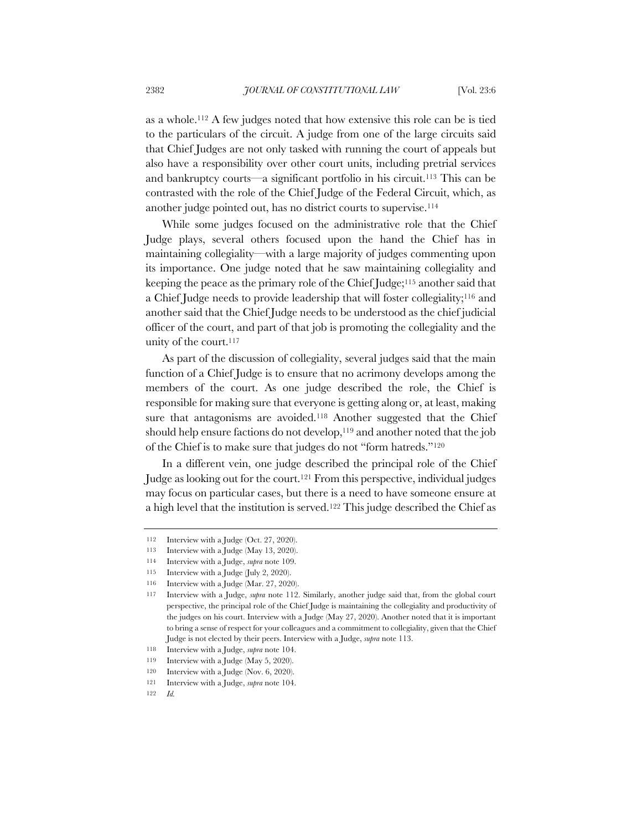as a whole.112 A few judges noted that how extensive this role can be is tied to the particulars of the circuit. A judge from one of the large circuits said that Chief Judges are not only tasked with running the court of appeals but also have a responsibility over other court units, including pretrial services and bankruptcy courts—a significant portfolio in his circuit.113 This can be contrasted with the role of the Chief Judge of the Federal Circuit, which, as another judge pointed out, has no district courts to supervise.114

While some judges focused on the administrative role that the Chief Judge plays, several others focused upon the hand the Chief has in maintaining collegiality—with a large majority of judges commenting upon its importance. One judge noted that he saw maintaining collegiality and keeping the peace as the primary role of the Chief Judge;115 another said that a Chief Judge needs to provide leadership that will foster collegiality;116 and another said that the Chief Judge needs to be understood as the chief judicial officer of the court, and part of that job is promoting the collegiality and the unity of the court.117

As part of the discussion of collegiality, several judges said that the main function of a Chief Judge is to ensure that no acrimony develops among the members of the court. As one judge described the role, the Chief is responsible for making sure that everyone is getting along or, at least, making sure that antagonisms are avoided.<sup>118</sup> Another suggested that the Chief should help ensure factions do not develop,<sup>119</sup> and another noted that the job of the Chief is to make sure that judges do not "form hatreds."120

In a different vein, one judge described the principal role of the Chief Judge as looking out for the court.121 From this perspective, individual judges may focus on particular cases, but there is a need to have someone ensure at a high level that the institution is served.122 This judge described the Chief as

<sup>112</sup> Interview with a Judge (Oct. 27, 2020).

<sup>113</sup> Interview with a Judge (May 13, 2020).

<sup>114</sup> Interview with a Judge, *supra* note 109.

<sup>115</sup> Interview with a Judge (July 2, 2020).

<sup>116</sup> Interview with a Judge (Mar. 27, 2020).

<sup>117</sup> Interview with a Judge, *supra* note 112. Similarly, another judge said that, from the global court perspective, the principal role of the Chief Judge is maintaining the collegiality and productivity of the judges on his court. Interview with a Judge (May 27, 2020). Another noted that it is important to bring a sense of respect for your colleagues and a commitment to collegiality, given that the Chief Judge is not elected by their peers. Interview with a Judge, *supra* note 113.

<sup>118</sup> Interview with a Judge, *supra* note 104.

<sup>119</sup> Interview with a Judge (May 5, 2020).

<sup>120</sup> Interview with a Judge (Nov. 6, 2020).

<sup>121</sup> Interview with a Judge, *supra* note 104.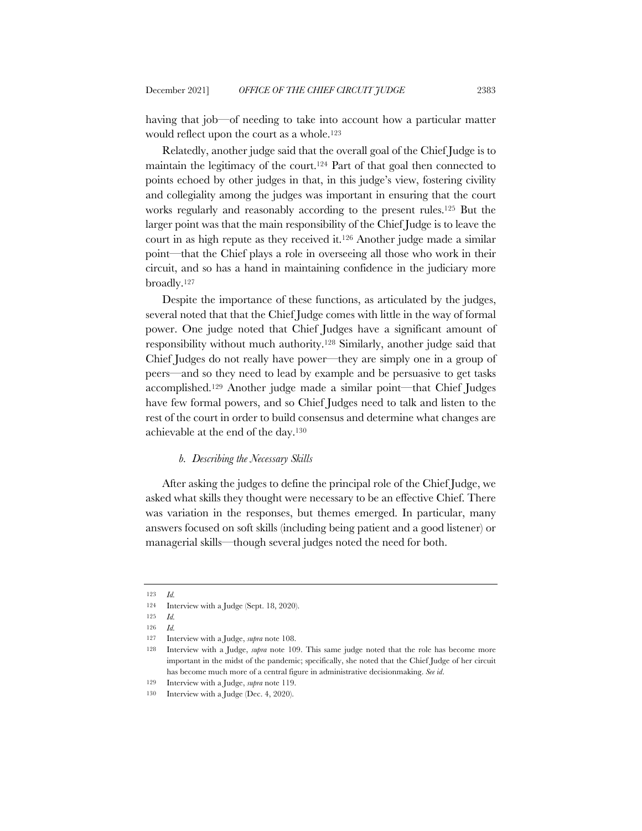having that job—of needing to take into account how a particular matter would reflect upon the court as a whole.123

Relatedly, another judge said that the overall goal of the Chief Judge is to maintain the legitimacy of the court.124 Part of that goal then connected to points echoed by other judges in that, in this judge's view, fostering civility and collegiality among the judges was important in ensuring that the court works regularly and reasonably according to the present rules.125 But the larger point was that the main responsibility of the Chief Judge is to leave the court in as high repute as they received it.126 Another judge made a similar point—that the Chief plays a role in overseeing all those who work in their circuit, and so has a hand in maintaining confidence in the judiciary more broadly.127

Despite the importance of these functions, as articulated by the judges, several noted that that the Chief Judge comes with little in the way of formal power. One judge noted that Chief Judges have a significant amount of responsibility without much authority.128 Similarly, another judge said that Chief Judges do not really have power—they are simply one in a group of peers—and so they need to lead by example and be persuasive to get tasks accomplished.129 Another judge made a similar point—that Chief Judges have few formal powers, and so Chief Judges need to talk and listen to the rest of the court in order to build consensus and determine what changes are achievable at the end of the day.130

### *b. Describing the Necessary Skills*

After asking the judges to define the principal role of the Chief Judge, we asked what skills they thought were necessary to be an effective Chief. There was variation in the responses, but themes emerged. In particular, many answers focused on soft skills (including being patient and a good listener) or managerial skills—though several judges noted the need for both.

<sup>123</sup> *Id.*

<sup>124</sup> Interview with a Judge (Sept. 18, 2020).

<sup>125</sup> *Id.*

<sup>126</sup> *Id.*

<sup>127</sup> Interview with a Judge, *supra* note 108.

<sup>128</sup> Interview with a Judge, *supra* note 109. This same judge noted that the role has become more important in the midst of the pandemic; specifically, she noted that the Chief Judge of her circuit has become much more of a central figure in administrative decisionmaking. *See id*.

<sup>129</sup> Interview with a Judge, *supra* note 119.

<sup>130</sup> Interview with a Judge (Dec. 4, 2020).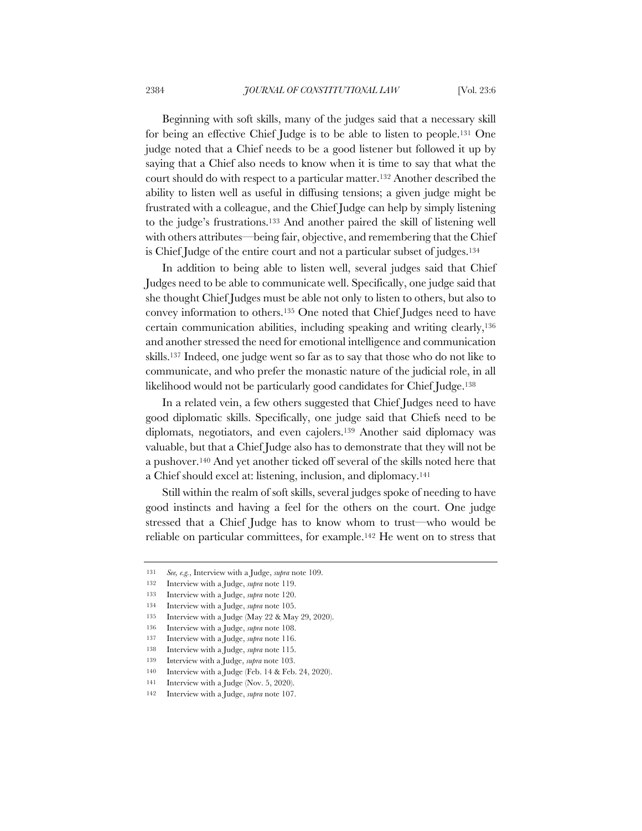Beginning with soft skills, many of the judges said that a necessary skill for being an effective Chief Judge is to be able to listen to people.131 One judge noted that a Chief needs to be a good listener but followed it up by saying that a Chief also needs to know when it is time to say that what the court should do with respect to a particular matter.132 Another described the ability to listen well as useful in diffusing tensions; a given judge might be frustrated with a colleague, and the Chief Judge can help by simply listening to the judge's frustrations.133 And another paired the skill of listening well with others attributes—being fair, objective, and remembering that the Chief is Chief Judge of the entire court and not a particular subset of judges.134

In addition to being able to listen well, several judges said that Chief Judges need to be able to communicate well. Specifically, one judge said that she thought Chief Judges must be able not only to listen to others, but also to convey information to others.135 One noted that Chief Judges need to have certain communication abilities, including speaking and writing clearly,136 and another stressed the need for emotional intelligence and communication skills.137 Indeed, one judge went so far as to say that those who do not like to communicate, and who prefer the monastic nature of the judicial role, in all likelihood would not be particularly good candidates for Chief Judge.138

In a related vein, a few others suggested that Chief Judges need to have good diplomatic skills. Specifically, one judge said that Chiefs need to be diplomats, negotiators, and even cajolers.139 Another said diplomacy was valuable, but that a Chief Judge also has to demonstrate that they will not be a pushover.140 And yet another ticked off several of the skills noted here that a Chief should excel at: listening, inclusion, and diplomacy.141

Still within the realm of soft skills, several judges spoke of needing to have good instincts and having a feel for the others on the court. One judge stressed that a Chief Judge has to know whom to trust—who would be reliable on particular committees, for example.142 He went on to stress that

<sup>131</sup> *See, e.g.*, Interview with a Judge, *supra* note 109.

<sup>132</sup> Interview with a Judge, *supra* note 119.

<sup>133</sup> Interview with a Judge, *supra* note 120.

<sup>134</sup> Interview with a Judge, *supra* note 105.

<sup>135</sup> Interview with a Judge (May 22 & May 29, 2020).

<sup>136</sup> Interview with a Judge, *supra* note 108.

<sup>137</sup> Interview with a Judge, *supra* note 116.

<sup>138</sup> Interview with a Judge, *supra* note 115.

<sup>139</sup> I*n*terview with a Judge, *supra* note 103.

<sup>140</sup> Interview with a Judge (Feb. 14 & Feb. 24, 2020).

<sup>141</sup> Interview with a Judge (Nov. 5, 2020).

<sup>142</sup> Interview with a Judge, *supra* note 107.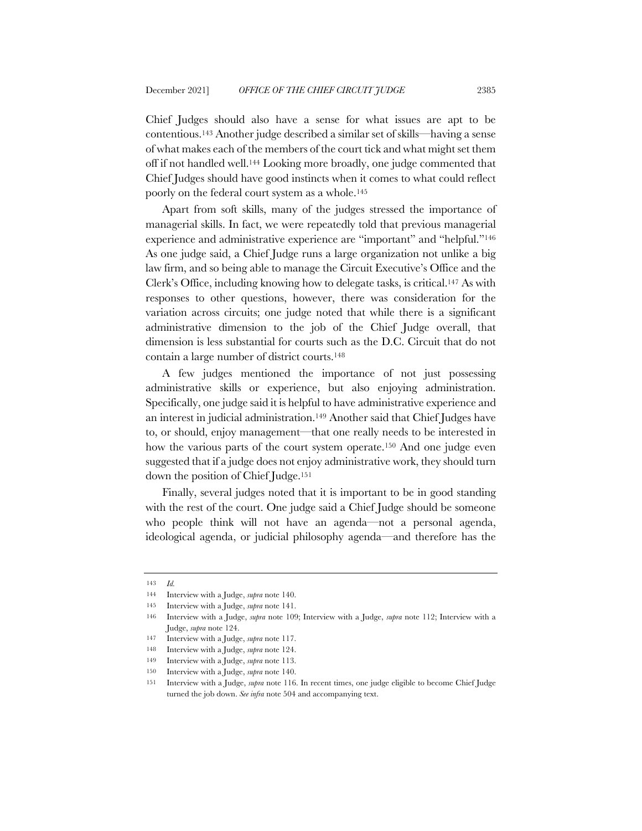Chief Judges should also have a sense for what issues are apt to be contentious.143 Another judge described a similar set of skills—having a sense of what makes each of the members of the court tick and what might set them off if not handled well.144 Looking more broadly, one judge commented that Chief Judges should have good instincts when it comes to what could reflect poorly on the federal court system as a whole.145

Apart from soft skills, many of the judges stressed the importance of managerial skills. In fact, we were repeatedly told that previous managerial experience and administrative experience are "important" and "helpful."146 As one judge said, a Chief Judge runs a large organization not unlike a big law firm, and so being able to manage the Circuit Executive's Office and the Clerk's Office, including knowing how to delegate tasks, is critical.147 As with responses to other questions, however, there was consideration for the variation across circuits; one judge noted that while there is a significant administrative dimension to the job of the Chief Judge overall, that dimension is less substantial for courts such as the D.C. Circuit that do not contain a large number of district courts.148

A few judges mentioned the importance of not just possessing administrative skills or experience, but also enjoying administration. Specifically, one judge said it is helpful to have administrative experience and an interest in judicial administration.149 Another said that Chief Judges have to, or should, enjoy management—that one really needs to be interested in how the various parts of the court system operate.150 And one judge even suggested that if a judge does not enjoy administrative work, they should turn down the position of Chief Judge.151

Finally, several judges noted that it is important to be in good standing with the rest of the court. One judge said a Chief Judge should be someone who people think will not have an agenda—not a personal agenda, ideological agenda, or judicial philosophy agenda—and therefore has the

<sup>143</sup> *Id.*

<sup>144</sup> Interview with a Judge, *supra* note 140.

<sup>145</sup> Interview with a Judge, *supra* note 141.

<sup>146</sup> Interview with a Judge, *supra* note 109; Interview with a Judge, *supra* note 112; Interview with a Judge, *supra* note 124.

<sup>147</sup> Interview with a Judge, *supra* note 117.

<sup>148</sup> Interview with a Judge, *supra* note 124.

<sup>149</sup> Interview with a Judge, *supra* note 113.

<sup>150</sup> Interview with a Judge, *supra* note 140.

<sup>151</sup> Interview with a Judge, *supra* note 116. In recent times, one judge eligible to become Chief Judge turned the job down. *See infra* note 504 and accompanying text.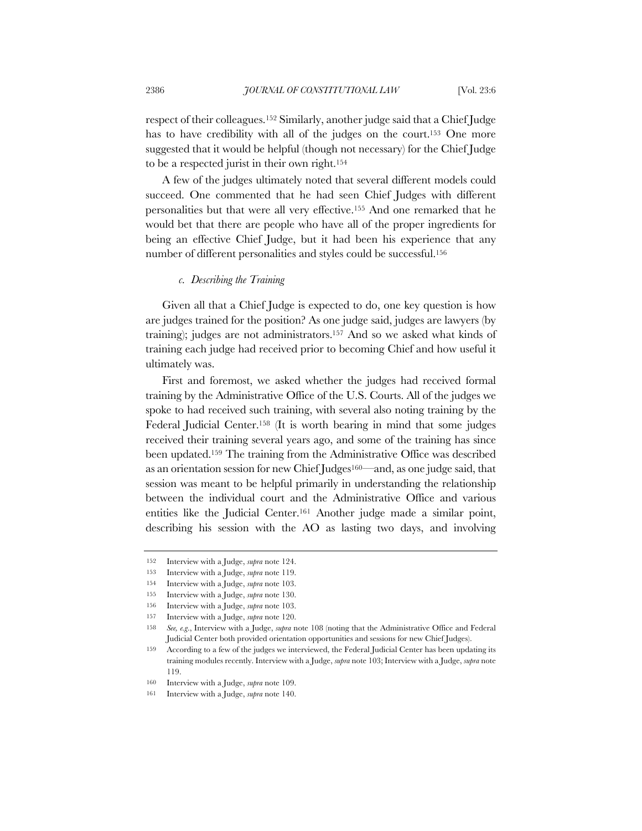respect of their colleagues.152 Similarly, another judge said that a Chief Judge has to have credibility with all of the judges on the court.<sup>153</sup> One more suggested that it would be helpful (though not necessary) for the Chief Judge to be a respected jurist in their own right.154

A few of the judges ultimately noted that several different models could succeed. One commented that he had seen Chief Judges with different personalities but that were all very effective.155 And one remarked that he would bet that there are people who have all of the proper ingredients for being an effective Chief Judge, but it had been his experience that any number of different personalities and styles could be successful.156

### *c. Describing the Training*

Given all that a Chief Judge is expected to do, one key question is how are judges trained for the position? As one judge said, judges are lawyers (by training); judges are not administrators.157 And so we asked what kinds of training each judge had received prior to becoming Chief and how useful it ultimately was.

First and foremost, we asked whether the judges had received formal training by the Administrative Office of the U.S. Courts. All of the judges we spoke to had received such training, with several also noting training by the Federal Judicial Center.158 (It is worth bearing in mind that some judges received their training several years ago, and some of the training has since been updated.159 The training from the Administrative Office was described as an orientation session for new Chief Judges160—and, as one judge said, that session was meant to be helpful primarily in understanding the relationship between the individual court and the Administrative Office and various entities like the Judicial Center.161 Another judge made a similar point, describing his session with the AO as lasting two days, and involving

<sup>152</sup> Interview with a Judge, *supra* note 124.

<sup>153</sup> Interview with a Judge, *supra* note 119.

<sup>154</sup> Interview with a Judge, *supra* note 103.

<sup>155</sup> Interview with a Judge, *supra* note 130.

<sup>156</sup> Interview with a Judge, *supra* note 103.

<sup>157</sup> Interview with a Judge, *supra* note 120.

<sup>158</sup> *See, e.g*., Interview with a Judge, *supra* note 108 (noting that the Administrative Office and Federal Judicial Center both provided orientation opportunities and sessions for new Chief Judges).

<sup>159</sup> According to a few of the judges we interviewed, the Federal Judicial Center has been updating its training modules recently. Interview with a Judge, *supra* note 103; Interview with a Judge, *supra* note 119.

<sup>160</sup> Interview with a Judge, *supra* note 109.

<sup>161</sup> Interview with a Judge, *supra* note 140.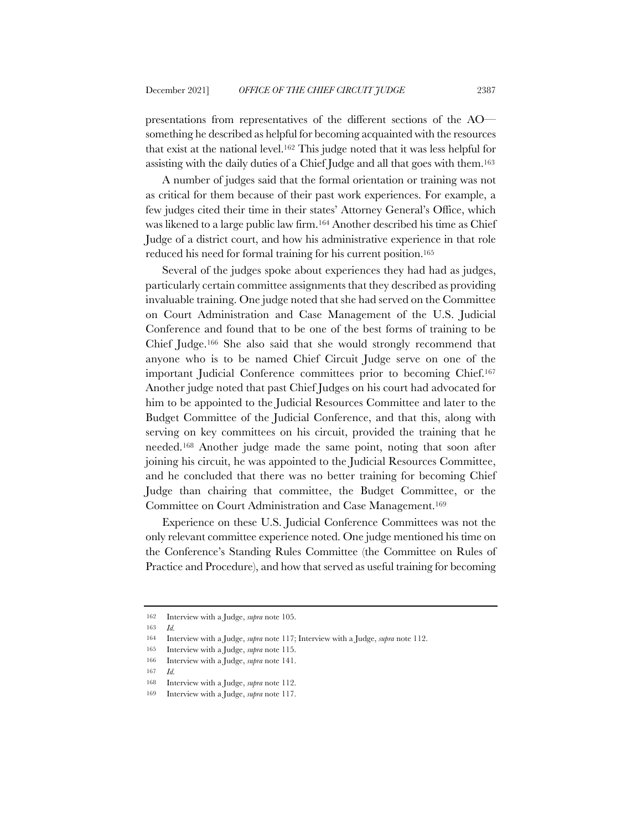presentations from representatives of the different sections of the AO something he described as helpful for becoming acquainted with the resources that exist at the national level.162 This judge noted that it was less helpful for assisting with the daily duties of a Chief Judge and all that goes with them.163

A number of judges said that the formal orientation or training was not as critical for them because of their past work experiences. For example, a few judges cited their time in their states' Attorney General's Office, which was likened to a large public law firm.164 Another described his time as Chief Judge of a district court, and how his administrative experience in that role reduced his need for formal training for his current position.165

Several of the judges spoke about experiences they had had as judges, particularly certain committee assignments that they described as providing invaluable training. One judge noted that she had served on the Committee on Court Administration and Case Management of the U.S. Judicial Conference and found that to be one of the best forms of training to be Chief Judge.166 She also said that she would strongly recommend that anyone who is to be named Chief Circuit Judge serve on one of the important Judicial Conference committees prior to becoming Chief.167 Another judge noted that past Chief Judges on his court had advocated for him to be appointed to the Judicial Resources Committee and later to the Budget Committee of the Judicial Conference, and that this, along with serving on key committees on his circuit, provided the training that he needed.168 Another judge made the same point, noting that soon after joining his circuit, he was appointed to the Judicial Resources Committee, and he concluded that there was no better training for becoming Chief Judge than chairing that committee, the Budget Committee, or the Committee on Court Administration and Case Management.169

Experience on these U.S. Judicial Conference Committees was not the only relevant committee experience noted. One judge mentioned his time on the Conference's Standing Rules Committee (the Committee on Rules of Practice and Procedure), and how that served as useful training for becoming

<sup>162</sup> Interview with a Judge, *supra* note 105.

<sup>163</sup> *Id.*

<sup>164</sup> Interview with a Judge, *supra* note 117; Interview with a Judge, *supra* note 112.

<sup>165</sup> Interview with a Judge, *supra* note 115.

<sup>166</sup> Interview with a Judge, *supra* note 141.

<sup>168</sup> Interview with a Judge, *supra* note 112.

<sup>169</sup> Interview with a Judge, *supra* note 117.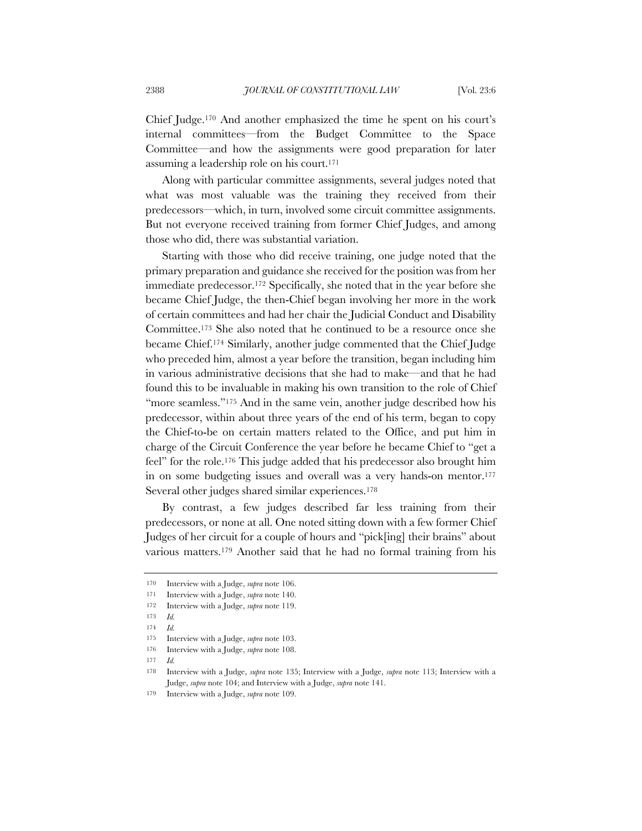Chief Judge.170 And another emphasized the time he spent on his court's internal committees—from the Budget Committee to the Space Committee—and how the assignments were good preparation for later assuming a leadership role on his court.171

Along with particular committee assignments, several judges noted that what was most valuable was the training they received from their predecessors—which, in turn, involved some circuit committee assignments. But not everyone received training from former Chief Judges, and among those who did, there was substantial variation.

Starting with those who did receive training, one judge noted that the primary preparation and guidance she received for the position was from her immediate predecessor.172 Specifically, she noted that in the year before she became Chief Judge, the then-Chief began involving her more in the work of certain committees and had her chair the Judicial Conduct and Disability Committee.173 She also noted that he continued to be a resource once she became Chief.174 Similarly, another judge commented that the Chief Judge who preceded him, almost a year before the transition, began including him in various administrative decisions that she had to make—and that he had found this to be invaluable in making his own transition to the role of Chief "more seamless."<sup>175</sup> And in the same vein, another judge described how his predecessor, within about three years of the end of his term, began to copy the Chief-to-be on certain matters related to the Office, and put him in charge of the Circuit Conference the year before he became Chief to "get a feel" for the role.176 This judge added that his predecessor also brought him in on some budgeting issues and overall was a very hands-on mentor.177 Several other judges shared similar experiences.178

By contrast, a few judges described far less training from their predecessors, or none at all. One noted sitting down with a few former Chief Judges of her circuit for a couple of hours and "pick[ing] their brains" about various matters.179 Another said that he had no formal training from his

<sup>170</sup> Interview with a Judge, *supra* note 106.

<sup>171</sup> Interview with a Judge, *supra* note 140.

<sup>172</sup> Interview with a Judge, *supra* note 119.

<sup>174</sup> *Id.*

<sup>175</sup> Interview with a Judge, *supra* note 103.

<sup>176</sup> Interview with a Judge, *supra* note 108.

<sup>177</sup> *Id.*

<sup>178</sup> Interview with a Judge, *supra* note 135; Interview with a Judge, *supra* note 113; Interview with a Judge, *supra* note 104; and Interview with a Judge, *supra* note 141.

<sup>179</sup> Interview with a Judge, *supra* note 109.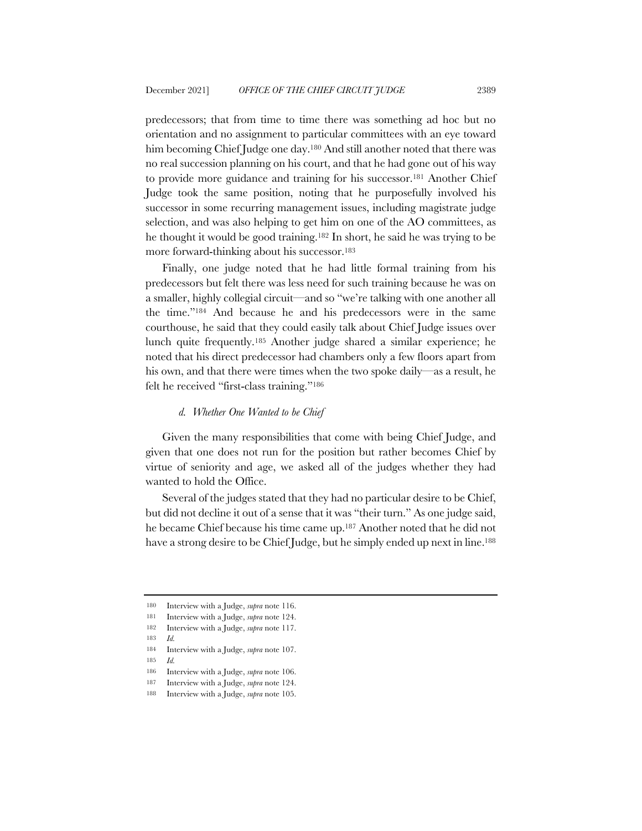predecessors; that from time to time there was something ad hoc but no orientation and no assignment to particular committees with an eye toward him becoming Chief Judge one day.<sup>180</sup> And still another noted that there was no real succession planning on his court, and that he had gone out of his way to provide more guidance and training for his successor.181 Another Chief Judge took the same position, noting that he purposefully involved his successor in some recurring management issues, including magistrate judge selection, and was also helping to get him on one of the AO committees, as he thought it would be good training.182 In short, he said he was trying to be more forward-thinking about his successor.183

Finally, one judge noted that he had little formal training from his predecessors but felt there was less need for such training because he was on a smaller, highly collegial circuit—and so "we're talking with one another all the time."184 And because he and his predecessors were in the same courthouse, he said that they could easily talk about Chief Judge issues over lunch quite frequently.185 Another judge shared a similar experience; he noted that his direct predecessor had chambers only a few floors apart from his own, and that there were times when the two spoke daily—as a result, he felt he received "first-class training."186

#### *d. Whether One Wanted to be Chief*

Given the many responsibilities that come with being Chief Judge, and given that one does not run for the position but rather becomes Chief by virtue of seniority and age, we asked all of the judges whether they had wanted to hold the Office.

Several of the judges stated that they had no particular desire to be Chief, but did not decline it out of a sense that it was "their turn." As one judge said, he became Chief because his time came up.187 Another noted that he did not have a strong desire to be Chief Judge, but he simply ended up next in line.<sup>188</sup>

<sup>180</sup> Interview with a Judge, *supra* note 116.

<sup>181</sup> Interview with a Judge, *supra* note 124.

<sup>182</sup> Interview with a Judge, *supra* note 117.

<sup>183</sup> *Id.*

<sup>184</sup> Interview with a Judge, *supra* note 107.

<sup>185</sup> *Id.*

<sup>186</sup> Interview with a Judge, *supra* note 106.

<sup>187</sup> Interview with a Judge, *supra* note 124.

<sup>188</sup> Interview with a Judge, *supra* note 105.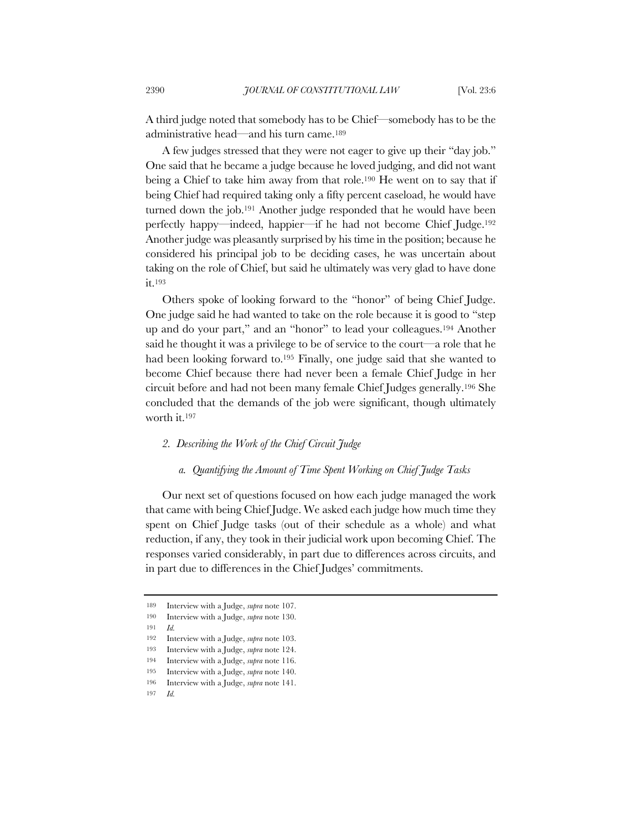A third judge noted that somebody has to be Chief—somebody has to be the administrative head—and his turn came.189

A few judges stressed that they were not eager to give up their "day job." One said that he became a judge because he loved judging, and did not want being a Chief to take him away from that role.190 He went on to say that if being Chief had required taking only a fifty percent caseload, he would have turned down the job.191 Another judge responded that he would have been perfectly happy—indeed, happier—if he had not become Chief Judge.192 Another judge was pleasantly surprised by his time in the position; because he considered his principal job to be deciding cases, he was uncertain about taking on the role of Chief, but said he ultimately was very glad to have done it.193

Others spoke of looking forward to the "honor" of being Chief Judge. One judge said he had wanted to take on the role because it is good to "step up and do your part," and an "honor" to lead your colleagues.194 Another said he thought it was a privilege to be of service to the court—a role that he had been looking forward to.195 Finally, one judge said that she wanted to become Chief because there had never been a female Chief Judge in her circuit before and had not been many female Chief Judges generally.196 She concluded that the demands of the job were significant, though ultimately worth it.197

## *2. Describing the Work of the Chief Circuit Judge*

### *a. Quantifying the Amount of Time Spent Working on Chief Judge Tasks*

Our next set of questions focused on how each judge managed the work that came with being Chief Judge. We asked each judge how much time they spent on Chief Judge tasks (out of their schedule as a whole) and what reduction, if any, they took in their judicial work upon becoming Chief. The responses varied considerably, in part due to differences across circuits, and in part due to differences in the Chief Judges' commitments.

191 *Id.*

<sup>189</sup> Interview with a Judge, *supra* note 107.

<sup>190</sup> Interview with a Judge, *supra* note 130.

<sup>192</sup> Interview with a Judge, *supra* note 103.

<sup>193</sup> Interview with a Judge, *supra* note 124.

<sup>194</sup> Interview with a Judge, *supra* note 116.

<sup>195</sup> Interview with a Judge, *supra* note 140.

<sup>196</sup> Interview with a Judge, *supra* note 141.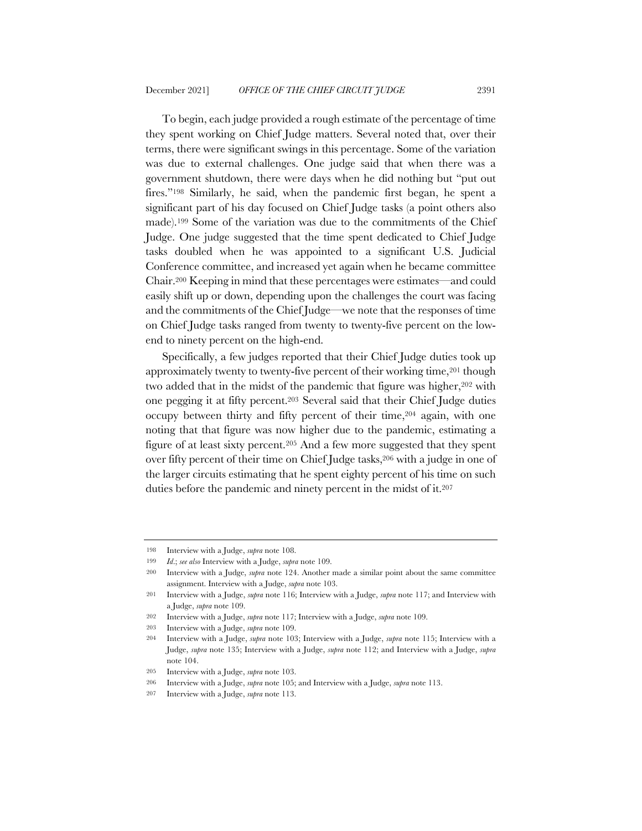To begin, each judge provided a rough estimate of the percentage of time they spent working on Chief Judge matters. Several noted that, over their terms, there were significant swings in this percentage. Some of the variation was due to external challenges. One judge said that when there was a government shutdown, there were days when he did nothing but "put out fires."198 Similarly, he said, when the pandemic first began, he spent a significant part of his day focused on Chief Judge tasks (a point others also made).199 Some of the variation was due to the commitments of the Chief Judge. One judge suggested that the time spent dedicated to Chief Judge tasks doubled when he was appointed to a significant U.S. Judicial Conference committee, and increased yet again when he became committee Chair.200 Keeping in mind that these percentages were estimates—and could easily shift up or down, depending upon the challenges the court was facing and the commitments of the Chief Judge—we note that the responses of time on Chief Judge tasks ranged from twenty to twenty-five percent on the lowend to ninety percent on the high-end.

Specifically, a few judges reported that their Chief Judge duties took up approximately twenty to twenty-five percent of their working time,<sup>201</sup> though two added that in the midst of the pandemic that figure was higher,<sup>202</sup> with one pegging it at fifty percent.203 Several said that their Chief Judge duties occupy between thirty and fifty percent of their time,204 again, with one noting that that figure was now higher due to the pandemic, estimating a figure of at least sixty percent.205 And a few more suggested that they spent over fifty percent of their time on Chief Judge tasks,206 with a judge in one of the larger circuits estimating that he spent eighty percent of his time on such duties before the pandemic and ninety percent in the midst of it.207

<sup>198</sup> Interview with a Judge, *supra* note 108.

<sup>199</sup> *Id*.; *see also* Interview with a Judge, *supra* note 109.

<sup>200</sup> Interview with a Judge, *supra* note 124. Another made a similar point about the same committee assignment. Interview with a Judge, *supra* note 103.

<sup>201</sup> Interview with a Judge, *supra* note 116; Interview with a Judge, *supra* note 117; and Interview with a Judge, *supra* note 109.

<sup>202</sup> Interview with a Judge, *supra* note 117; Interview with a Judge, *supra* note 109.

<sup>203</sup> Interview with a Judge, *supra* note 109.

<sup>204</sup> Interview with a Judge, *supra* note 103; Interview with a Judge, *supra* note 115; Interview with a Judge, *supra* note 135; Interview with a Judge, *supra* note 112; and Interview with a Judge, *supra*  note 104.

<sup>205</sup> Interview with a Judge, *supra* note 103.

<sup>206</sup> Interview with a Judge, *supra* note 105; and Interview with a Judge, *supra* note 113.

<sup>207</sup> Interview with a Judge, *supra* note 113.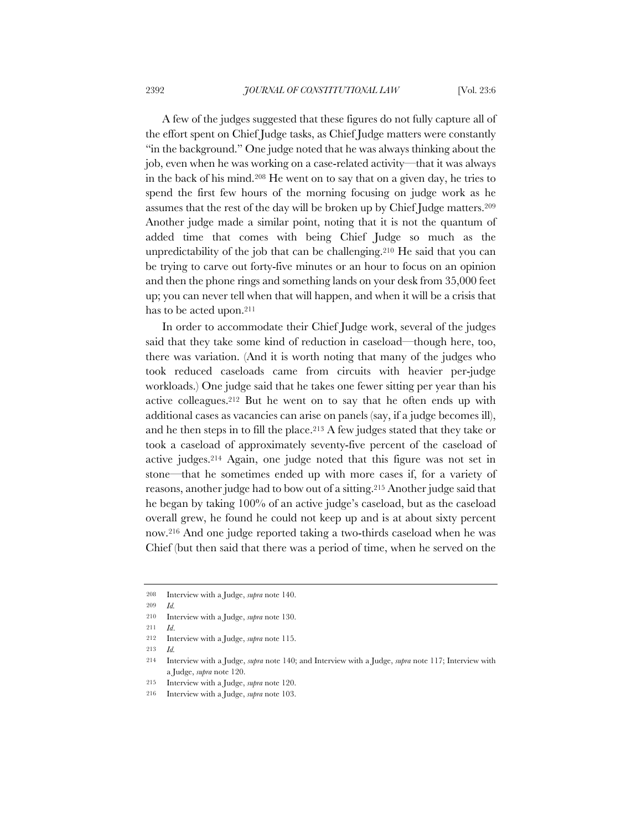A few of the judges suggested that these figures do not fully capture all of the effort spent on Chief Judge tasks, as Chief Judge matters were constantly "in the background." One judge noted that he was always thinking about the job, even when he was working on a case-related activity—that it was always in the back of his mind.208 He went on to say that on a given day, he tries to spend the first few hours of the morning focusing on judge work as he assumes that the rest of the day will be broken up by Chief Judge matters.209 Another judge made a similar point, noting that it is not the quantum of added time that comes with being Chief Judge so much as the unpredictability of the job that can be challenging.210 He said that you can be trying to carve out forty-five minutes or an hour to focus on an opinion and then the phone rings and something lands on your desk from 35,000 feet up; you can never tell when that will happen, and when it will be a crisis that has to be acted upon.211

In order to accommodate their Chief Judge work, several of the judges said that they take some kind of reduction in caseload—though here, too, there was variation. (And it is worth noting that many of the judges who took reduced caseloads came from circuits with heavier per-judge workloads.) One judge said that he takes one fewer sitting per year than his active colleagues.212 But he went on to say that he often ends up with additional cases as vacancies can arise on panels (say, if a judge becomes ill), and he then steps in to fill the place.<sup>213</sup> A few judges stated that they take or took a caseload of approximately seventy-five percent of the caseload of active judges.214 Again, one judge noted that this figure was not set in stone—that he sometimes ended up with more cases if, for a variety of reasons, another judge had to bow out of a sitting.215 Another judge said that he began by taking 100% of an active judge's caseload, but as the caseload overall grew, he found he could not keep up and is at about sixty percent now.216 And one judge reported taking a two-thirds caseload when he was Chief (but then said that there was a period of time, when he served on the

<sup>208</sup> Interview with a Judge, *supra* note 140.

<sup>210</sup> Interview with a Judge, *supra* note 130.

<sup>211</sup> *Id*.

<sup>212</sup> Interview with a Judge, *supra* note 115.

<sup>213</sup> *Id.*

<sup>214</sup> Interview with a Judge, *supra* note 140; and Interview with a Judge, *supra* note 117; Interview with a Judge, *supra* note 120.

<sup>215</sup> Interview with a Judge, *supra* note 120.

<sup>216</sup> Interview with a Judge, *supra* note 103.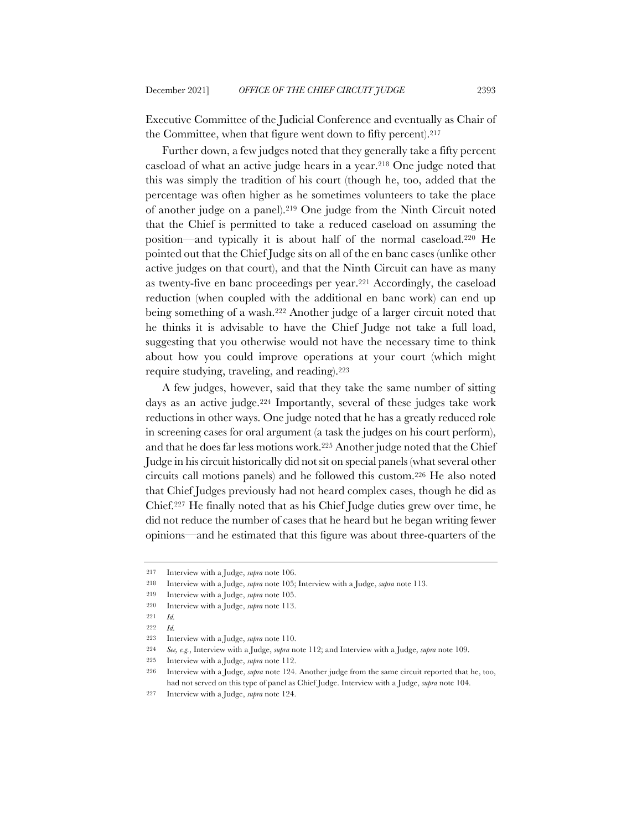Executive Committee of the Judicial Conference and eventually as Chair of the Committee, when that figure went down to fifty percent).217

Further down, a few judges noted that they generally take a fifty percent caseload of what an active judge hears in a year.218 One judge noted that this was simply the tradition of his court (though he, too, added that the percentage was often higher as he sometimes volunteers to take the place of another judge on a panel).219 One judge from the Ninth Circuit noted that the Chief is permitted to take a reduced caseload on assuming the position—and typically it is about half of the normal caseload.220 He pointed out that the Chief Judge sits on all of the en banc cases (unlike other active judges on that court), and that the Ninth Circuit can have as many as twenty-five en banc proceedings per year.221 Accordingly, the caseload reduction (when coupled with the additional en banc work) can end up being something of a wash.222 Another judge of a larger circuit noted that he thinks it is advisable to have the Chief Judge not take a full load, suggesting that you otherwise would not have the necessary time to think about how you could improve operations at your court (which might require studying, traveling, and reading).223

A few judges, however, said that they take the same number of sitting days as an active judge.224 Importantly, several of these judges take work reductions in other ways. One judge noted that he has a greatly reduced role in screening cases for oral argument (a task the judges on his court perform), and that he does far less motions work.225 Another judge noted that the Chief Judge in his circuit historically did not sit on special panels (what several other circuits call motions panels) and he followed this custom.226 He also noted that Chief Judges previously had not heard complex cases, though he did as Chief.227 He finally noted that as his Chief Judge duties grew over time, he did not reduce the number of cases that he heard but he began writing fewer opinions—and he estimated that this figure was about three-quarters of the

<sup>217</sup> Interview with a Judge, *supra* note 106.

<sup>218</sup> Interview with a Judge, *supra* note 105; Interview with a Judge, *supra* note 113.

<sup>219</sup> Interview with a Judge, *supra* note 105.

<sup>220</sup> Interview with a Judge, *supra* note 113.

<sup>221</sup> *Id.*

<sup>222</sup> *Id.*

<sup>223</sup> Interview with a Judge, *supra* note 110.

<sup>224</sup> *See, e.g.*, Interview with a Judge, *supra* note 112; and Interview with a Judge, *supra* note 109.

<sup>225</sup> Interview with a Judge, *supra* note 112.

<sup>226</sup> Interview with a Judge, *supra* note 124. Another judge from the same circuit reported that he, too, had not served on this type of panel as Chief Judge. Interview with a Judge, *supra* note 104.

<sup>227</sup> Interview with a Judge, *supra* note 124.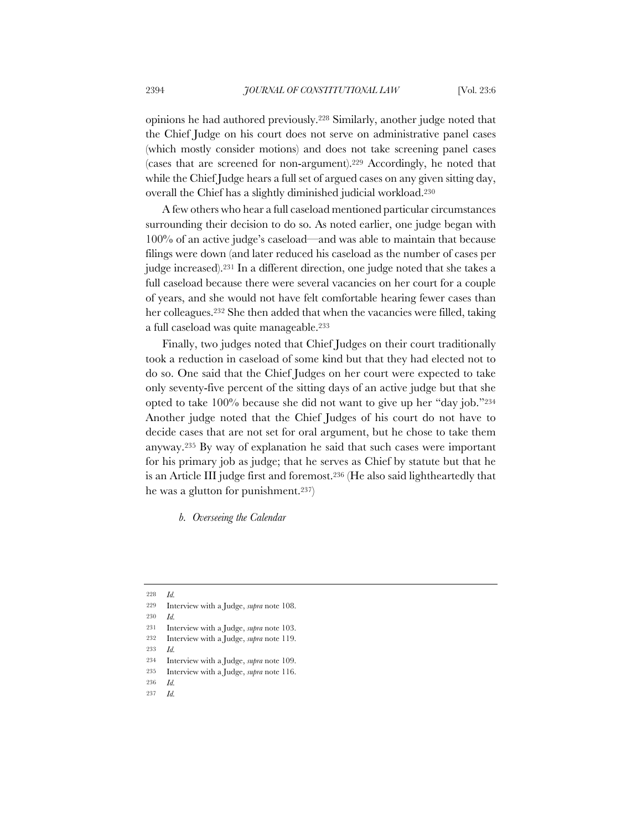opinions he had authored previously.228 Similarly, another judge noted that the Chief Judge on his court does not serve on administrative panel cases (which mostly consider motions) and does not take screening panel cases (cases that are screened for non-argument).229 Accordingly, he noted that while the Chief Judge hears a full set of argued cases on any given sitting day, overall the Chief has a slightly diminished judicial workload.230

A few others who hear a full caseload mentioned particular circumstances surrounding their decision to do so. As noted earlier, one judge began with 100% of an active judge's caseload—and was able to maintain that because filings were down (and later reduced his caseload as the number of cases per judge increased).231 In a different direction, one judge noted that she takes a full caseload because there were several vacancies on her court for a couple of years, and she would not have felt comfortable hearing fewer cases than her colleagues.232 She then added that when the vacancies were filled, taking a full caseload was quite manageable.233

Finally, two judges noted that Chief Judges on their court traditionally took a reduction in caseload of some kind but that they had elected not to do so. One said that the Chief Judges on her court were expected to take only seventy-five percent of the sitting days of an active judge but that she opted to take 100% because she did not want to give up her "day job."234 Another judge noted that the Chief Judges of his court do not have to decide cases that are not set for oral argument, but he chose to take them anyway.235 By way of explanation he said that such cases were important for his primary job as judge; that he serves as Chief by statute but that he is an Article III judge first and foremost.236 (He also said lightheartedly that he was a glutton for punishment.237)

*b. Overseeing the Calendar*

- 232 Interview with a Judge, *supra* note 119.
- 233 *Id.*

- 235 Interview with a Judge, *supra* note 116.
- 236 *Id.*
- 237 *Id.*

<sup>228</sup> *Id.*

<sup>229</sup> Interview with a Judge, *supra* note 108.

<sup>230</sup> *Id.*

<sup>231</sup> Interview with a Judge, *supra* note 103.

<sup>234</sup> Interview with a Judge, *supra* note 109.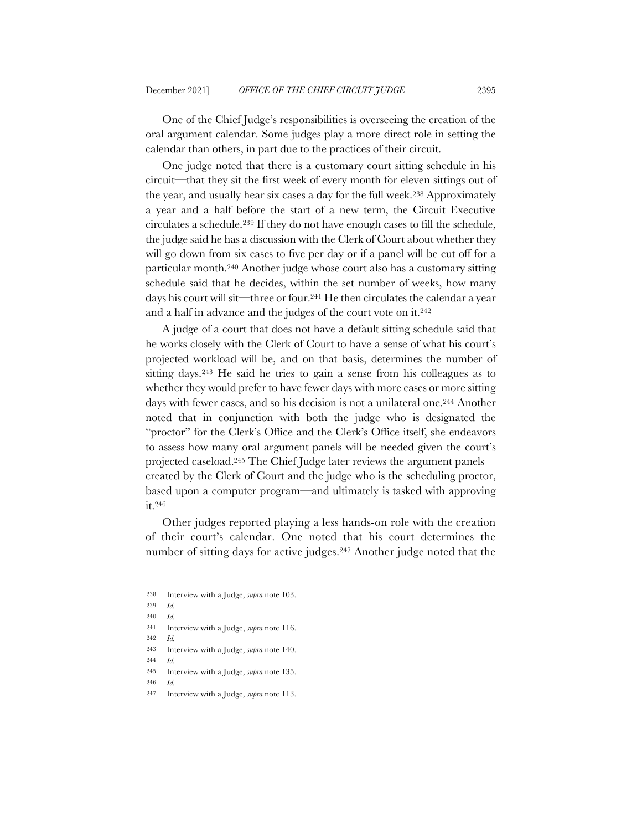One of the Chief Judge's responsibilities is overseeing the creation of the oral argument calendar. Some judges play a more direct role in setting the calendar than others, in part due to the practices of their circuit.

One judge noted that there is a customary court sitting schedule in his circuit—that they sit the first week of every month for eleven sittings out of the year, and usually hear six cases a day for the full week.238 Approximately a year and a half before the start of a new term, the Circuit Executive circulates a schedule.239 If they do not have enough cases to fill the schedule, the judge said he has a discussion with the Clerk of Court about whether they will go down from six cases to five per day or if a panel will be cut off for a particular month.240 Another judge whose court also has a customary sitting schedule said that he decides, within the set number of weeks, how many days his court will sit—three or four.241 He then circulates the calendar a year and a half in advance and the judges of the court vote on it.242

A judge of a court that does not have a default sitting schedule said that he works closely with the Clerk of Court to have a sense of what his court's projected workload will be, and on that basis, determines the number of sitting days.243 He said he tries to gain a sense from his colleagues as to whether they would prefer to have fewer days with more cases or more sitting days with fewer cases, and so his decision is not a unilateral one.244 Another noted that in conjunction with both the judge who is designated the "proctor" for the Clerk's Office and the Clerk's Office itself, she endeavors to assess how many oral argument panels will be needed given the court's projected caseload.245 The Chief Judge later reviews the argument panels created by the Clerk of Court and the judge who is the scheduling proctor, based upon a computer program—and ultimately is tasked with approving it.246

Other judges reported playing a less hands-on role with the creation of their court's calendar. One noted that his court determines the number of sitting days for active judges.247 Another judge noted that the

<sup>238</sup> Interview with a Judge, *supra* note 103.

<sup>239</sup> *Id.*

<sup>240</sup> *Id.*

<sup>241</sup> Interview with a Judge, *supra* note 116.

<sup>242</sup> *Id.*

<sup>243</sup> Interview with a Judge, *supra* note 140.

<sup>244</sup> *Id.*

<sup>245</sup> Interview with a Judge, *supra* note 135.

<sup>247</sup> Interview with a Judge, *supra* note 113.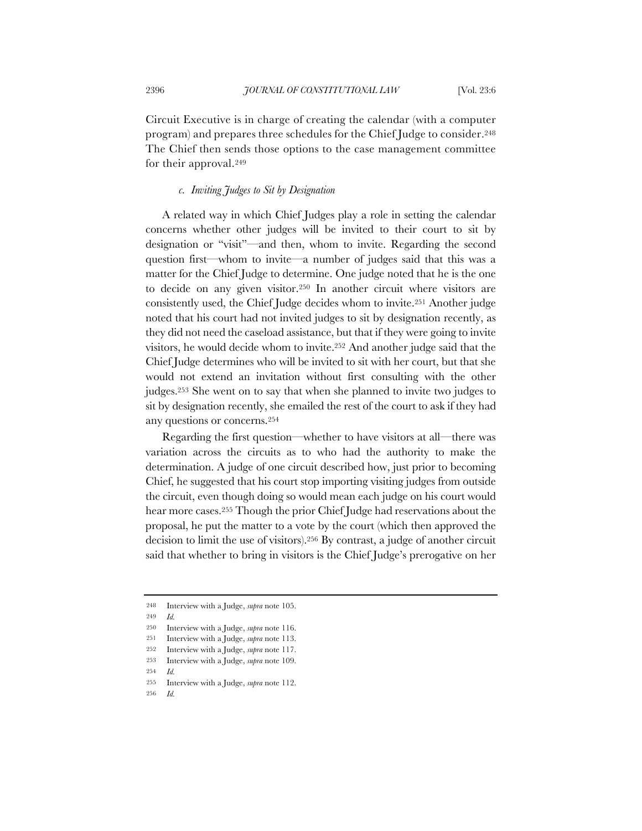Circuit Executive is in charge of creating the calendar (with a computer program) and prepares three schedules for the Chief Judge to consider.248 The Chief then sends those options to the case management committee for their approval.249

## *c. Inviting Judges to Sit by Designation*

A related way in which Chief Judges play a role in setting the calendar concerns whether other judges will be invited to their court to sit by designation or "visit"—and then, whom to invite. Regarding the second question first—whom to invite—a number of judges said that this was a matter for the Chief Judge to determine. One judge noted that he is the one to decide on any given visitor.250 In another circuit where visitors are consistently used, the Chief Judge decides whom to invite.251 Another judge noted that his court had not invited judges to sit by designation recently, as they did not need the caseload assistance, but that if they were going to invite visitors, he would decide whom to invite.252 And another judge said that the Chief Judge determines who will be invited to sit with her court, but that she would not extend an invitation without first consulting with the other judges.253 She went on to say that when she planned to invite two judges to sit by designation recently, she emailed the rest of the court to ask if they had any questions or concerns.254

Regarding the first question—whether to have visitors at all—there was variation across the circuits as to who had the authority to make the determination. A judge of one circuit described how, just prior to becoming Chief, he suggested that his court stop importing visiting judges from outside the circuit, even though doing so would mean each judge on his court would hear more cases.255 Though the prior Chief Judge had reservations about the proposal, he put the matter to a vote by the court (which then approved the decision to limit the use of visitors).256 By contrast, a judge of another circuit said that whether to bring in visitors is the Chief Judge's prerogative on her

254 *Id.*

<sup>248</sup> Interview with a Judge, *supra* note 105.

<sup>249</sup> *Id.*

<sup>250</sup> Interview with a Judge, *supra* note 116.

<sup>251</sup> Interview with a Judge, *supra* note 113.

<sup>252</sup> Interview with a Judge, *supra* note 117.

<sup>253</sup> Interview with a Judge, *supra* note 109.

<sup>255</sup> Interview with a Judge, *supra* note 112.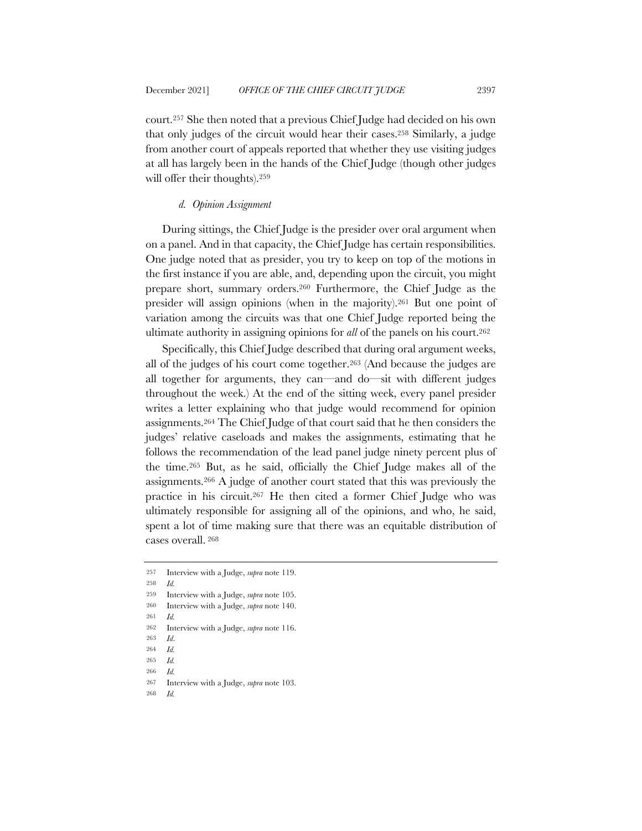court.257 She then noted that a previous Chief Judge had decided on his own that only judges of the circuit would hear their cases.258 Similarly, a judge from another court of appeals reported that whether they use visiting judges at all has largely been in the hands of the Chief Judge (though other judges

#### *d. Opinion Assignment*

will offer their thoughts).259

During sittings, the Chief Judge is the presider over oral argument when on a panel. And in that capacity, the Chief Judge has certain responsibilities. One judge noted that as presider, you try to keep on top of the motions in the first instance if you are able, and, depending upon the circuit, you might prepare short, summary orders.260 Furthermore, the Chief Judge as the presider will assign opinions (when in the majority).261 But one point of variation among the circuits was that one Chief Judge reported being the ultimate authority in assigning opinions for *all* of the panels on his court.262

Specifically, this Chief Judge described that during oral argument weeks, all of the judges of his court come together.263 (And because the judges are all together for arguments, they can—and do—sit with different judges throughout the week.) At the end of the sitting week, every panel presider writes a letter explaining who that judge would recommend for opinion assignments.264 The Chief Judge of that court said that he then considers the judges' relative caseloads and makes the assignments, estimating that he follows the recommendation of the lead panel judge ninety percent plus of the time.265 But, as he said, officially the Chief Judge makes all of the assignments.266 A judge of another court stated that this was previously the practice in his circuit.267 He then cited a former Chief Judge who was ultimately responsible for assigning all of the opinions, and who, he said, spent a lot of time making sure that there was an equitable distribution of cases overall. <sup>268</sup>

<sup>257</sup> Interview with a Judge, *supra* note 119.

<sup>258</sup> *Id.*

<sup>259</sup> Interview with a Judge, *supra* note 105.

<sup>260</sup> Interview with a Judge, *supra* note 140.

<sup>261</sup> *Id.*

<sup>262</sup> Interview with a Judge, *supra* note 116.

<sup>263</sup> *Id*.

<sup>264</sup> *Id.*

<sup>265</sup> *Id.* 266 *Id.*

<sup>267</sup> Interview with a Judge, *supra* note 103.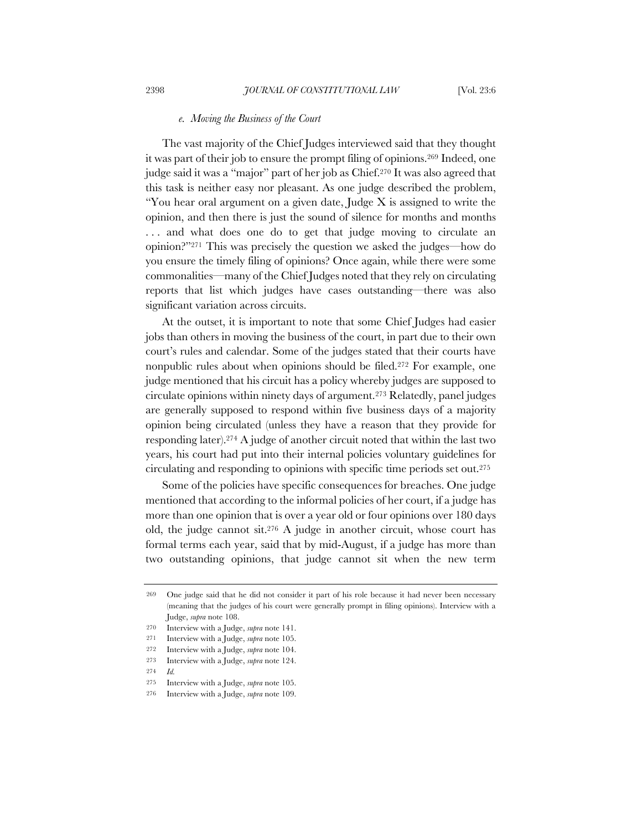#### *e. Moving the Business of the Court*

The vast majority of the Chief Judges interviewed said that they thought it was part of their job to ensure the prompt filing of opinions.269 Indeed, one judge said it was a "major" part of her job as Chief.270 It was also agreed that this task is neither easy nor pleasant. As one judge described the problem, "You hear oral argument on a given date, Judge  $X$  is assigned to write the opinion, and then there is just the sound of silence for months and months ... and what does one do to get that judge moving to circulate an opinion?"271 This was precisely the question we asked the judges—how do you ensure the timely filing of opinions? Once again, while there were some commonalities—many of the Chief Judges noted that they rely on circulating reports that list which judges have cases outstanding—there was also significant variation across circuits.

At the outset, it is important to note that some Chief Judges had easier jobs than others in moving the business of the court, in part due to their own court's rules and calendar. Some of the judges stated that their courts have nonpublic rules about when opinions should be filed.272 For example, one judge mentioned that his circuit has a policy whereby judges are supposed to circulate opinions within ninety days of argument.273 Relatedly, panel judges are generally supposed to respond within five business days of a majority opinion being circulated (unless they have a reason that they provide for responding later).274 A judge of another circuit noted that within the last two years, his court had put into their internal policies voluntary guidelines for circulating and responding to opinions with specific time periods set out.275

Some of the policies have specific consequences for breaches. One judge mentioned that according to the informal policies of her court, if a judge has more than one opinion that is over a year old or four opinions over 180 days old, the judge cannot sit.276 A judge in another circuit, whose court has formal terms each year, said that by mid-August, if a judge has more than two outstanding opinions, that judge cannot sit when the new term

<sup>269</sup> One judge said that he did not consider it part of his role because it had never been necessary (meaning that the judges of his court were generally prompt in filing opinions). Interview with a Judge, *supra* note 108.

<sup>270</sup> Interview with a Judge, *supra* note 141.

<sup>271</sup> Interview with a Judge, *supra* note 105.

<sup>272</sup> Interview with a Judge, *supra* note 104.

<sup>273</sup> Interview with a Judge, *supra* note 124.

<sup>275</sup> Interview with a Judge, *supra* note 105.

<sup>276</sup> Interview with a Judge, *supra* note 109.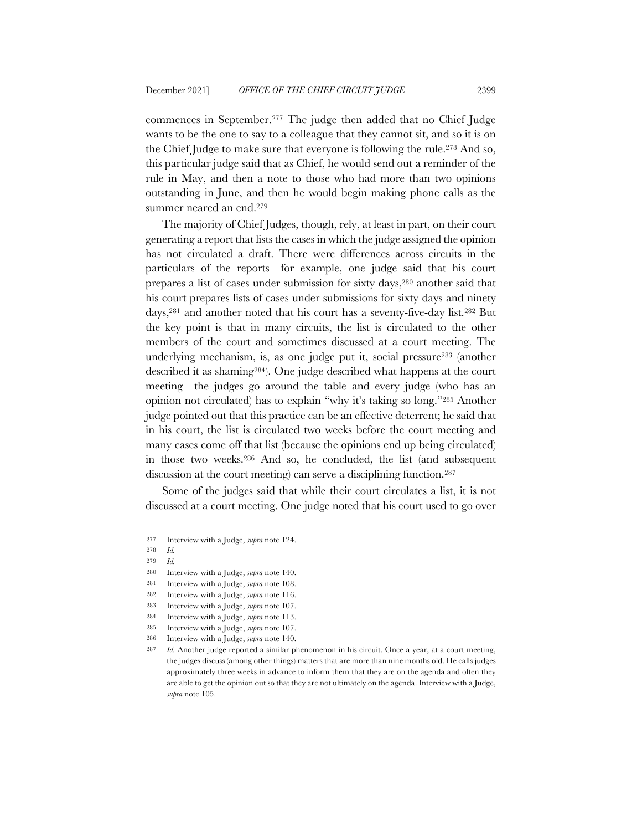commences in September.277 The judge then added that no Chief Judge wants to be the one to say to a colleague that they cannot sit, and so it is on the Chief Judge to make sure that everyone is following the rule.278 And so, this particular judge said that as Chief, he would send out a reminder of the rule in May, and then a note to those who had more than two opinions outstanding in June, and then he would begin making phone calls as the summer neared an end.279

The majority of Chief Judges, though, rely, at least in part, on their court generating a report that lists the cases in which the judge assigned the opinion has not circulated a draft. There were differences across circuits in the particulars of the reports—for example, one judge said that his court prepares a list of cases under submission for sixty days,280 another said that his court prepares lists of cases under submissions for sixty days and ninety days,281 and another noted that his court has a seventy-five-day list.282 But the key point is that in many circuits, the list is circulated to the other members of the court and sometimes discussed at a court meeting. The underlying mechanism, is, as one judge put it, social pressure283 (another described it as shaming284). One judge described what happens at the court meeting—the judges go around the table and every judge (who has an opinion not circulated) has to explain "why it's taking so long."285 Another judge pointed out that this practice can be an effective deterrent; he said that in his court, the list is circulated two weeks before the court meeting and many cases come off that list (because the opinions end up being circulated) in those two weeks.286 And so, he concluded, the list (and subsequent discussion at the court meeting) can serve a disciplining function.<sup>287</sup>

Some of the judges said that while their court circulates a list, it is not discussed at a court meeting. One judge noted that his court used to go over

<sup>277</sup> Interview with a Judge, *supra* note 124.

<sup>278</sup> *Id.*

<sup>279</sup> *Id.*

<sup>280</sup> Interview with a Judge, *supra* note 140.

<sup>281</sup> Interview with a Judge, *supra* note 108.

<sup>282</sup> Interview with a Judge, *supra* note 116.

<sup>283</sup> Interview with a Judge, *supra* note 107.

<sup>284</sup> Interview with a Judge, *supra* note 113. 285 Interview with a Judge, *supra* note 107.

<sup>286</sup> Interview with a Judge, *supra* note 140.

<sup>287</sup> *Id.* Another judge reported a similar phenomenon in his circuit. Once a year, at a court meeting, the judges discuss (among other things) matters that are more than nine months old. He calls judges approximately three weeks in advance to inform them that they are on the agenda and often they are able to get the opinion out so that they are not ultimately on the agenda. Interview with a Judge, *supra* note 105.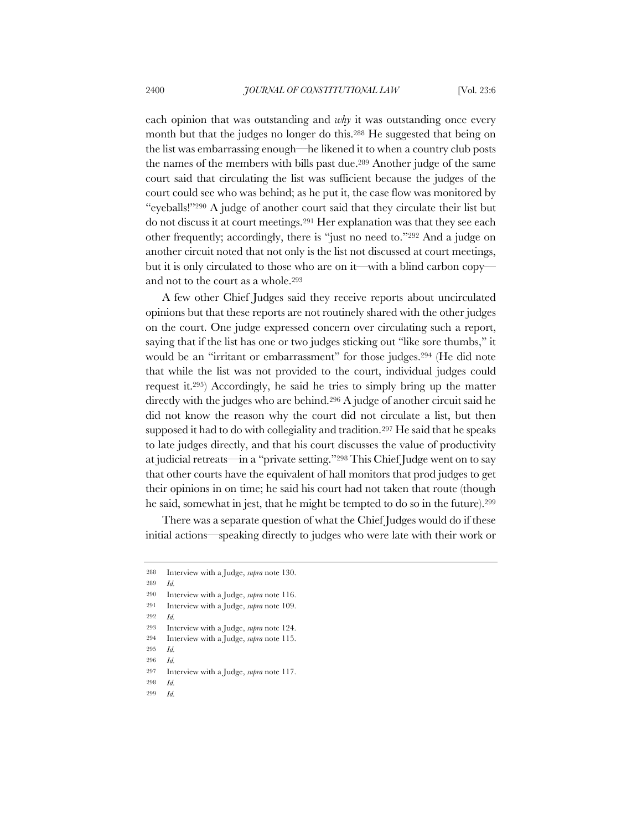each opinion that was outstanding and *why* it was outstanding once every month but that the judges no longer do this.288 He suggested that being on the list was embarrassing enough—he likened it to when a country club posts the names of the members with bills past due.289 Another judge of the same court said that circulating the list was sufficient because the judges of the court could see who was behind; as he put it, the case flow was monitored by "eyeballs!"290 A judge of another court said that they circulate their list but do not discuss it at court meetings.291 Her explanation was that they see each other frequently; accordingly, there is "just no need to."292 And a judge on another circuit noted that not only is the list not discussed at court meetings, but it is only circulated to those who are on it—with a blind carbon copy and not to the court as a whole.293

A few other Chief Judges said they receive reports about uncirculated opinions but that these reports are not routinely shared with the other judges on the court. One judge expressed concern over circulating such a report, saying that if the list has one or two judges sticking out "like sore thumbs," it would be an "irritant or embarrassment" for those judges.<sup>294</sup> (He did note that while the list was not provided to the court, individual judges could request it.295) Accordingly, he said he tries to simply bring up the matter directly with the judges who are behind.296 A judge of another circuit said he did not know the reason why the court did not circulate a list, but then supposed it had to do with collegiality and tradition.297 He said that he speaks to late judges directly, and that his court discusses the value of productivity at judicial retreats—in a "private setting."298 This Chief Judge went on to say that other courts have the equivalent of hall monitors that prod judges to get their opinions in on time; he said his court had not taken that route (though he said, somewhat in jest, that he might be tempted to do so in the future).299

There was a separate question of what the Chief Judges would do if these initial actions—speaking directly to judges who were late with their work or

- 295 *Id.*
- 296 *Id.*

- 298 *Id.*
- 299 *Id.*

<sup>288</sup> Interview with a Judge, *supra* note 130.

<sup>289</sup> *Id.*

<sup>290</sup> Interview with a Judge, *supra* note 116.

<sup>291</sup> Interview with a Judge, *supra* note 109.

<sup>292</sup> *Id.*

<sup>293</sup> Interview with a Judge, *supra* note 124.

<sup>294</sup> Interview with a Judge, *supra* note 115.

<sup>297</sup> Interview with a Judge, *supra* note 117.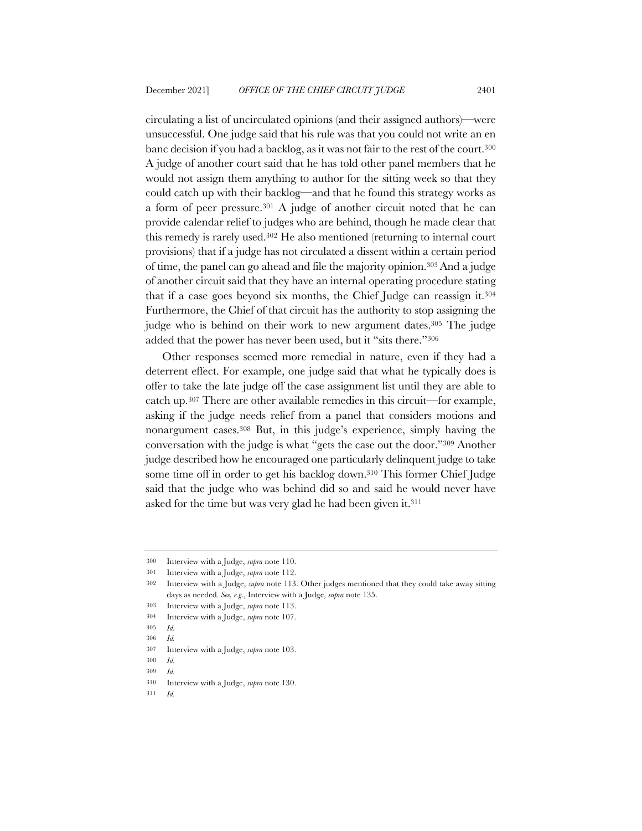circulating a list of uncirculated opinions (and their assigned authors)—were unsuccessful. One judge said that his rule was that you could not write an en banc decision if you had a backlog, as it was not fair to the rest of the court.300 A judge of another court said that he has told other panel members that he would not assign them anything to author for the sitting week so that they could catch up with their backlog—and that he found this strategy works as a form of peer pressure.301 A judge of another circuit noted that he can provide calendar relief to judges who are behind, though he made clear that this remedy is rarely used.302 He also mentioned (returning to internal court provisions) that if a judge has not circulated a dissent within a certain period of time, the panel can go ahead and file the majority opinion.303And a judge of another circuit said that they have an internal operating procedure stating that if a case goes beyond six months, the Chief Judge can reassign it.304 Furthermore, the Chief of that circuit has the authority to stop assigning the judge who is behind on their work to new argument dates.305 The judge added that the power has never been used, but it "sits there."306

Other responses seemed more remedial in nature, even if they had a deterrent effect. For example, one judge said that what he typically does is offer to take the late judge off the case assignment list until they are able to catch up.307 There are other available remedies in this circuit—for example, asking if the judge needs relief from a panel that considers motions and nonargument cases.308 But, in this judge's experience, simply having the conversation with the judge is what "gets the case out the door."309 Another judge described how he encouraged one particularly delinquent judge to take some time off in order to get his backlog down.310 This former Chief Judge said that the judge who was behind did so and said he would never have asked for the time but was very glad he had been given it.311

<sup>300</sup> Interview with a Judge, *supra* note 110.

<sup>301</sup> Interview with a Judge, *supra* note 112.

<sup>302</sup> Interview with a Judge, *supra* note 113. Other judges mentioned that they could take away sitting days as needed. *See, e.g*., Interview with a Judge, *supra* note 135.

<sup>303</sup> Interview with a Judge, *supra* note 113.

<sup>304</sup> Interview with a Judge, *supra* note 107. 305 *Id.*

<sup>306</sup> *Id.*

<sup>307</sup> Interview with a Judge, *supra* note 103.

<sup>308</sup> *Id.* 309 *Id.*

<sup>310</sup> Interview with a Judge, *supra* note 130.

<sup>311</sup> *Id.*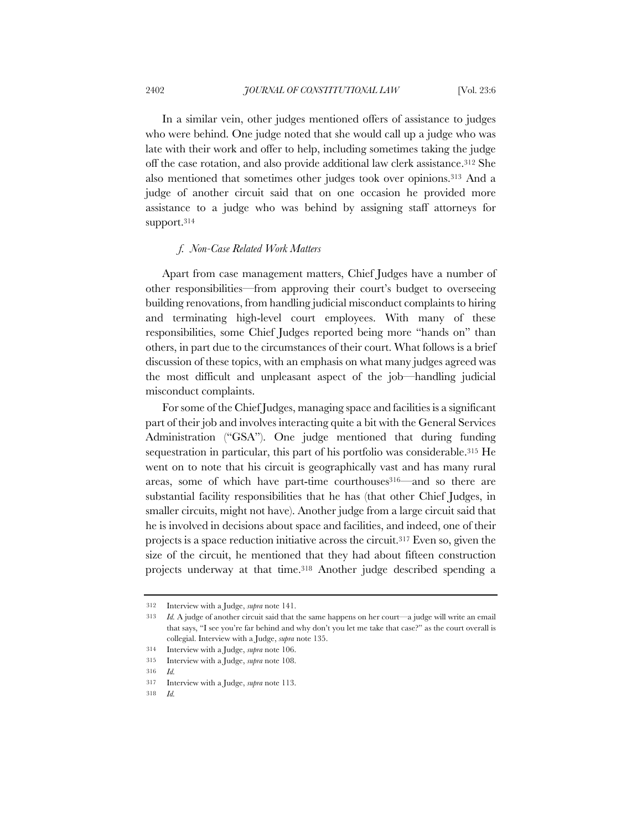In a similar vein, other judges mentioned offers of assistance to judges who were behind. One judge noted that she would call up a judge who was late with their work and offer to help, including sometimes taking the judge off the case rotation, and also provide additional law clerk assistance.312 She also mentioned that sometimes other judges took over opinions.313 And a judge of another circuit said that on one occasion he provided more assistance to a judge who was behind by assigning staff attorneys for support.314

## *f. Non-Case Related Work Matters*

Apart from case management matters, Chief Judges have a number of other responsibilities—from approving their court's budget to overseeing building renovations, from handling judicial misconduct complaints to hiring and terminating high-level court employees. With many of these responsibilities, some Chief Judges reported being more "hands on" than others, in part due to the circumstances of their court. What follows is a brief discussion of these topics, with an emphasis on what many judges agreed was the most difficult and unpleasant aspect of the job—handling judicial misconduct complaints.

For some of the Chief Judges, managing space and facilities is a significant part of their job and involves interacting quite a bit with the General Services Administration ("GSA"). One judge mentioned that during funding sequestration in particular, this part of his portfolio was considerable.<sup>315</sup> He went on to note that his circuit is geographically vast and has many rural areas, some of which have part-time courthouses<sup>316—</sup>and so there are substantial facility responsibilities that he has (that other Chief Judges, in smaller circuits, might not have). Another judge from a large circuit said that he is involved in decisions about space and facilities, and indeed, one of their projects is a space reduction initiative across the circuit.317 Even so, given the size of the circuit, he mentioned that they had about fifteen construction projects underway at that time.318 Another judge described spending a

<sup>312</sup> Interview with a Judge, *supra* note 141.

<sup>313</sup> *Id.* A judge of another circuit said that the same happens on her court—a judge will write an email that says, "I see you're far behind and why don't you let me take that case?" as the court overall is collegial. Interview with a Judge, *supra* note 135.

<sup>314</sup> Interview with a Judge, *supra* note 106.

<sup>315</sup> Interview with a Judge, *supra* note 108.

<sup>316</sup> *Id.*

<sup>317</sup> Interview with a Judge, *supra* note 113.

<sup>318</sup> *Id.*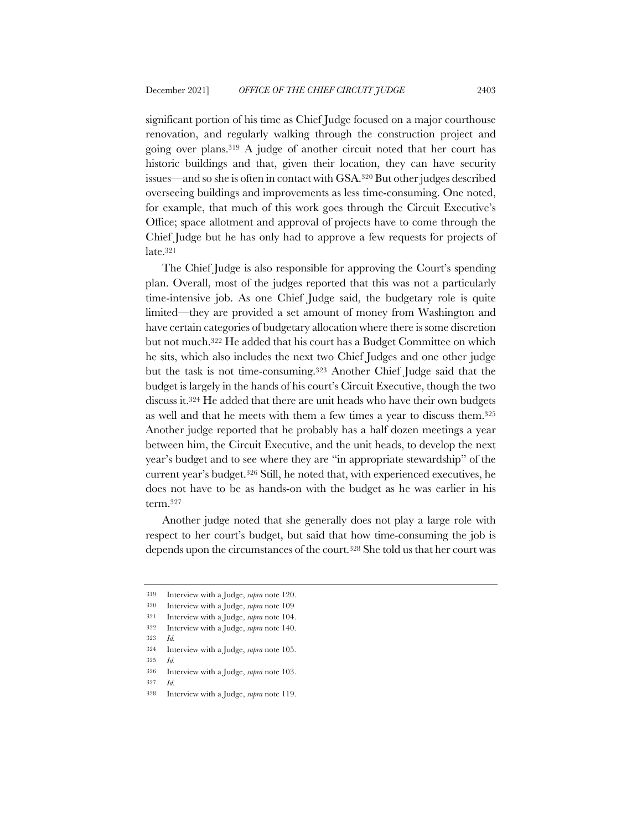significant portion of his time as Chief Judge focused on a major courthouse renovation, and regularly walking through the construction project and going over plans.319 A judge of another circuit noted that her court has historic buildings and that, given their location, they can have security issues—and so she is often in contact with GSA.320 But other judges described overseeing buildings and improvements as less time-consuming. One noted, for example, that much of this work goes through the Circuit Executive's Office; space allotment and approval of projects have to come through the Chief Judge but he has only had to approve a few requests for projects of late.321

The Chief Judge is also responsible for approving the Court's spending plan. Overall, most of the judges reported that this was not a particularly time-intensive job. As one Chief Judge said, the budgetary role is quite limited—they are provided a set amount of money from Washington and have certain categories of budgetary allocation where there is some discretion but not much.322 He added that his court has a Budget Committee on which he sits, which also includes the next two Chief Judges and one other judge but the task is not time-consuming.323 Another Chief Judge said that the budget is largely in the hands of his court's Circuit Executive, though the two discuss it.324 He added that there are unit heads who have their own budgets as well and that he meets with them a few times a year to discuss them.325 Another judge reported that he probably has a half dozen meetings a year between him, the Circuit Executive, and the unit heads, to develop the next year's budget and to see where they are "in appropriate stewardship" of the current year's budget.326 Still, he noted that, with experienced executives, he does not have to be as hands-on with the budget as he was earlier in his term.327

Another judge noted that she generally does not play a large role with respect to her court's budget, but said that how time-consuming the job is depends upon the circumstances of the court.328 She told us that her court was

<sup>319</sup> Interview with a Judge, *supra* note 120.

<sup>320</sup> Interview with a Judge, *supra* note 109

<sup>321</sup> Interview with a Judge, *supra* note 104.

<sup>322</sup> Interview with a Judge, *supra* note 140.

<sup>323</sup> *Id.*

<sup>324</sup> Interview with a Judge, *supra* note 105.

<sup>326</sup> Interview with a Judge, *supra* note 103.

<sup>327</sup> *Id.*

<sup>328</sup> Interview with a Judge, *supra* note 119.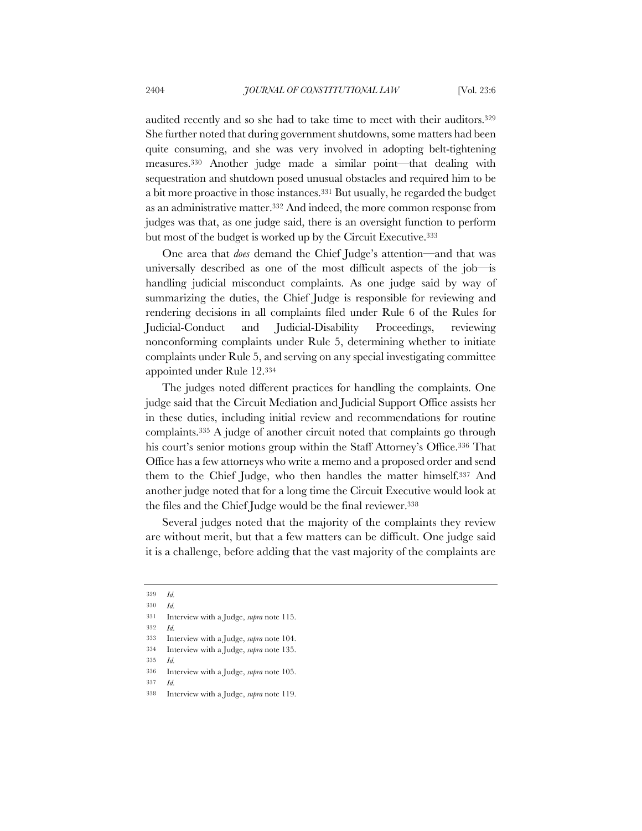audited recently and so she had to take time to meet with their auditors.329 She further noted that during government shutdowns, some matters had been quite consuming, and she was very involved in adopting belt-tightening measures.330 Another judge made a similar point—that dealing with sequestration and shutdown posed unusual obstacles and required him to be a bit more proactive in those instances.331 But usually, he regarded the budget as an administrative matter.332 And indeed, the more common response from judges was that, as one judge said, there is an oversight function to perform but most of the budget is worked up by the Circuit Executive.333

One area that *does* demand the Chief Judge's attention—and that was universally described as one of the most difficult aspects of the job—is handling judicial misconduct complaints. As one judge said by way of summarizing the duties, the Chief Judge is responsible for reviewing and rendering decisions in all complaints filed under Rule 6 of the Rules for Judicial-Conduct and Judicial-Disability Proceedings, reviewing nonconforming complaints under Rule 5, determining whether to initiate complaints under Rule 5, and serving on any special investigating committee appointed under Rule 12.334

The judges noted different practices for handling the complaints. One judge said that the Circuit Mediation and Judicial Support Office assists her in these duties, including initial review and recommendations for routine complaints.335 A judge of another circuit noted that complaints go through his court's senior motions group within the Staff Attorney's Office.<sup>336</sup> That Office has a few attorneys who write a memo and a proposed order and send them to the Chief Judge, who then handles the matter himself.337 And another judge noted that for a long time the Circuit Executive would look at the files and the Chief Judge would be the final reviewer.338

Several judges noted that the majority of the complaints they review are without merit, but that a few matters can be difficult. One judge said it is a challenge, before adding that the vast majority of the complaints are

332 *Id.*

- 337 *Id.*
- 338 Interview with a Judge, *supra* note 119.

<sup>329</sup> *Id.*

<sup>330</sup> *Id.*

<sup>331</sup> Interview with a Judge, *supra* note 115.

<sup>333</sup> Interview with a Judge, *supra* note 104.

<sup>334</sup> Interview with a Judge, *supra* note 135.

<sup>336</sup> Interview with a Judge, *supra* note 105.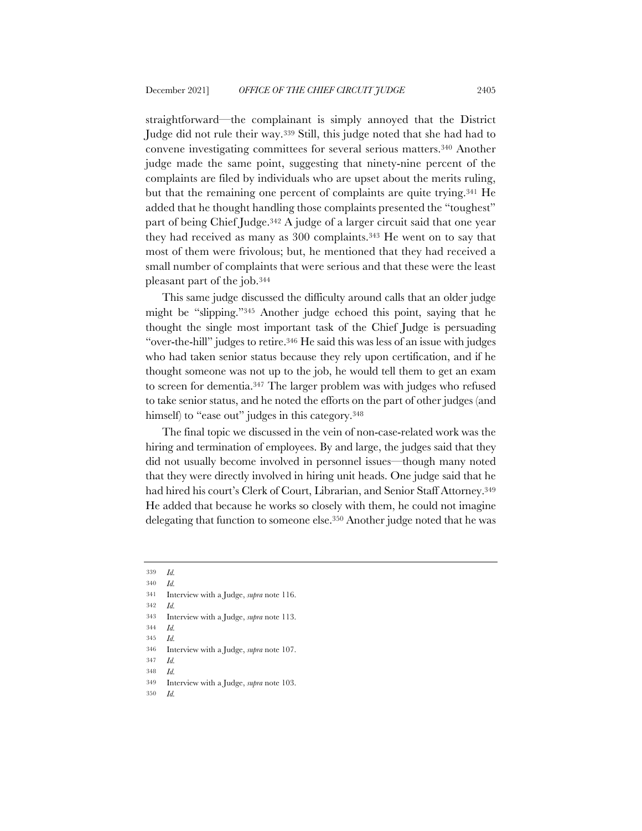straightforward—the complainant is simply annoyed that the District Judge did not rule their way.339 Still, this judge noted that she had had to convene investigating committees for several serious matters.340 Another judge made the same point, suggesting that ninety-nine percent of the complaints are filed by individuals who are upset about the merits ruling, but that the remaining one percent of complaints are quite trying.341 He added that he thought handling those complaints presented the "toughest" part of being Chief Judge.342 A judge of a larger circuit said that one year they had received as many as 300 complaints.343 He went on to say that most of them were frivolous; but, he mentioned that they had received a small number of complaints that were serious and that these were the least pleasant part of the job.344

This same judge discussed the difficulty around calls that an older judge might be "slipping."345 Another judge echoed this point, saying that he thought the single most important task of the Chief Judge is persuading "over-the-hill" judges to retire.346 He said this was less of an issue with judges who had taken senior status because they rely upon certification, and if he thought someone was not up to the job, he would tell them to get an exam to screen for dementia.347 The larger problem was with judges who refused to take senior status, and he noted the efforts on the part of other judges (and himself) to "ease out" judges in this category.<sup>348</sup>

The final topic we discussed in the vein of non-case-related work was the hiring and termination of employees. By and large, the judges said that they did not usually become involved in personnel issues—though many noted that they were directly involved in hiring unit heads. One judge said that he had hired his court's Clerk of Court, Librarian, and Senior Staff Attorney.349 He added that because he works so closely with them, he could not imagine delegating that function to someone else.350 Another judge noted that he was

- 343 Interview with a Judge, *supra* note 113.
- 344 *Id.*
- 345 *Id.*

- 347 *Id.*
- 348 *Id.*
- 349 Interview with a Judge, *supra* note 103.
- 350 *Id.*

<sup>339</sup> *Id.*

<sup>340</sup> *Id.*

<sup>341</sup> Interview with a Judge, *supra* note 116.

<sup>346</sup> Interview with a Judge, *supra* note 107.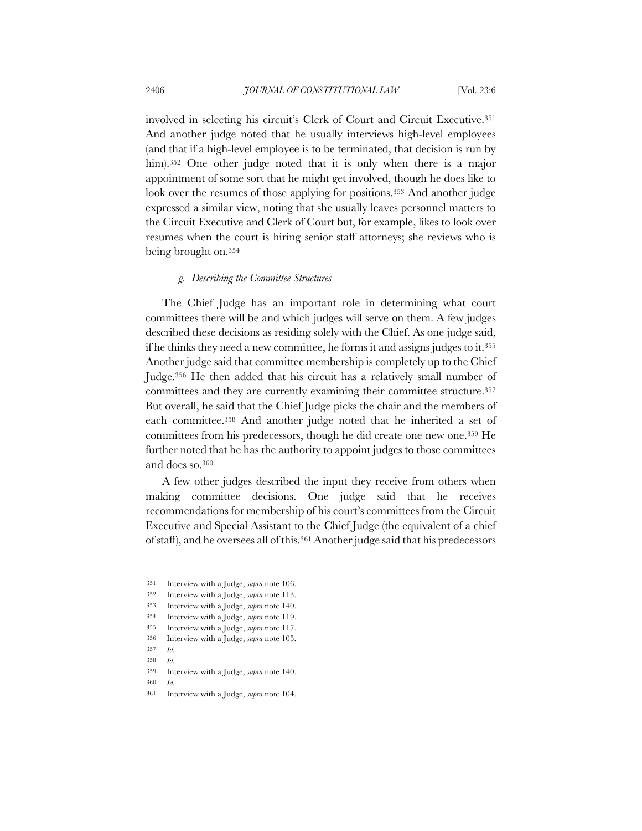involved in selecting his circuit's Clerk of Court and Circuit Executive.351 And another judge noted that he usually interviews high-level employees (and that if a high-level employee is to be terminated, that decision is run by him).<sup>352</sup> One other judge noted that it is only when there is a major appointment of some sort that he might get involved, though he does like to look over the resumes of those applying for positions.<sup>353</sup> And another judge expressed a similar view, noting that she usually leaves personnel matters to the Circuit Executive and Clerk of Court but, for example, likes to look over resumes when the court is hiring senior staff attorneys; she reviews who is being brought on.354

### *g. Describing the Committee Structures*

The Chief Judge has an important role in determining what court committees there will be and which judges will serve on them. A few judges described these decisions as residing solely with the Chief. As one judge said, if he thinks they need a new committee, he forms it and assigns judges to it.355 Another judge said that committee membership is completely up to the Chief Judge.356 He then added that his circuit has a relatively small number of committees and they are currently examining their committee structure.357 But overall, he said that the Chief Judge picks the chair and the members of each committee.358 And another judge noted that he inherited a set of committees from his predecessors, though he did create one new one.359 He further noted that he has the authority to appoint judges to those committees and does so.360

A few other judges described the input they receive from others when making committee decisions. One judge said that he receives recommendations for membership of his court's committees from the Circuit Executive and Special Assistant to the Chief Judge (the equivalent of a chief of staff), and he oversees all of this.361 Another judge said that his predecessors

- 356 Interview with a Judge, *supra* note 105.
- 357 *Id.*
- 358 *Id.*

<sup>351</sup> Interview with a Judge, *supra* note 106.

<sup>352</sup> Interview with a Judge, *supra* note 113.

<sup>353</sup> Interview with a Judge, *supra* note 140.

<sup>354</sup> Interview with a Judge, *supra* note 119.

<sup>355</sup> Interview with a Judge, *supra* note 117.

<sup>359</sup> Interview with a Judge, *supra* note 140.

<sup>361</sup> Interview with a Judge, *supra* note 104.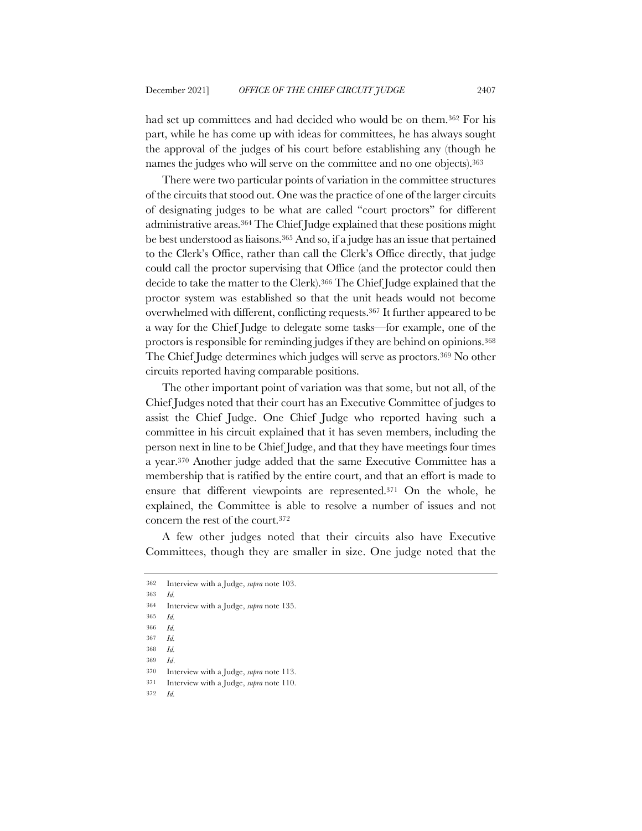had set up committees and had decided who would be on them.362 For his part, while he has come up with ideas for committees, he has always sought the approval of the judges of his court before establishing any (though he names the judges who will serve on the committee and no one objects).363

There were two particular points of variation in the committee structures of the circuits that stood out. One was the practice of one of the larger circuits of designating judges to be what are called "court proctors" for different administrative areas.364 The Chief Judge explained that these positions might be best understood as liaisons.365 And so, if a judge has an issue that pertained to the Clerk's Office, rather than call the Clerk's Office directly, that judge could call the proctor supervising that Office (and the protector could then decide to take the matter to the Clerk).366 The Chief Judge explained that the proctor system was established so that the unit heads would not become overwhelmed with different, conflicting requests.367 It further appeared to be a way for the Chief Judge to delegate some tasks—for example, one of the proctors is responsible for reminding judges if they are behind on opinions.368 The Chief Judge determines which judges will serve as proctors.369 No other circuits reported having comparable positions.

The other important point of variation was that some, but not all, of the Chief Judges noted that their court has an Executive Committee of judges to assist the Chief Judge. One Chief Judge who reported having such a committee in his circuit explained that it has seven members, including the person next in line to be Chief Judge, and that they have meetings four times a year.370 Another judge added that the same Executive Committee has a membership that is ratified by the entire court, and that an effort is made to ensure that different viewpoints are represented.371 On the whole, he explained, the Committee is able to resolve a number of issues and not concern the rest of the court.372

A few other judges noted that their circuits also have Executive Committees, though they are smaller in size. One judge noted that the

363 *Id.*

369 *Id*.

<sup>362</sup> Interview with a Judge, *supra* note 103.

<sup>364</sup> Interview with a Judge, *supra* note 135.

<sup>365</sup> *Id.*

<sup>366</sup> *Id.*

<sup>367</sup> *Id.*

<sup>368</sup> *Id.*

<sup>370</sup> Interview with a Judge, *supra* note 113.

<sup>371</sup> Interview with a Judge, *supra* note 110.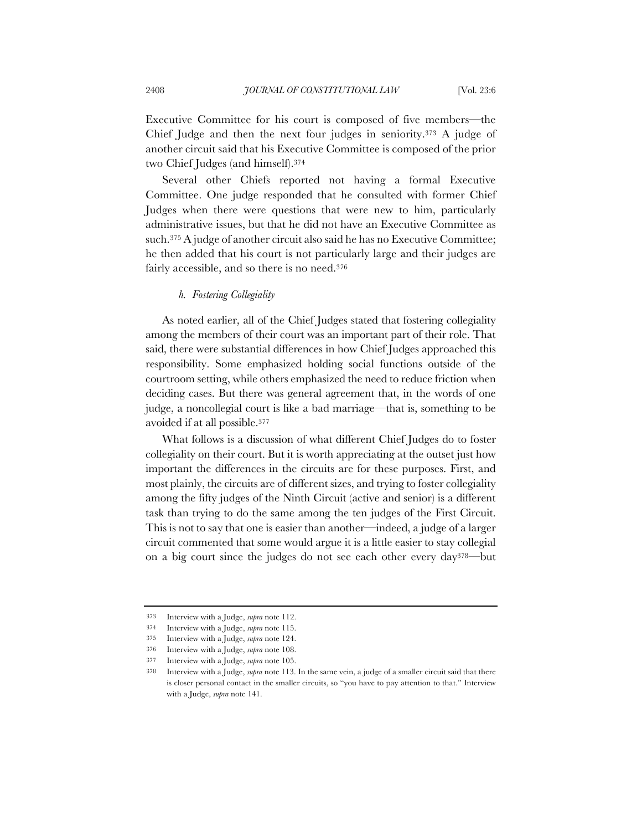Executive Committee for his court is composed of five members—the Chief Judge and then the next four judges in seniority.373 A judge of another circuit said that his Executive Committee is composed of the prior two Chief Judges (and himself).374

Several other Chiefs reported not having a formal Executive Committee. One judge responded that he consulted with former Chief Judges when there were questions that were new to him, particularly administrative issues, but that he did not have an Executive Committee as such.375 A judge of another circuit also said he has no Executive Committee; he then added that his court is not particularly large and their judges are fairly accessible, and so there is no need.376

## *h. Fostering Collegiality*

As noted earlier, all of the Chief Judges stated that fostering collegiality among the members of their court was an important part of their role. That said, there were substantial differences in how Chief Judges approached this responsibility. Some emphasized holding social functions outside of the courtroom setting, while others emphasized the need to reduce friction when deciding cases. But there was general agreement that, in the words of one judge, a noncollegial court is like a bad marriage—that is, something to be avoided if at all possible.377

What follows is a discussion of what different Chief Judges do to foster collegiality on their court. But it is worth appreciating at the outset just how important the differences in the circuits are for these purposes. First, and most plainly, the circuits are of different sizes, and trying to foster collegiality among the fifty judges of the Ninth Circuit (active and senior) is a different task than trying to do the same among the ten judges of the First Circuit. This is not to say that one is easier than another—indeed, a judge of a larger circuit commented that some would argue it is a little easier to stay collegial on a big court since the judges do not see each other every day378—but

<sup>373</sup> Interview with a Judge, *supra* note 112.

<sup>374</sup> Interview with a Judge, *supra* note 115.

<sup>375</sup> Interview with a Judge, *supra* note 124.

<sup>376</sup> Interview with a Judge, *supra* note 108.

<sup>377</sup> Interview with a Judge, *supra* note 105.

<sup>378</sup> Interview with a Judge, *supra* note 113. In the same vein, a judge of a smaller circuit said that there is closer personal contact in the smaller circuits, so "you have to pay attention to that." Interview with a Judge, *supra* note 141.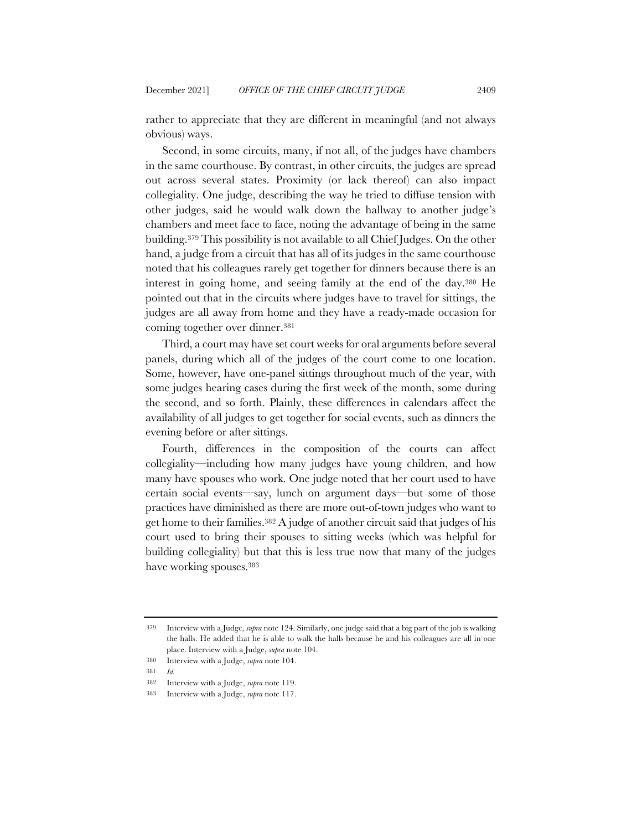rather to appreciate that they are different in meaningful (and not always obvious) ways.

Second, in some circuits, many, if not all, of the judges have chambers in the same courthouse. By contrast, in other circuits, the judges are spread out across several states. Proximity (or lack thereof) can also impact collegiality. One judge, describing the way he tried to diffuse tension with other judges, said he would walk down the hallway to another judge's chambers and meet face to face, noting the advantage of being in the same building.379 This possibility is not available to all Chief Judges. On the other hand, a judge from a circuit that has all of its judges in the same courthouse noted that his colleagues rarely get together for dinners because there is an interest in going home, and seeing family at the end of the day.380 He pointed out that in the circuits where judges have to travel for sittings, the judges are all away from home and they have a ready-made occasion for coming together over dinner.381

Third, a court may have set court weeks for oral arguments before several panels, during which all of the judges of the court come to one location. Some, however, have one-panel sittings throughout much of the year, with some judges hearing cases during the first week of the month, some during the second, and so forth. Plainly, these differences in calendars affect the availability of all judges to get together for social events, such as dinners the evening before or after sittings.

Fourth, differences in the composition of the courts can affect collegiality—including how many judges have young children, and how many have spouses who work. One judge noted that her court used to have certain social events—say, lunch on argument days—but some of those practices have diminished as there are more out-of-town judges who want to get home to their families.382 A judge of another circuit said that judges of his court used to bring their spouses to sitting weeks (which was helpful for building collegiality) but that this is less true now that many of the judges have working spouses.383

<sup>379</sup> Interview with a Judge, *supra* note 124. Similarly, one judge said that a big part of the job is walking the halls. He added that he is able to walk the halls because he and his colleagues are all in one place. Interview with a Judge, *supra* note 104.

<sup>380</sup> Interview with a Judge, *supra* note 104.

<sup>381</sup> *Id.*

<sup>382</sup> Interview with a Judge, *supra* note 119.

<sup>383</sup> Interview with a Judge, *supra* note 117.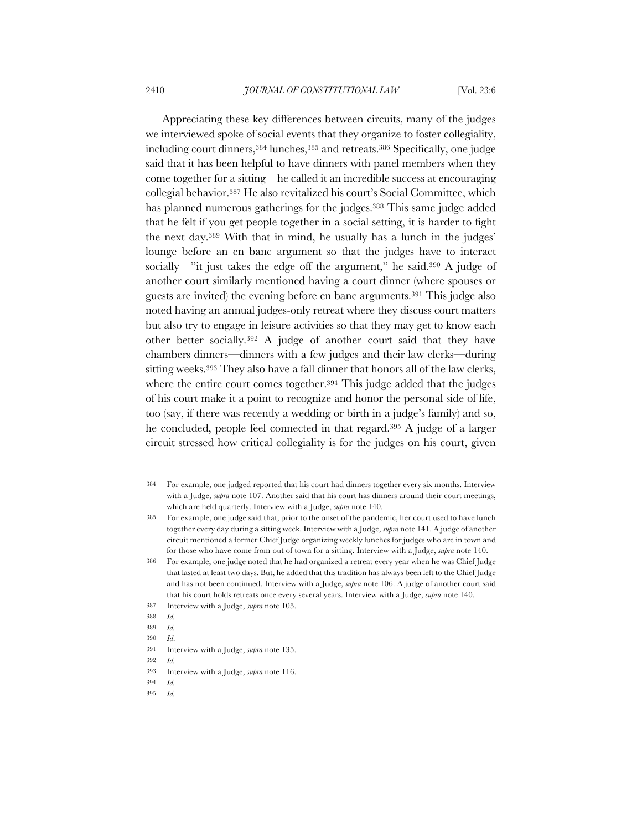Appreciating these key differences between circuits, many of the judges we interviewed spoke of social events that they organize to foster collegiality, including court dinners, 384 lunches, 385 and retreats. 386 Specifically, one judge said that it has been helpful to have dinners with panel members when they come together for a sitting—he called it an incredible success at encouraging collegial behavior.387 He also revitalized his court's Social Committee, which has planned numerous gatherings for the judges.<sup>388</sup> This same judge added that he felt if you get people together in a social setting, it is harder to fight the next day.389 With that in mind, he usually has a lunch in the judges' lounge before an en banc argument so that the judges have to interact socially—"it just takes the edge off the argument," he said.390 A judge of another court similarly mentioned having a court dinner (where spouses or guests are invited) the evening before en banc arguments.391 This judge also noted having an annual judges-only retreat where they discuss court matters but also try to engage in leisure activities so that they may get to know each other better socially.392 A judge of another court said that they have chambers dinners—dinners with a few judges and their law clerks—during sitting weeks.393 They also have a fall dinner that honors all of the law clerks, where the entire court comes together.<sup>394</sup> This judge added that the judges of his court make it a point to recognize and honor the personal side of life, too (say, if there was recently a wedding or birth in a judge's family) and so, he concluded, people feel connected in that regard.395 A judge of a larger circuit stressed how critical collegiality is for the judges on his court, given

<sup>384</sup> For example, one judged reported that his court had dinners together every six months. Interview with a Judge, *supra* note 107. Another said that his court has dinners around their court meetings, which are held quarterly. Interview with a Judge, *supra* note 140.

<sup>385</sup> For example, one judge said that, prior to the onset of the pandemic, her court used to have lunch together every day during a sitting week. Interview with a Judge, *supra* note 141. A judge of another circuit mentioned a former Chief Judge organizing weekly lunches for judges who are in town and for those who have come from out of town for a sitting. Interview with a Judge, *supra* note 140.

<sup>386</sup> For example, one judge noted that he had organized a retreat every year when he was Chief Judge that lasted at least two days. But, he added that this tradition has always been left to the Chief Judge and has not been continued. Interview with a Judge, *supra* note 106. A judge of another court said that his court holds retreats once every several years. Interview with a Judge, *supra* note 140.

<sup>387</sup> Interview with a Judge, *supra* note 105.

<sup>388</sup> *Id.*

<sup>389</sup> *Id.*

<sup>390</sup> *Id*.

<sup>391</sup> Interview with a Judge, *supra* note 135.

<sup>392</sup> *Id.*

<sup>393</sup> Interview with a Judge, *supra* note 116.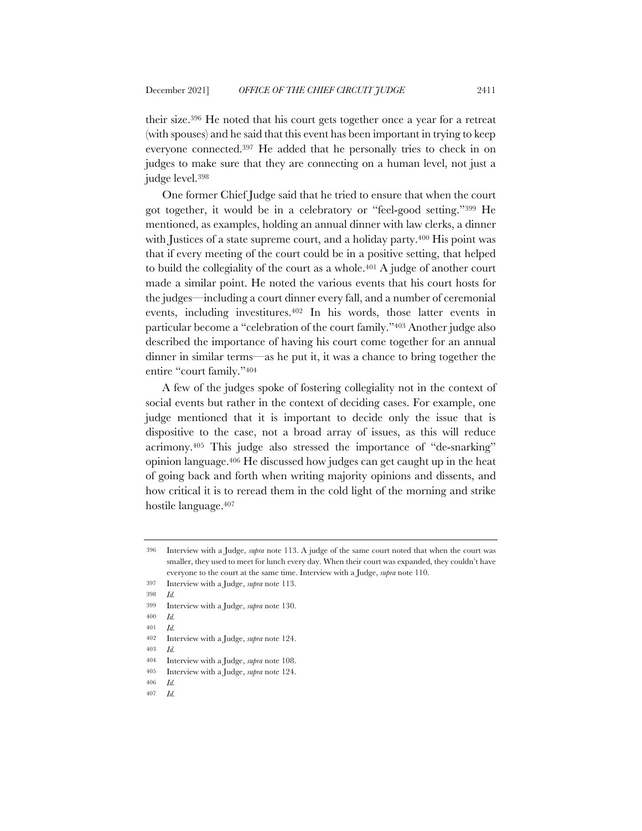their size.396 He noted that his court gets together once a year for a retreat (with spouses) and he said that this event has been important in trying to keep everyone connected.397 He added that he personally tries to check in on judges to make sure that they are connecting on a human level, not just a judge level.398

One former Chief Judge said that he tried to ensure that when the court got together, it would be in a celebratory or "feel-good setting."399 He mentioned, as examples, holding an annual dinner with law clerks, a dinner with Justices of a state supreme court, and a holiday party.<sup>400</sup> His point was that if every meeting of the court could be in a positive setting, that helped to build the collegiality of the court as a whole.401 A judge of another court made a similar point. He noted the various events that his court hosts for the judges—including a court dinner every fall, and a number of ceremonial events, including investitures.402 In his words, those latter events in particular become a "celebration of the court family."403 Another judge also described the importance of having his court come together for an annual dinner in similar terms—as he put it, it was a chance to bring together the entire "court family."404

A few of the judges spoke of fostering collegiality not in the context of social events but rather in the context of deciding cases. For example, one judge mentioned that it is important to decide only the issue that is dispositive to the case, not a broad array of issues, as this will reduce acrimony.405 This judge also stressed the importance of "de-snarking" opinion language.406 He discussed how judges can get caught up in the heat of going back and forth when writing majority opinions and dissents, and how critical it is to reread them in the cold light of the morning and strike hostile language.407

- 406 *Id.*
- 407 *Id.*

<sup>396</sup> Interview with a Judge, *supra* note 113. A judge of the same court noted that when the court was smaller, they used to meet for lunch every day. When their court was expanded, they couldn't have everyone to the court at the same time. Interview with a Judge, *supra* note 110.

<sup>397</sup> Interview with a Judge, *supra* note 113.

<sup>398</sup> *Id.*

<sup>399</sup> Interview with a Judge, *supra* note 130.

<sup>400</sup> *Id.*

<sup>401</sup> *Id.*

<sup>402</sup> Interview with a Judge, *supra* note 124.

<sup>403</sup> *Id.*

<sup>404</sup> Interview with a Judge, *supra* note 108.

<sup>405</sup> Interview with a Judge, *supra* note 124.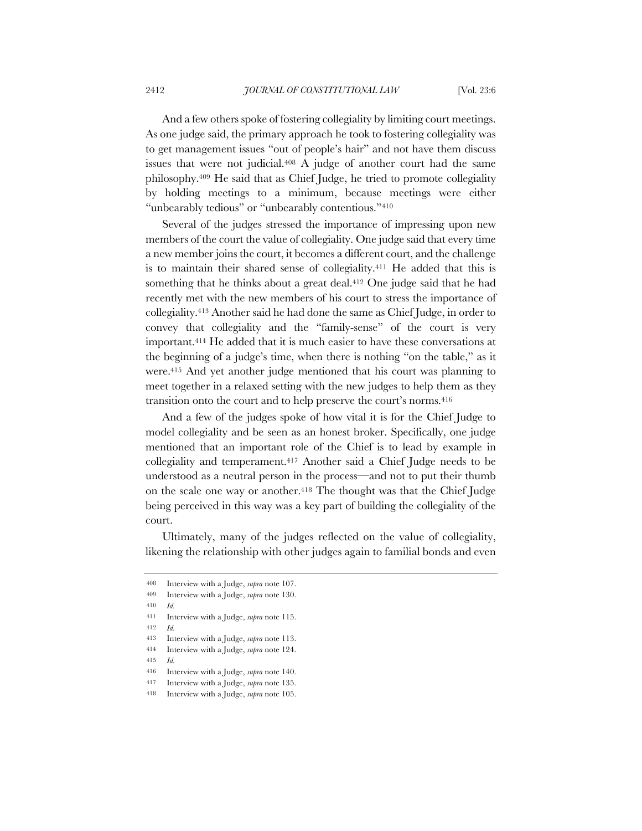And a few others spoke of fostering collegiality by limiting court meetings. As one judge said, the primary approach he took to fostering collegiality was to get management issues "out of people's hair" and not have them discuss issues that were not judicial.408 A judge of another court had the same philosophy.409 He said that as Chief Judge, he tried to promote collegiality by holding meetings to a minimum, because meetings were either "unbearably tedious" or "unbearably contentious."<sup>410</sup>

Several of the judges stressed the importance of impressing upon new members of the court the value of collegiality. One judge said that every time a new member joins the court, it becomes a different court, and the challenge is to maintain their shared sense of collegiality.411 He added that this is something that he thinks about a great deal.<sup>412</sup> One judge said that he had recently met with the new members of his court to stress the importance of collegiality.413 Another said he had done the same as Chief Judge, in order to convey that collegiality and the "family-sense" of the court is very important.414 He added that it is much easier to have these conversations at the beginning of a judge's time, when there is nothing "on the table," as it were.415 And yet another judge mentioned that his court was planning to meet together in a relaxed setting with the new judges to help them as they transition onto the court and to help preserve the court's norms.416

And a few of the judges spoke of how vital it is for the Chief Judge to model collegiality and be seen as an honest broker. Specifically, one judge mentioned that an important role of the Chief is to lead by example in collegiality and temperament.417 Another said a Chief Judge needs to be understood as a neutral person in the process—and not to put their thumb on the scale one way or another.418 The thought was that the Chief Judge being perceived in this way was a key part of building the collegiality of the court.

Ultimately, many of the judges reflected on the value of collegiality, likening the relationship with other judges again to familial bonds and even

412 *Id.*

<sup>408</sup> Interview with a Judge, *supra* note 107.

<sup>409</sup> Interview with a Judge, *supra* note 130.

<sup>410</sup> *Id.*

<sup>411</sup> Interview with a Judge, *supra* note 115.

<sup>413</sup> Interview with a Judge, *supra* note 113.

<sup>414</sup> Interview with a Judge, *supra* note 124.

<sup>416</sup> Interview with a Judge, *supra* note 140.

<sup>417</sup> Interview with a Judge, *supra* note 135.

<sup>418</sup> Interview with a Judge, *supra* note 105.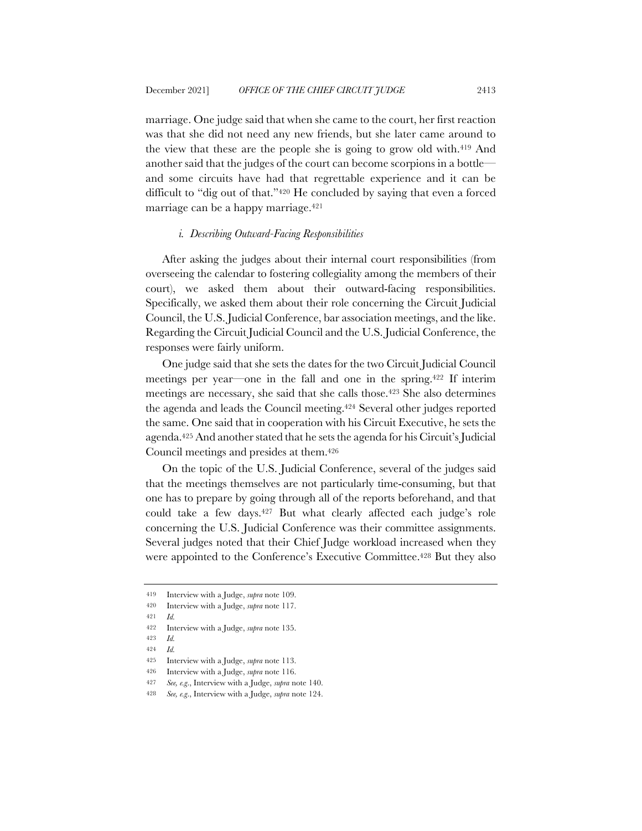marriage. One judge said that when she came to the court, her first reaction was that she did not need any new friends, but she later came around to the view that these are the people she is going to grow old with.419 And another said that the judges of the court can become scorpions in a bottle and some circuits have had that regrettable experience and it can be difficult to "dig out of that."420 He concluded by saying that even a forced marriage can be a happy marriage.421

#### *i. Describing Outward-Facing Responsibilities*

After asking the judges about their internal court responsibilities (from overseeing the calendar to fostering collegiality among the members of their court), we asked them about their outward-facing responsibilities. Specifically, we asked them about their role concerning the Circuit Judicial Council, the U.S. Judicial Conference, bar association meetings, and the like. Regarding the Circuit Judicial Council and the U.S. Judicial Conference, the responses were fairly uniform.

One judge said that she sets the dates for the two Circuit Judicial Council meetings per year—one in the fall and one in the spring.422 If interim meetings are necessary, she said that she calls those.423 She also determines the agenda and leads the Council meeting.424 Several other judges reported the same. One said that in cooperation with his Circuit Executive, he sets the agenda.425 And another stated that he sets the agenda for his Circuit's Judicial Council meetings and presides at them.426

On the topic of the U.S. Judicial Conference, several of the judges said that the meetings themselves are not particularly time-consuming, but that one has to prepare by going through all of the reports beforehand, and that could take a few days.427 But what clearly affected each judge's role concerning the U.S. Judicial Conference was their committee assignments. Several judges noted that their Chief Judge workload increased when they were appointed to the Conference's Executive Committee.<sup>428</sup> But they also

<sup>419</sup> Interview with a Judge, *supra* note 109.

<sup>420</sup> Interview with a Judge, *supra* note 117.

<sup>421</sup> *Id.*

<sup>422</sup> Interview with a Judge, *supra* note 135.

<sup>423</sup> *Id.*

<sup>424</sup> *Id.*

<sup>425</sup> Interview with a Judge, *supra* note 113.

<sup>426</sup> Interview with a Judge, *supra* note 116.

<sup>427</sup> *See, e.g*., Interview with a Judge, *supra* note 140.

<sup>428</sup> *See, e.g*., Interview with a Judge, *supra* note 124.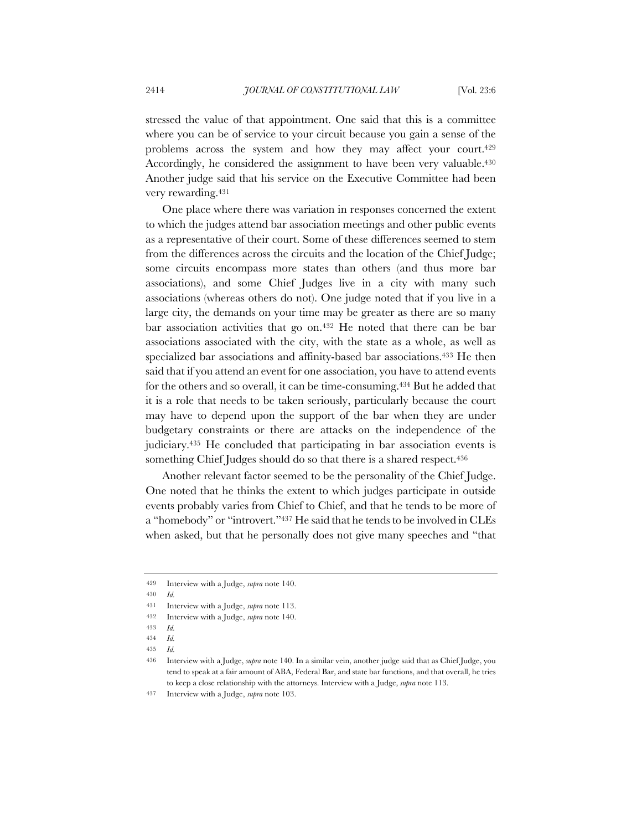stressed the value of that appointment. One said that this is a committee where you can be of service to your circuit because you gain a sense of the problems across the system and how they may affect your court.429 Accordingly, he considered the assignment to have been very valuable.430 Another judge said that his service on the Executive Committee had been very rewarding.431

One place where there was variation in responses concerned the extent to which the judges attend bar association meetings and other public events as a representative of their court. Some of these differences seemed to stem from the differences across the circuits and the location of the Chief Judge; some circuits encompass more states than others (and thus more bar associations), and some Chief Judges live in a city with many such associations (whereas others do not). One judge noted that if you live in a large city, the demands on your time may be greater as there are so many bar association activities that go on.432 He noted that there can be bar associations associated with the city, with the state as a whole, as well as specialized bar associations and affinity-based bar associations.433 He then said that if you attend an event for one association, you have to attend events for the others and so overall, it can be time-consuming.434 But he added that it is a role that needs to be taken seriously, particularly because the court may have to depend upon the support of the bar when they are under budgetary constraints or there are attacks on the independence of the judiciary.435 He concluded that participating in bar association events is something Chief Judges should do so that there is a shared respect.<sup>436</sup>

Another relevant factor seemed to be the personality of the Chief Judge. One noted that he thinks the extent to which judges participate in outside events probably varies from Chief to Chief, and that he tends to be more of a "homebody" or "introvert."437 He said that he tends to be involved in CLEs when asked, but that he personally does not give many speeches and "that

<sup>429</sup> Interview with a Judge, *supra* note 140.

<sup>430</sup> *Id.*

<sup>431</sup> Interview with a Judge, *supra* note 113.

<sup>432</sup> Interview with a Judge, *supra* note 140.

<sup>433</sup> *Id.*

<sup>434</sup> *Id.*

<sup>435</sup> *Id.*

<sup>436</sup> Interview with a Judge, *supra* note 140. In a similar vein, another judge said that as Chief Judge, you tend to speak at a fair amount of ABA, Federal Bar, and state bar functions, and that overall, he tries to keep a close relationship with the attorneys. Interview with a Judge, *supra* note 113.

<sup>437</sup> Interview with a Judge, *supra* note 103.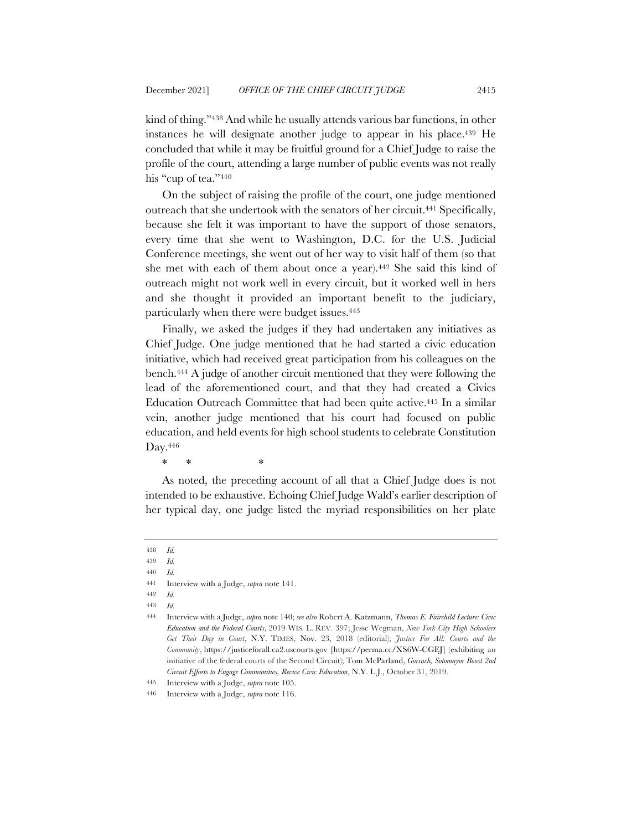kind of thing."438 And while he usually attends various bar functions, in other instances he will designate another judge to appear in his place.439 He concluded that while it may be fruitful ground for a Chief Judge to raise the profile of the court, attending a large number of public events was not really his "cup of tea."440

On the subject of raising the profile of the court, one judge mentioned outreach that she undertook with the senators of her circuit.441 Specifically, because she felt it was important to have the support of those senators, every time that she went to Washington, D.C. for the U.S. Judicial Conference meetings, she went out of her way to visit half of them (so that she met with each of them about once a year).442 She said this kind of outreach might not work well in every circuit, but it worked well in hers and she thought it provided an important benefit to the judiciary, particularly when there were budget issues.443

Finally, we asked the judges if they had undertaken any initiatives as Chief Judge. One judge mentioned that he had started a civic education initiative, which had received great participation from his colleagues on the bench.444 A judge of another circuit mentioned that they were following the lead of the aforementioned court, and that they had created a Civics Education Outreach Committee that had been quite active.445 In a similar vein, another judge mentioned that his court had focused on public education, and held events for high school students to celebrate Constitution Day.446

\* \* \*

As noted, the preceding account of all that a Chief Judge does is not intended to be exhaustive. Echoing Chief Judge Wald's earlier description of her typical day, one judge listed the myriad responsibilities on her plate

<sup>438</sup> *Id.*

<sup>439</sup> *Id.* 440 *Id.*

<sup>441</sup> Interview with a Judge, *supra* note 141.

<sup>443</sup> *Id.*

<sup>444</sup> Interview with a Judge, *supra* note 140; *see also* Robert A. Katzmann, *Thomas E. Fairchild Lecture: Civic Education and the Federal Courts*, 2019 WIS. L. REV. 397; Jesse Wegman, *New York City High Schoolers Get Their Day in Court*, N.Y. TIMES, Nov. 23, 2018 (editorial); *Justice For All: Courts and the Community*, https://justiceforall.ca2.uscourts.gov [https://perma.cc/XS6W-CGEJ] (exhibiting an initiative of the federal courts of the Second Circuit); Tom McParland, *Gorsuch, Sotomayor Boost 2nd Circuit Efforts to Engage Communities, Revive Civic Education*, N.Y. L.J., October 31, 2019.

<sup>445</sup> Interview with a Judge, *supra* note 105.

<sup>446</sup> Interview with a Judge, *supra* note 116.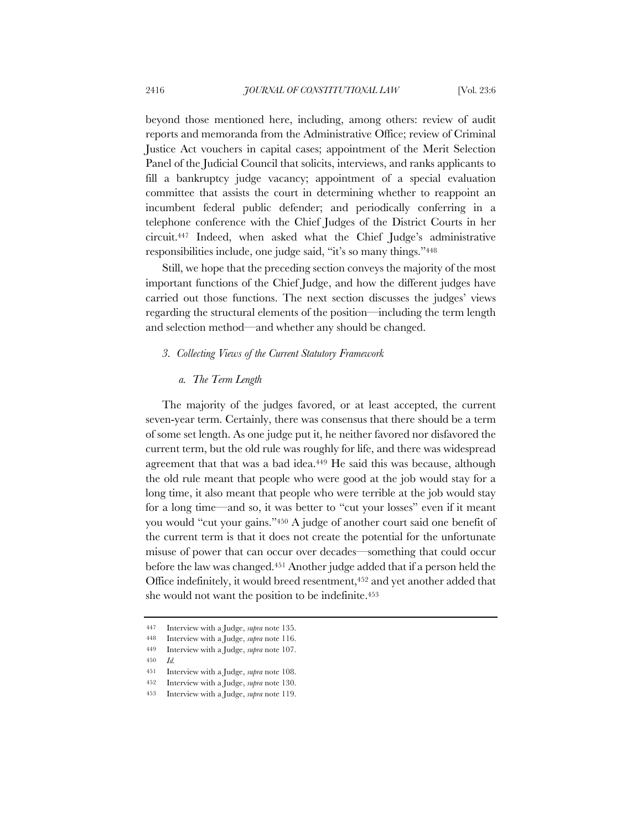beyond those mentioned here, including, among others: review of audit reports and memoranda from the Administrative Office; review of Criminal Justice Act vouchers in capital cases; appointment of the Merit Selection Panel of the Judicial Council that solicits, interviews, and ranks applicants to fill a bankruptcy judge vacancy; appointment of a special evaluation committee that assists the court in determining whether to reappoint an incumbent federal public defender; and periodically conferring in a telephone conference with the Chief Judges of the District Courts in her circuit.447 Indeed, when asked what the Chief Judge's administrative responsibilities include, one judge said, "it's so many things."448

Still, we hope that the preceding section conveys the majority of the most important functions of the Chief Judge, and how the different judges have carried out those functions. The next section discusses the judges' views regarding the structural elements of the position—including the term length and selection method—and whether any should be changed.

#### *3. Collecting Views of the Current Statutory Framework*

## *a. The Term Length*

The majority of the judges favored, or at least accepted, the current seven-year term. Certainly, there was consensus that there should be a term of some set length. As one judge put it, he neither favored nor disfavored the current term, but the old rule was roughly for life, and there was widespread agreement that that was a bad idea.449 He said this was because, although the old rule meant that people who were good at the job would stay for a long time, it also meant that people who were terrible at the job would stay for a long time—and so, it was better to "cut your losses" even if it meant you would "cut your gains."450 A judge of another court said one benefit of the current term is that it does not create the potential for the unfortunate misuse of power that can occur over decades—something that could occur before the law was changed.451 Another judge added that if a person held the Office indefinitely, it would breed resentment,<sup>452</sup> and yet another added that she would not want the position to be indefinite.<sup>453</sup>

<sup>447</sup> Interview with a Judge, *supra* note 135.

<sup>448</sup> Interview with a Judge, *supra* note 116.

<sup>449</sup> Interview with a Judge, *supra* note 107.

<sup>450</sup> *Id.*

<sup>451</sup> Interview with a Judge, *supra* note 108.

<sup>452</sup> Interview with a Judge, *supra* note 130.

<sup>453</sup> Interview with a Judge, *supra* note 119.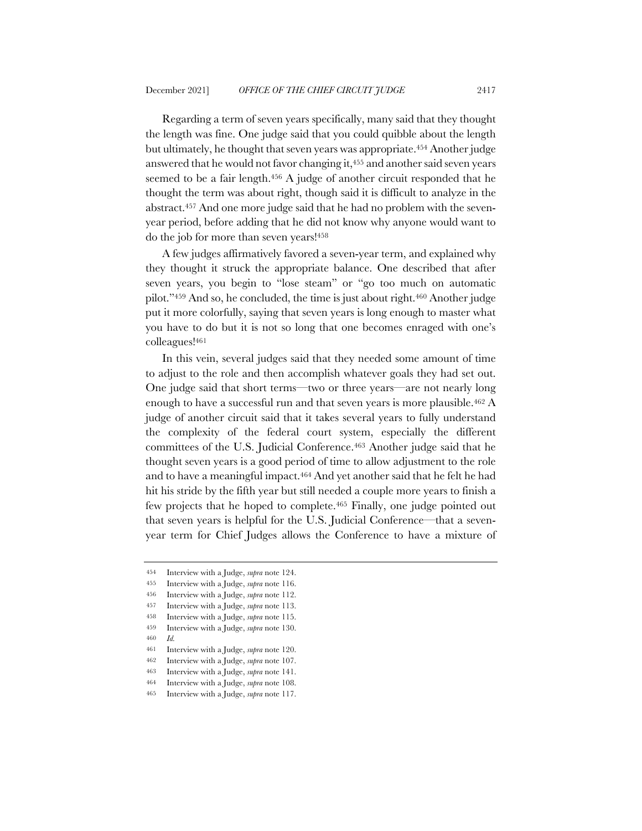Regarding a term of seven years specifically, many said that they thought the length was fine. One judge said that you could quibble about the length but ultimately, he thought that seven years was appropriate.454 Another judge answered that he would not favor changing it,455 and another said seven years seemed to be a fair length.<sup>456</sup> A judge of another circuit responded that he thought the term was about right, though said it is difficult to analyze in the abstract.457 And one more judge said that he had no problem with the sevenyear period, before adding that he did not know why anyone would want to do the job for more than seven years!458

A few judges affirmatively favored a seven-year term, and explained why they thought it struck the appropriate balance. One described that after seven years, you begin to "lose steam" or "go too much on automatic pilot."459 And so, he concluded, the time is just about right.460 Another judge put it more colorfully, saying that seven years is long enough to master what you have to do but it is not so long that one becomes enraged with one's colleagues!461

In this vein, several judges said that they needed some amount of time to adjust to the role and then accomplish whatever goals they had set out. One judge said that short terms—two or three years—are not nearly long enough to have a successful run and that seven years is more plausible.<sup>462</sup> A judge of another circuit said that it takes several years to fully understand the complexity of the federal court system, especially the different committees of the U.S. Judicial Conference.463 Another judge said that he thought seven years is a good period of time to allow adjustment to the role and to have a meaningful impact.464 And yet another said that he felt he had hit his stride by the fifth year but still needed a couple more years to finish a few projects that he hoped to complete.465 Finally, one judge pointed out that seven years is helpful for the U.S. Judicial Conference—that a sevenyear term for Chief Judges allows the Conference to have a mixture of

457 Interview with a Judge, *supra* note 113.

<sup>454</sup> Interview with a Judge, *supra* note 124.

<sup>455</sup> Interview with a Judge, *supra* note 116.

<sup>456</sup> Interview with a Judge, *supra* note 112.

<sup>458</sup> Interview with a Judge, *supra* note 115.

<sup>459</sup> Interview with a Judge, *supra* note 130. 460 *Id.*

<sup>461</sup> Interview with a Judge, *supra* note 120.

<sup>462</sup> Interview with a Judge, *supra* note 107.

<sup>463</sup> Interview with a Judge, *supra* note 141.

<sup>464</sup> Interview with a Judge, *supra* note 108.

<sup>465</sup> Interview with a Judge, *supra* note 117.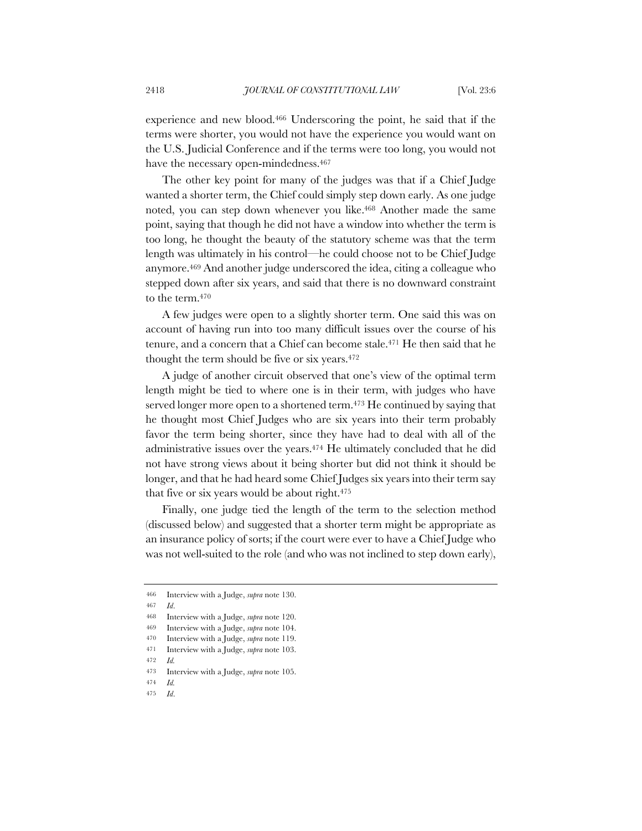experience and new blood.466 Underscoring the point, he said that if the terms were shorter, you would not have the experience you would want on the U.S. Judicial Conference and if the terms were too long, you would not have the necessary open-mindedness.<sup>467</sup>

The other key point for many of the judges was that if a Chief Judge wanted a shorter term, the Chief could simply step down early. As one judge noted, you can step down whenever you like.468 Another made the same point, saying that though he did not have a window into whether the term is too long, he thought the beauty of the statutory scheme was that the term length was ultimately in his control—he could choose not to be Chief Judge anymore.469 And another judge underscored the idea, citing a colleague who stepped down after six years, and said that there is no downward constraint to the term.470

A few judges were open to a slightly shorter term. One said this was on account of having run into too many difficult issues over the course of his tenure, and a concern that a Chief can become stale.471 He then said that he thought the term should be five or six years.472

A judge of another circuit observed that one's view of the optimal term length might be tied to where one is in their term, with judges who have served longer more open to a shortened term.<sup>473</sup> He continued by saying that he thought most Chief Judges who are six years into their term probably favor the term being shorter, since they have had to deal with all of the administrative issues over the years.474 He ultimately concluded that he did not have strong views about it being shorter but did not think it should be longer, and that he had heard some Chief Judges six years into their term say that five or six years would be about right.475

Finally, one judge tied the length of the term to the selection method (discussed below) and suggested that a shorter term might be appropriate as an insurance policy of sorts; if the court were ever to have a Chief Judge who was not well-suited to the role (and who was not inclined to step down early),

<sup>466</sup> Interview with a Judge, *supra* note 130.

<sup>467</sup> *Id*.

<sup>468</sup> Interview with a Judge, *supra* note 120.

<sup>469</sup> Interview with a Judge, *supra* note 104.

<sup>470</sup> Interview with a Judge, *supra* note 119.

<sup>471</sup> Interview with a Judge, *supra* note 103.

<sup>472</sup> *Id.*

<sup>473</sup> Interview with a Judge, *supra* note 105.

<sup>475</sup> *Id*.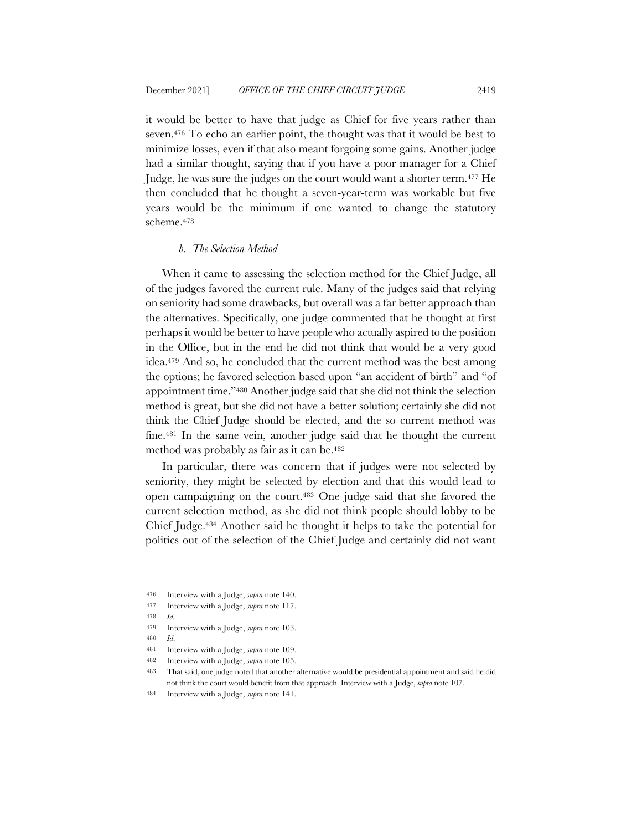it would be better to have that judge as Chief for five years rather than seven.476 To echo an earlier point, the thought was that it would be best to minimize losses, even if that also meant forgoing some gains. Another judge had a similar thought, saying that if you have a poor manager for a Chief Judge, he was sure the judges on the court would want a shorter term.477 He then concluded that he thought a seven-year-term was workable but five years would be the minimum if one wanted to change the statutory scheme.478

#### *b. The Selection Method*

When it came to assessing the selection method for the Chief Judge, all of the judges favored the current rule. Many of the judges said that relying on seniority had some drawbacks, but overall was a far better approach than the alternatives. Specifically, one judge commented that he thought at first perhaps it would be better to have people who actually aspired to the position in the Office, but in the end he did not think that would be a very good idea.479 And so, he concluded that the current method was the best among the options; he favored selection based upon "an accident of birth" and "of appointment time."480 Another judge said that she did not think the selection method is great, but she did not have a better solution; certainly she did not think the Chief Judge should be elected, and the so current method was fine.481 In the same vein, another judge said that he thought the current method was probably as fair as it can be.482

In particular, there was concern that if judges were not selected by seniority, they might be selected by election and that this would lead to open campaigning on the court.483 One judge said that she favored the current selection method, as she did not think people should lobby to be Chief Judge.484 Another said he thought it helps to take the potential for politics out of the selection of the Chief Judge and certainly did not want

<sup>476</sup> Interview with a Judge, *supra* note 140.

<sup>477</sup> Interview with a Judge, *supra* note 117.

<sup>478</sup> *Id.*

<sup>479</sup> Interview with a Judge, *supra* note 103.

<sup>480</sup> *Id*.

<sup>481</sup> Interview with a Judge, *supra* note 109.

<sup>482</sup> Interview with a Judge, *supra* note 105.

<sup>483</sup> That said, one judge noted that another alternative would be presidential appointment and said he did not think the court would benefit from that approach. Interview with a Judge, *supra* note 107.

<sup>484</sup> Interview with a Judge, *supra* note 141.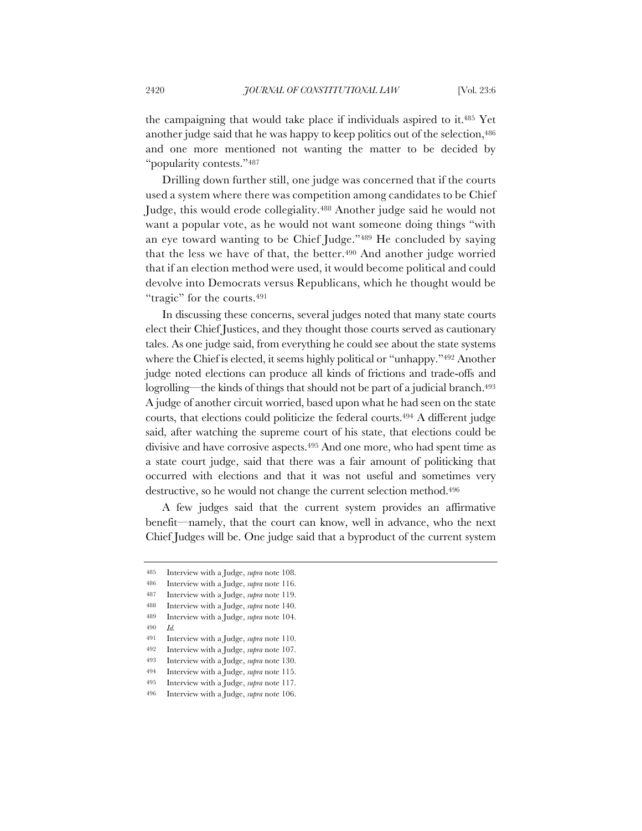the campaigning that would take place if individuals aspired to it.485 Yet another judge said that he was happy to keep politics out of the selection,<sup>486</sup> and one more mentioned not wanting the matter to be decided by "popularity contests."487

Drilling down further still, one judge was concerned that if the courts used a system where there was competition among candidates to be Chief Judge, this would erode collegiality.488 Another judge said he would not want a popular vote, as he would not want someone doing things "with an eye toward wanting to be Chief Judge."489 He concluded by saying that the less we have of that, the better.<sup>490</sup> And another judge worried that if an election method were used, it would become political and could devolve into Democrats versus Republicans, which he thought would be "tragic" for the courts.<sup>491</sup>

In discussing these concerns, several judges noted that many state courts elect their Chief Justices, and they thought those courts served as cautionary tales. As one judge said, from everything he could see about the state systems where the Chief is elected, it seems highly political or "unhappy."<sup>492</sup> Another judge noted elections can produce all kinds of frictions and trade-offs and logrolling—the kinds of things that should not be part of a judicial branch.<sup>493</sup> A judge of another circuit worried, based upon what he had seen on the state courts, that elections could politicize the federal courts.494 A different judge said, after watching the supreme court of his state, that elections could be divisive and have corrosive aspects.495 And one more, who had spent time as a state court judge, said that there was a fair amount of politicking that occurred with elections and that it was not useful and sometimes very destructive, so he would not change the current selection method.<sup>496</sup>

A few judges said that the current system provides an affirmative benefit—namely, that the court can know, well in advance, who the next Chief Judges will be. One judge said that a byproduct of the current system

- 488 Interview with a Judge, *supra* note 140. 489 Interview with a Judge, *supra* note 104.
- 490 *Id.*
	-

494 Interview with a Judge, *supra* note 115.

<sup>485</sup> Interview with a Judge, *supra* note 108.

<sup>486</sup> Interview with a Judge, *supra* note 116.

<sup>487</sup> Interview with a Judge, *supra* note 119.

<sup>491</sup> Interview with a Judge, *supra* note 110. 492 Interview with a Judge, *supra* note 107.

<sup>493</sup> Interview with a Judge, *supra* note 130.

<sup>495</sup> Interview with a Judge, *supra* note 117.

<sup>496</sup> Interview with a Judge, *supra* note 106.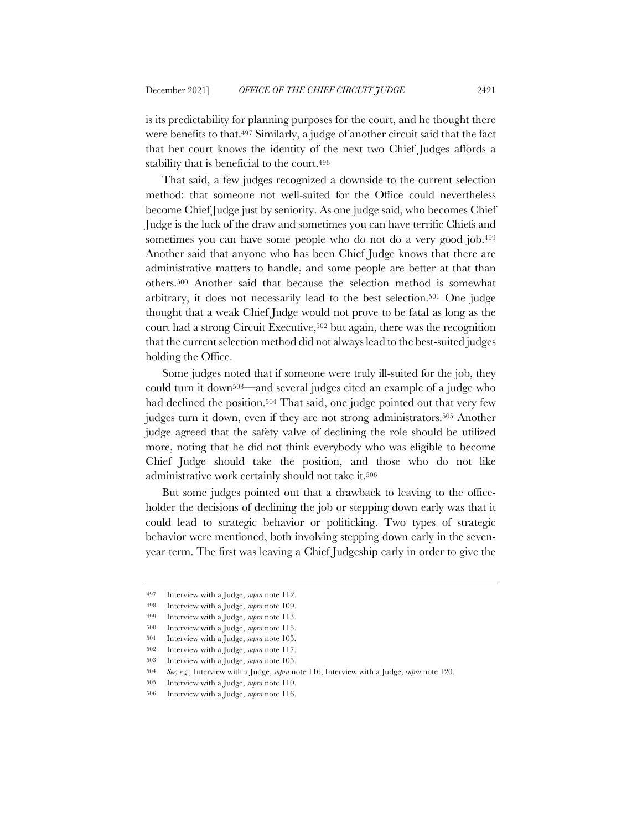is its predictability for planning purposes for the court, and he thought there were benefits to that.497 Similarly, a judge of another circuit said that the fact that her court knows the identity of the next two Chief Judges affords a stability that is beneficial to the court.<sup>498</sup>

That said, a few judges recognized a downside to the current selection method: that someone not well-suited for the Office could nevertheless become Chief Judge just by seniority. As one judge said, who becomes Chief Judge is the luck of the draw and sometimes you can have terrific Chiefs and sometimes you can have some people who do not do a very good job.<sup>499</sup> Another said that anyone who has been Chief Judge knows that there are administrative matters to handle, and some people are better at that than others.500 Another said that because the selection method is somewhat arbitrary, it does not necessarily lead to the best selection.501 One judge thought that a weak Chief Judge would not prove to be fatal as long as the court had a strong Circuit Executive,502 but again, there was the recognition that the current selection method did not always lead to the best-suited judges holding the Office.

Some judges noted that if someone were truly ill-suited for the job, they could turn it down503—and several judges cited an example of a judge who had declined the position.<sup>504</sup> That said, one judge pointed out that very few judges turn it down, even if they are not strong administrators.505 Another judge agreed that the safety valve of declining the role should be utilized more, noting that he did not think everybody who was eligible to become Chief Judge should take the position, and those who do not like administrative work certainly should not take it.506

But some judges pointed out that a drawback to leaving to the officeholder the decisions of declining the job or stepping down early was that it could lead to strategic behavior or politicking. Two types of strategic behavior were mentioned, both involving stepping down early in the sevenyear term. The first was leaving a Chief Judgeship early in order to give the

<sup>497</sup> Interview with a Judge, *supra* note 112.

<sup>498</sup> Interview with a Judge, *supra* note 109.

<sup>499</sup> Interview with a Judge, *supra* note 113.

<sup>500</sup> Interview with a Judge, *supra* note 115.

<sup>501</sup> Interview with a Judge, *supra* note 105.

<sup>502</sup> Interview with a Judge, *supra* note 117.

<sup>503</sup> Interview with a Judge, *supra* note 105.

<sup>504</sup> *See, e.g.,* Interview with a Judge, *supra* note 116; Interview with a Judge, *supra* note 120.

<sup>505</sup> Interview with a Judge, *supra* note 110.

<sup>506</sup> Interview with a Judge, *supra* note 116.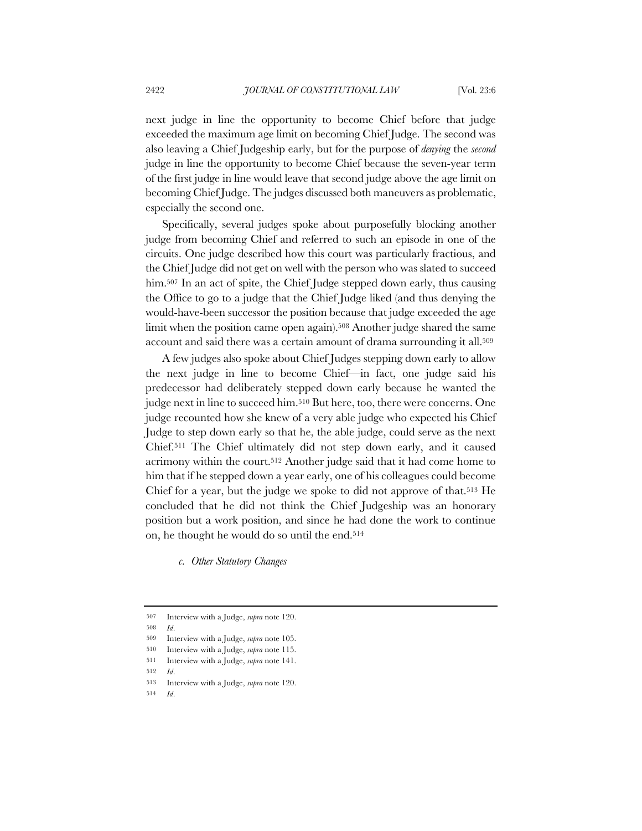next judge in line the opportunity to become Chief before that judge exceeded the maximum age limit on becoming Chief Judge. The second was also leaving a Chief Judgeship early, but for the purpose of *denying* the *second* judge in line the opportunity to become Chief because the seven-year term of the first judge in line would leave that second judge above the age limit on becoming Chief Judge. The judges discussed both maneuvers as problematic, especially the second one.

Specifically, several judges spoke about purposefully blocking another judge from becoming Chief and referred to such an episode in one of the circuits. One judge described how this court was particularly fractious, and the Chief Judge did not get on well with the person who was slated to succeed him.<sup>507</sup> In an act of spite, the Chief Judge stepped down early, thus causing the Office to go to a judge that the Chief Judge liked (and thus denying the would-have-been successor the position because that judge exceeded the age limit when the position came open again).<sup>508</sup> Another judge shared the same account and said there was a certain amount of drama surrounding it all.<sup>509</sup>

A few judges also spoke about Chief Judges stepping down early to allow the next judge in line to become Chief—in fact, one judge said his predecessor had deliberately stepped down early because he wanted the judge next in line to succeed him.510 But here, too, there were concerns. One judge recounted how she knew of a very able judge who expected his Chief Judge to step down early so that he, the able judge, could serve as the next Chief.511 The Chief ultimately did not step down early, and it caused acrimony within the court.512 Another judge said that it had come home to him that if he stepped down a year early, one of his colleagues could become Chief for a year, but the judge we spoke to did not approve of that.513 He concluded that he did not think the Chief Judgeship was an honorary position but a work position, and since he had done the work to continue on, he thought he would do so until the end.514

*c. Other Statutory Changes*

508 *Id*.

512 *Id*.

<sup>507</sup> Interview with a Judge, *supra* note 120.

<sup>509</sup> Interview with a Judge, *supra* note 105.

<sup>510</sup> Interview with a Judge, *supra* note 115.

<sup>511</sup> Interview with a Judge, *supra* note 141.

<sup>513</sup> Interview with a Judge, *supra* note 120.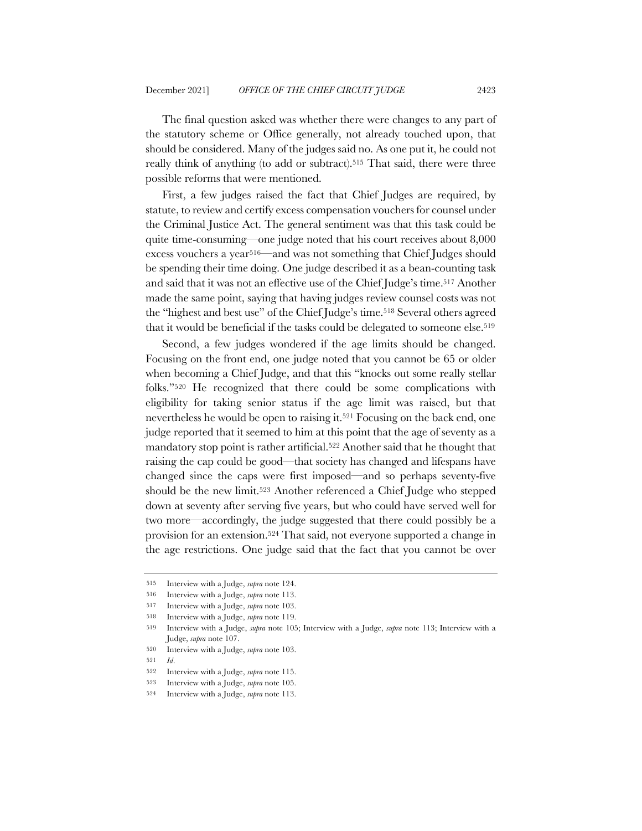The final question asked was whether there were changes to any part of the statutory scheme or Office generally, not already touched upon, that should be considered. Many of the judges said no. As one put it, he could not really think of anything (to add or subtract).<sup>515</sup> That said, there were three possible reforms that were mentioned.

First, a few judges raised the fact that Chief Judges are required, by statute, to review and certify excess compensation vouchers for counsel under the Criminal Justice Act. The general sentiment was that this task could be quite time-consuming—one judge noted that his court receives about 8,000 excess vouchers a year516—and was not something that Chief Judges should be spending their time doing. One judge described it as a bean-counting task and said that it was not an effective use of the Chief Judge's time.517 Another made the same point, saying that having judges review counsel costs was not the "highest and best use" of the Chief Judge's time.518 Several others agreed that it would be beneficial if the tasks could be delegated to someone else.519

Second, a few judges wondered if the age limits should be changed. Focusing on the front end, one judge noted that you cannot be 65 or older when becoming a Chief Judge, and that this "knocks out some really stellar folks."520 He recognized that there could be some complications with eligibility for taking senior status if the age limit was raised, but that nevertheless he would be open to raising it.521 Focusing on the back end, one judge reported that it seemed to him at this point that the age of seventy as a mandatory stop point is rather artificial.522 Another said that he thought that raising the cap could be good—that society has changed and lifespans have changed since the caps were first imposed—and so perhaps seventy-five should be the new limit.523 Another referenced a Chief Judge who stepped down at seventy after serving five years, but who could have served well for two more—accordingly, the judge suggested that there could possibly be a provision for an extension.524 That said, not everyone supported a change in the age restrictions. One judge said that the fact that you cannot be over

<sup>515</sup> Interview with a Judge, *supra* note 124.

<sup>516</sup> Interview with a Judge, *supra* note 113.

<sup>517</sup> Interview with a Judge, *supra* note 103.

<sup>518</sup> Interview with a Judge, *supra* note 119.

<sup>519</sup> Interview with a Judge, *supra* note 105; Interview with a Judge, *supra* note 113; Interview with a Judge, *supra* note 107.

<sup>520</sup> Interview with a Judge, *supra* note 103.

<sup>521</sup> *Id*.

<sup>522</sup> Interview with a Judge, *supra* note 115.

<sup>523</sup> Interview with a Judge, *supra* note 105.

<sup>524</sup> Interview with a Judge, *supra* note 113.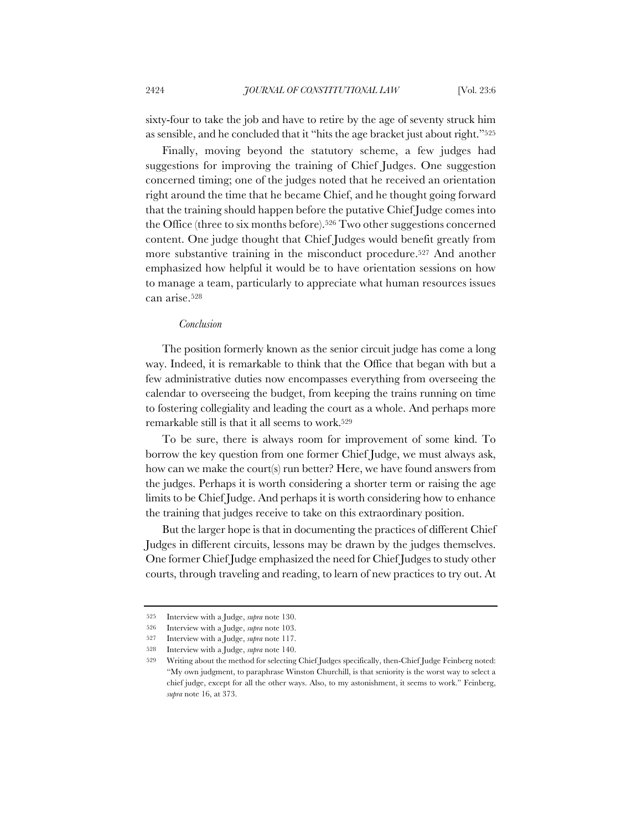sixty-four to take the job and have to retire by the age of seventy struck him as sensible, and he concluded that it "hits the age bracket just about right."525

Finally, moving beyond the statutory scheme, a few judges had suggestions for improving the training of Chief Judges. One suggestion concerned timing; one of the judges noted that he received an orientation right around the time that he became Chief, and he thought going forward that the training should happen before the putative Chief Judge comes into the Office (three to six months before).526 Two other suggestions concerned content. One judge thought that Chief Judges would benefit greatly from more substantive training in the misconduct procedure.527 And another emphasized how helpful it would be to have orientation sessions on how to manage a team, particularly to appreciate what human resources issues can arise.528

#### *Conclusion*

The position formerly known as the senior circuit judge has come a long way. Indeed, it is remarkable to think that the Office that began with but a few administrative duties now encompasses everything from overseeing the calendar to overseeing the budget, from keeping the trains running on time to fostering collegiality and leading the court as a whole. And perhaps more remarkable still is that it all seems to work.529

To be sure, there is always room for improvement of some kind. To borrow the key question from one former Chief Judge, we must always ask, how can we make the court(s) run better? Here, we have found answers from the judges. Perhaps it is worth considering a shorter term or raising the age limits to be Chief Judge. And perhaps it is worth considering how to enhance the training that judges receive to take on this extraordinary position.

But the larger hope is that in documenting the practices of different Chief Judges in different circuits, lessons may be drawn by the judges themselves. One former Chief Judge emphasized the need for Chief Judges to study other courts, through traveling and reading, to learn of new practices to try out. At

<sup>525</sup> Interview with a Judge, *supra* note 130.

<sup>526</sup> Interview with a Judge, *supra* note 103.

<sup>527</sup> Interview with a Judge, *supra* note 117.

<sup>528</sup> Interview with a Judge, *supra* note 140.

<sup>529</sup> Writing about the method for selecting Chief Judges specifically, then-Chief Judge Feinberg noted: "My own judgment, to paraphrase Winston Churchill, is that seniority is the worst way to select a chief judge, except for all the other ways. Also, to my astonishment, it seems to work." Feinberg, *supra* note 16, at 373.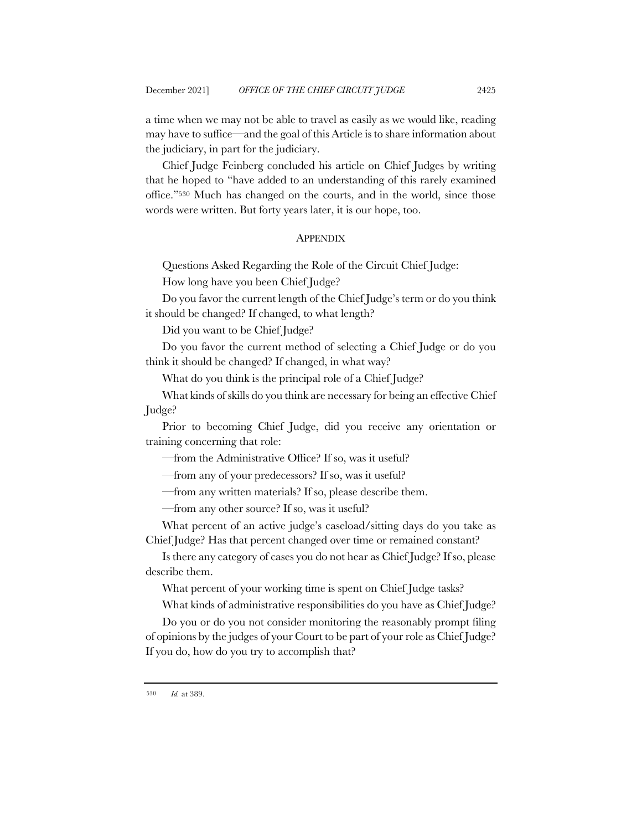a time when we may not be able to travel as easily as we would like, reading may have to suffice—and the goal of this Article is to share information about the judiciary, in part for the judiciary.

Chief Judge Feinberg concluded his article on Chief Judges by writing that he hoped to "have added to an understanding of this rarely examined office."530 Much has changed on the courts, and in the world, since those words were written. But forty years later, it is our hope, too.

#### **APPENDIX**

Questions Asked Regarding the Role of the Circuit Chief Judge:

How long have you been Chief Judge?

Do you favor the current length of the Chief Judge's term or do you think it should be changed? If changed, to what length?

Did you want to be Chief Judge?

Do you favor the current method of selecting a Chief Judge or do you think it should be changed? If changed, in what way?

What do you think is the principal role of a Chief Judge?

What kinds of skills do you think are necessary for being an effective Chief Judge?

Prior to becoming Chief Judge, did you receive any orientation or training concerning that role:

—from the Administrative Office? If so, was it useful?

—from any of your predecessors? If so, was it useful?

—from any written materials? If so, please describe them.

—from any other source? If so, was it useful?

What percent of an active judge's caseload/sitting days do you take as Chief Judge? Has that percent changed over time or remained constant?

Is there any category of cases you do not hear as Chief Judge? If so, please describe them.

What percent of your working time is spent on Chief Judge tasks?

What kinds of administrative responsibilities do you have as Chief Judge?

Do you or do you not consider monitoring the reasonably prompt filing of opinions by the judges of your Court to be part of your role as Chief Judge? If you do, how do you try to accomplish that?